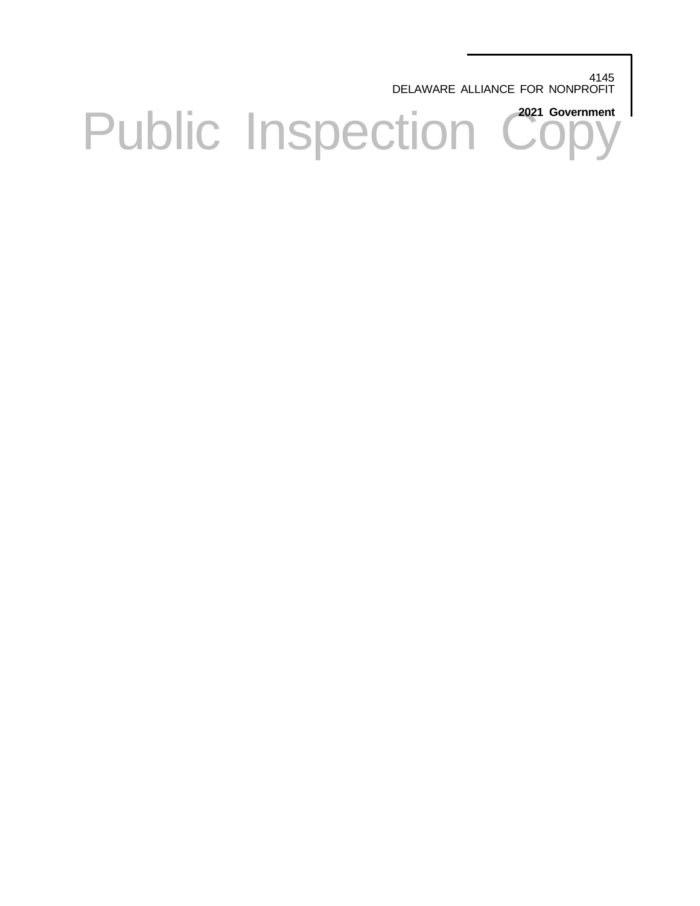4145 DELAWARE ALLIANCE FOR NONPROFIT

Public Inspection Copy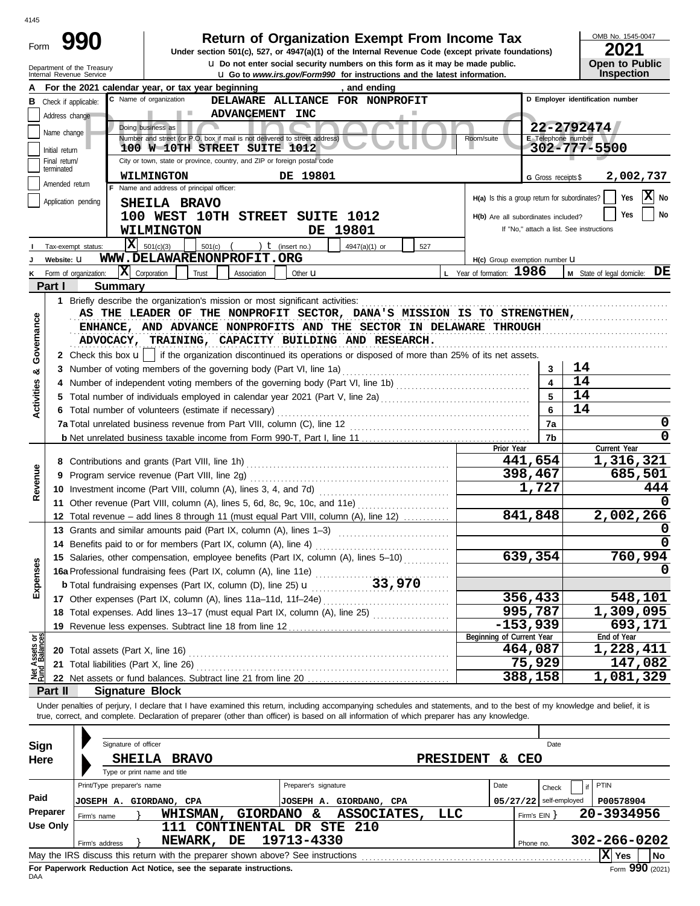Form

# **Return of Organization Exempt From Income Tax**

u **Do not enter social security numbers on this form as it may be made public. Open to Public Under section 501(c), 527, or 4947(a)(1) of the Internal Revenue Code (except private foundations)**

OMB No. 1545-0047

| ZUZ I                 |  |
|-----------------------|--|
| <b>Open to Public</b> |  |
| Inenaction            |  |

|                                |                      | Department of the Treasury<br>Internal Revenue Service |                                                                                                                                                                            | <b>u</b> Go to www.irs.gov/Form990 for instructions and the latest information. |                    |                                               |                          | PULL IN LAND<br><b>Inspection</b>        |
|--------------------------------|----------------------|--------------------------------------------------------|----------------------------------------------------------------------------------------------------------------------------------------------------------------------------|---------------------------------------------------------------------------------|--------------------|-----------------------------------------------|--------------------------|------------------------------------------|
|                                |                      |                                                        | For the 2021 calendar year, or tax year beginning                                                                                                                          | , and ending                                                                    |                    |                                               |                          |                                          |
| в                              | Check if applicable: |                                                        | C Name of organization                                                                                                                                                     | DELAWARE ALLIANCE FOR NONPROFIT                                                 |                    |                                               |                          | D Employer identification number         |
|                                | Address change       |                                                        | ADVANCEMENT INC                                                                                                                                                            |                                                                                 |                    |                                               |                          |                                          |
|                                |                      |                                                        | Doing business as                                                                                                                                                          |                                                                                 |                    |                                               |                          | 22-2792474                               |
|                                | Name change          |                                                        | Number and street (or P.O. box if mail is not delivered to street address)                                                                                                 |                                                                                 |                    | Room/suite                                    | E Telephone number       |                                          |
|                                | Initial return       |                                                        | 100 W 10TH STREET SUITE 1012                                                                                                                                               |                                                                                 |                    |                                               |                          | 302-777-5500                             |
|                                | Final return/        |                                                        | City or town, state or province, country, and ZIP or foreign postal code                                                                                                   |                                                                                 |                    |                                               |                          |                                          |
|                                | terminated           |                                                        | <b>WILMINGTON</b>                                                                                                                                                          | DE 19801                                                                        |                    |                                               | G Gross receipts \$      | 2,002,737                                |
|                                | Amended return       |                                                        | F Name and address of principal officer:                                                                                                                                   |                                                                                 |                    |                                               |                          |                                          |
|                                | Application pending  |                                                        | SHEILA BRAVO                                                                                                                                                               |                                                                                 |                    | H(a) Is this a group return for subordinates? |                          | X No<br>Yes                              |
|                                |                      |                                                        | 100 WEST 10TH STREET SUITE 1012                                                                                                                                            |                                                                                 |                    | H(b) Are all subordinates included?           |                          | No<br>Yes                                |
|                                |                      |                                                        | WILMINGTON                                                                                                                                                                 | DE 19801                                                                        |                    |                                               |                          | If "No," attach a list. See instructions |
|                                |                      | $\vert \mathbf{x} \vert$                               |                                                                                                                                                                            |                                                                                 |                    |                                               |                          |                                          |
|                                |                      | Tax-exempt status:                                     | 501(c)(3)<br>$501(c)$ (<br>WWW.DELAWARENONPROFIT.ORG                                                                                                                       | ) $t$ (insert no.)<br>4947(a)(1) or                                             | 527                |                                               |                          |                                          |
|                                | Website: U           |                                                        |                                                                                                                                                                            |                                                                                 |                    | H(c) Group exemption number U                 |                          |                                          |
| κ                              |                      | Form of organization:                                  | $ \mathbf{X} $ Corporation<br>Trust<br>Association                                                                                                                         | Other <b>u</b>                                                                  |                    | L Year of formation: 1986                     |                          | M State of legal domicile: DE            |
|                                | Part I               | <b>Summary</b>                                         |                                                                                                                                                                            |                                                                                 |                    |                                               |                          |                                          |
|                                |                      |                                                        | 1 Briefly describe the organization's mission or most significant activities:                                                                                              |                                                                                 |                    |                                               |                          |                                          |
|                                |                      |                                                        | AS THE LEADER OF THE NONPROFIT SECTOR, DANA'S MISSION IS TO STRENGTHEN,                                                                                                    |                                                                                 |                    |                                               |                          |                                          |
|                                |                      |                                                        | ENHANCE, AND ADVANCE NONPROFITS AND THE SECTOR IN DELAWARE THROUGH                                                                                                         |                                                                                 |                    |                                               |                          |                                          |
| Governance                     |                      |                                                        | ADVOCACY, TRAINING, CAPACITY BUILDING AND RESEARCH.                                                                                                                        |                                                                                 |                    |                                               |                          |                                          |
|                                |                      |                                                        | 2 Check this box $\mathbf{u}$   if the organization discontinued its operations or disposed of more than 25% of its net assets.                                            |                                                                                 |                    |                                               |                          |                                          |
| ಯ                              |                      |                                                        | 3 Number of voting members of the governing body (Part VI, line 1a)                                                                                                        |                                                                                 |                    |                                               | 3                        | 14                                       |
|                                |                      |                                                        | Number of independent voting members of the governing body (Part VI, line 1b) [11] [11] Number of independent voting members of the governing body (Part VI, line 1b)      |                                                                                 |                    |                                               | $\blacktriangle$         | 14                                       |
| Activities                     | 5.                   |                                                        | Total number of individuals employed in calendar year 2021 (Part V, line 2a) [[[[[[[[[[[[[[[[[[[[[[[[[[[[[[[[                                                              |                                                                                 |                    |                                               | 5                        | 14                                       |
|                                |                      |                                                        | 6 Total number of volunteers (estimate if necessary)                                                                                                                       |                                                                                 |                    |                                               | 6                        | 14                                       |
|                                |                      |                                                        | 7a Total unrelated business revenue from Part VIII, column (C), line 12                                                                                                    |                                                                                 |                    |                                               | 7a                       | 0                                        |
|                                |                      |                                                        |                                                                                                                                                                            |                                                                                 |                    |                                               |                          | $\Omega$                                 |
|                                |                      |                                                        |                                                                                                                                                                            |                                                                                 |                    | Prior Year                                    | 7b                       | Current Year                             |
|                                |                      |                                                        |                                                                                                                                                                            |                                                                                 |                    |                                               | 441,654                  | 1,316,321                                |
|                                |                      |                                                        | 9 Program service revenue (Part VIII, line 2g)                                                                                                                             |                                                                                 |                    |                                               | 398,467                  | 685,501                                  |
| Revenue                        |                      |                                                        |                                                                                                                                                                            |                                                                                 |                    |                                               | 1,727                    | 444                                      |
|                                |                      |                                                        |                                                                                                                                                                            |                                                                                 |                    |                                               |                          |                                          |
|                                |                      |                                                        | 11 Other revenue (Part VIII, column (A), lines 5, 6d, 8c, 9c, 10c, and 11e)                                                                                                |                                                                                 |                    |                                               |                          |                                          |
|                                |                      |                                                        | 12 Total revenue - add lines 8 through 11 (must equal Part VIII, column (A), line 12)                                                                                      |                                                                                 |                    |                                               | 841,848                  | 2,002,266                                |
|                                |                      |                                                        | 13 Grants and similar amounts paid (Part IX, column (A), lines 1-3)                                                                                                        |                                                                                 |                    |                                               |                          |                                          |
|                                |                      |                                                        | 14 Benefits paid to or for members (Part IX, column (A), line 4)                                                                                                           |                                                                                 |                    |                                               |                          |                                          |
|                                |                      |                                                        | 15 Salaries, other compensation, employee benefits (Part IX, column (A), lines 5-10)                                                                                       |                                                                                 |                    |                                               | 639,354                  | 760,994                                  |
| nses                           |                      |                                                        | 16a Professional fundraising fees (Part IX, column (A), line 11e)                                                                                                          |                                                                                 |                    |                                               |                          |                                          |
| Exper                          |                      |                                                        | <b>b</b> Total fundraising expenses (Part IX, column (D), line 25) $\mathbf{u}$                                                                                            |                                                                                 | 33,970             |                                               |                          |                                          |
|                                |                      |                                                        | 17 Other expenses (Part IX, column (A), lines 11a-11d, 11f-24e)                                                                                                            |                                                                                 |                    |                                               | 356,433                  | 548,101                                  |
|                                |                      |                                                        | 18 Total expenses. Add lines 13-17 (must equal Part IX, column (A), line 25)                                                                                               |                                                                                 |                    |                                               | 995,787                  | 1,309,095                                |
|                                | 19                   |                                                        | Revenue less expenses. Subtract line 18 from line 12                                                                                                                       |                                                                                 |                    |                                               | $-153,939$               | 693,171                                  |
|                                |                      |                                                        |                                                                                                                                                                            |                                                                                 |                    | Beginning of Current Year                     |                          | End of Year                              |
| Net Assets or<br>Fund Balances |                      | 20 Total assets (Part X, line 16)                      |                                                                                                                                                                            |                                                                                 |                    |                                               | 464,087                  | 1,228,411                                |
|                                |                      | 21 Total liabilities (Part X, line 26)                 |                                                                                                                                                                            |                                                                                 |                    |                                               | 75,929                   | 147,082                                  |
|                                |                      |                                                        | 22 Net assets or fund balances. Subtract line 21 from line 20                                                                                                              |                                                                                 |                    |                                               | 388,158                  | $\overline{1}$ , 081, 329                |
|                                | Part II              | <b>Signature Block</b>                                 |                                                                                                                                                                            |                                                                                 |                    |                                               |                          |                                          |
|                                |                      |                                                        | Under penalties of perjury, I declare that I have examined this return, including accompanying schedules and statements, and to the best of my knowledge and belief, it is |                                                                                 |                    |                                               |                          |                                          |
|                                |                      |                                                        | true, correct, and complete. Declaration of preparer (other than officer) is based on all information of which preparer has any knowledge.                                 |                                                                                 |                    |                                               |                          |                                          |
|                                |                      |                                                        |                                                                                                                                                                            |                                                                                 |                    |                                               |                          |                                          |
| Sign                           |                      | Signature of officer                                   |                                                                                                                                                                            |                                                                                 |                    |                                               | Date                     |                                          |
|                                |                      |                                                        |                                                                                                                                                                            |                                                                                 |                    |                                               |                          |                                          |
| Here                           |                      | <b>SHEILA</b>                                          | <b>BRAVO</b><br>Type or print name and title                                                                                                                               |                                                                                 |                    | <b>PRESIDENT</b><br>& CEO                     |                          |                                          |
|                                |                      |                                                        |                                                                                                                                                                            |                                                                                 |                    |                                               |                          |                                          |
|                                |                      | Print/Type preparer's name                             |                                                                                                                                                                            | Preparer's signature                                                            |                    | Date                                          | Check                    | PTIN                                     |
| Paid                           |                      | <b>JOSEPH A. GIORDANO, CPA</b>                         |                                                                                                                                                                            | JOSEPH A. GIORDANO, CPA                                                         |                    |                                               | $05/27/22$ self-employed | P00578904                                |
|                                | Preparer             | Firm's name                                            | GIORDANO &<br><b>WHISMAN,</b>                                                                                                                                              |                                                                                 | <b>ASSOCIATES,</b> | <b>LLC</b>                                    | Firm's EIN }             | 20-3934956                               |
|                                | <b>Use Only</b>      |                                                        | 111 CONTINENTAL DR STE 210                                                                                                                                                 |                                                                                 |                    |                                               |                          |                                          |
|                                |                      | Firm's address                                         | NEWARK,<br>DE                                                                                                                                                              | 19713-4330                                                                      |                    |                                               | Phone no.                | 302-266-0202                             |
|                                |                      |                                                        | May the IRS discuss this return with the preparer shown above? See instructions                                                                                            |                                                                                 |                    |                                               |                          | $ X $ Yes<br>No                          |

| Sign     |                            | Signature of officer                          |                                                                                 |                    |                      |               |                  |      |              | Date                     |                    |                           |
|----------|----------------------------|-----------------------------------------------|---------------------------------------------------------------------------------|--------------------|----------------------|---------------|------------------|------|--------------|--------------------------|--------------------|---------------------------|
| Here     |                            | <b>SHEILA</b><br>Type or print name and title | <b>BRAVO</b>                                                                    |                    |                      |               | <b>PRESIDENT</b> | δŁ.  | CEO          |                          |                    |                           |
|          | Print/Type preparer's name |                                               |                                                                                 |                    | Preparer's signature |               |                  | Date |              | Check                    | PTIN               |                           |
| Paid     | JOSEPH A.                  |                                               | GIORDANO, CPA                                                                   |                    | JOSEPH A.            | GIORDANO, CPA |                  |      |              | $05/27/22$ self-employed | P00578904          |                           |
| Preparer | Firm's name                |                                               | <b>WHISMAN,</b>                                                                 | <b>GIORDANO</b>    | &.                   | ASSOCIATES,   | LLC              |      | Firm's EIN Y |                          | 20-3934956         |                           |
| Use Only |                            |                                               | 111                                                                             | <b>CONTINENTAL</b> | DR STE               | -210          |                  |      |              |                          |                    |                           |
|          | Firm's address             |                                               | <b>NEWARK,</b>                                                                  | DE                 | 19713-4330           |               |                  |      | Phone no.    |                          | $302 - 266 - 0202$ |                           |
|          |                            |                                               | May the IRS discuss this return with the preparer shown above? See instructions |                    |                      |               |                  |      |              |                          | $ {\bf X} $ Yes    | No                        |
|          |                            |                                               | For Paperwork Reduction Act Notice, see the separate instructions.              |                    |                      |               |                  |      |              |                          |                    | $F_{\text{O}}$ 990 (2021) |

DAA **For Paperwork Reduction Act Notice, see the separate instructions.**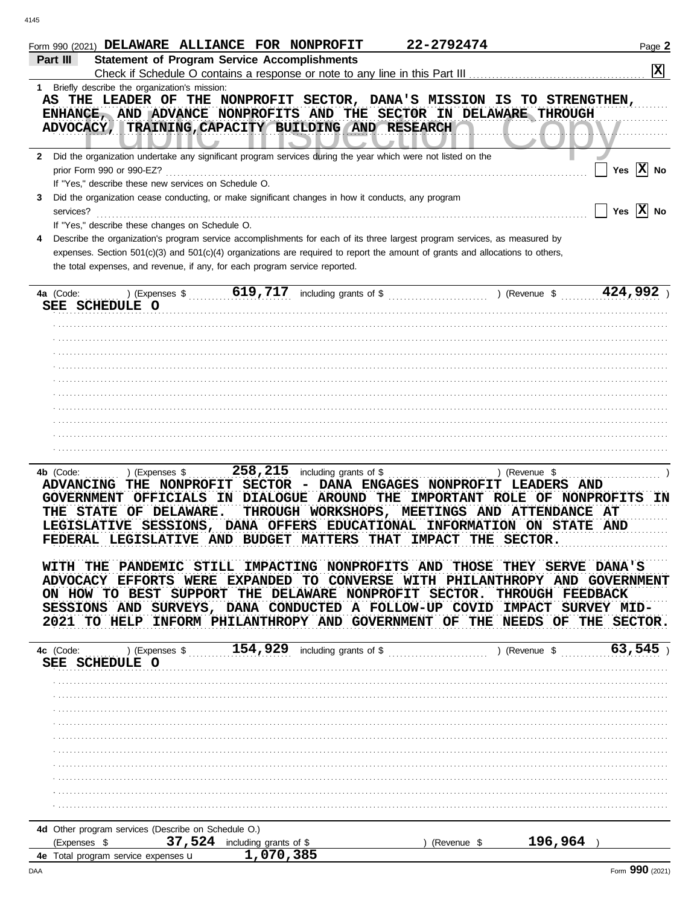| Form 990 (2021) DELAWARE ALLIANCE FOR NONPROFIT                                                                                                                                                                                                                                                                                                                                                                                                                                                 |                                                     | 22-2792474                                                                                                                 | Page 2                                                                                              |
|-------------------------------------------------------------------------------------------------------------------------------------------------------------------------------------------------------------------------------------------------------------------------------------------------------------------------------------------------------------------------------------------------------------------------------------------------------------------------------------------------|-----------------------------------------------------|----------------------------------------------------------------------------------------------------------------------------|-----------------------------------------------------------------------------------------------------|
| Part III                                                                                                                                                                                                                                                                                                                                                                                                                                                                                        | <b>Statement of Program Service Accomplishments</b> |                                                                                                                            |                                                                                                     |
|                                                                                                                                                                                                                                                                                                                                                                                                                                                                                                 |                                                     |                                                                                                                            | $ \mathbf{x} $                                                                                      |
| 1 Briefly describe the organization's mission:                                                                                                                                                                                                                                                                                                                                                                                                                                                  |                                                     |                                                                                                                            |                                                                                                     |
| AS THE LEADER OF THE NONPROFIT SECTOR, DANA'S MISSION IS TO STRENGTHEN,                                                                                                                                                                                                                                                                                                                                                                                                                         |                                                     |                                                                                                                            |                                                                                                     |
| ENHANCE, AND ADVANCE NONPROFITS AND THE SECTOR IN DELAWARE THROUGH                                                                                                                                                                                                                                                                                                                                                                                                                              |                                                     |                                                                                                                            |                                                                                                     |
| ADVOCACY, TRAINING, CAPACITY BUILDING AND RESEARCH                                                                                                                                                                                                                                                                                                                                                                                                                                              |                                                     |                                                                                                                            |                                                                                                     |
| 2 Did the organization undertake any significant program services during the year which were not listed on the                                                                                                                                                                                                                                                                                                                                                                                  |                                                     |                                                                                                                            |                                                                                                     |
| prior Form 990 or 990-EZ?                                                                                                                                                                                                                                                                                                                                                                                                                                                                       |                                                     |                                                                                                                            | Yes $ X $ No                                                                                        |
| If "Yes," describe these new services on Schedule O.<br>3                                                                                                                                                                                                                                                                                                                                                                                                                                       |                                                     |                                                                                                                            |                                                                                                     |
| Did the organization cease conducting, or make significant changes in how it conducts, any program<br>services?                                                                                                                                                                                                                                                                                                                                                                                 |                                                     |                                                                                                                            | Yes $ \mathbf{X} $ No                                                                               |
| If "Yes," describe these changes on Schedule O.                                                                                                                                                                                                                                                                                                                                                                                                                                                 |                                                     |                                                                                                                            |                                                                                                     |
| Describe the organization's program service accomplishments for each of its three largest program services, as measured by                                                                                                                                                                                                                                                                                                                                                                      |                                                     |                                                                                                                            |                                                                                                     |
| expenses. Section 501(c)(3) and 501(c)(4) organizations are required to report the amount of grants and allocations to others,                                                                                                                                                                                                                                                                                                                                                                  |                                                     |                                                                                                                            |                                                                                                     |
| the total expenses, and revenue, if any, for each program service reported.                                                                                                                                                                                                                                                                                                                                                                                                                     |                                                     |                                                                                                                            |                                                                                                     |
|                                                                                                                                                                                                                                                                                                                                                                                                                                                                                                 |                                                     |                                                                                                                            |                                                                                                     |
| 4a (Code:<br>) (Expenses \$                                                                                                                                                                                                                                                                                                                                                                                                                                                                     |                                                     | 619,717 including grants of $\sqrt{s}$                                                                                     | 424,992<br>) (Revenue \$                                                                            |
| SEE SCHEDULE O                                                                                                                                                                                                                                                                                                                                                                                                                                                                                  |                                                     |                                                                                                                            |                                                                                                     |
|                                                                                                                                                                                                                                                                                                                                                                                                                                                                                                 |                                                     |                                                                                                                            |                                                                                                     |
|                                                                                                                                                                                                                                                                                                                                                                                                                                                                                                 |                                                     |                                                                                                                            |                                                                                                     |
|                                                                                                                                                                                                                                                                                                                                                                                                                                                                                                 |                                                     |                                                                                                                            |                                                                                                     |
|                                                                                                                                                                                                                                                                                                                                                                                                                                                                                                 |                                                     |                                                                                                                            |                                                                                                     |
|                                                                                                                                                                                                                                                                                                                                                                                                                                                                                                 |                                                     |                                                                                                                            |                                                                                                     |
|                                                                                                                                                                                                                                                                                                                                                                                                                                                                                                 |                                                     |                                                                                                                            |                                                                                                     |
|                                                                                                                                                                                                                                                                                                                                                                                                                                                                                                 |                                                     |                                                                                                                            |                                                                                                     |
|                                                                                                                                                                                                                                                                                                                                                                                                                                                                                                 |                                                     |                                                                                                                            |                                                                                                     |
|                                                                                                                                                                                                                                                                                                                                                                                                                                                                                                 |                                                     |                                                                                                                            |                                                                                                     |
|                                                                                                                                                                                                                                                                                                                                                                                                                                                                                                 |                                                     |                                                                                                                            |                                                                                                     |
| <b>OFFICIALS</b><br><b>GOVERNMENT</b><br>THE STATE OF DELAWARE.<br>LEGISLATIVE SESSIONS, DANA OFFERS EDUCATIONAL INFORMATION ON STATE AND<br>FEDERAL LEGISLATIVE AND BUDGET MATTERS THAT<br>WITH THE PANDEMIC STILL IMPACTING NONPROFITS AND THOSE THEY SERVE DANA'S<br>ADVOCACY EFFORTS WERE<br>ON HOW TO BEST SUPPORT THE DELAWARE NONPROFIT SECTOR.<br>SESSIONS AND SURVEYS, DANA CONDUCTED A FOLLOW-UP COVID<br>2021 TO HELP INFORM PHILANTHROPY AND GOVERNMENT OF THE NEEDS OF THE SECTOR. | EXPANDED                                            | IN DIALOGUE AROUND THE IMPORTANT ROLE OF NONPROFITS<br>THROUGH WORKSHOPS, MEETINGS AND ATTENDANCE AT<br>IMPACT THE SECTOR. | ΙN<br>TO CONVERSE WITH PHILANTHROPY AND GOVERNMENT<br>THROUGH FEEDBACK<br><b>IMPACT SURVEY MID-</b> |
| 4c (Code:<br>) (Expenses \$<br>SEE SCHEDULE O                                                                                                                                                                                                                                                                                                                                                                                                                                                   | 154, 929 including grants of \$                     |                                                                                                                            | 63,545<br>) (Revenue \$                                                                             |
|                                                                                                                                                                                                                                                                                                                                                                                                                                                                                                 |                                                     |                                                                                                                            |                                                                                                     |
|                                                                                                                                                                                                                                                                                                                                                                                                                                                                                                 |                                                     |                                                                                                                            |                                                                                                     |
|                                                                                                                                                                                                                                                                                                                                                                                                                                                                                                 |                                                     |                                                                                                                            |                                                                                                     |
|                                                                                                                                                                                                                                                                                                                                                                                                                                                                                                 |                                                     |                                                                                                                            |                                                                                                     |
|                                                                                                                                                                                                                                                                                                                                                                                                                                                                                                 |                                                     |                                                                                                                            |                                                                                                     |
|                                                                                                                                                                                                                                                                                                                                                                                                                                                                                                 |                                                     |                                                                                                                            |                                                                                                     |
|                                                                                                                                                                                                                                                                                                                                                                                                                                                                                                 |                                                     |                                                                                                                            |                                                                                                     |
|                                                                                                                                                                                                                                                                                                                                                                                                                                                                                                 |                                                     |                                                                                                                            |                                                                                                     |
|                                                                                                                                                                                                                                                                                                                                                                                                                                                                                                 |                                                     |                                                                                                                            |                                                                                                     |
|                                                                                                                                                                                                                                                                                                                                                                                                                                                                                                 |                                                     |                                                                                                                            |                                                                                                     |
| 4d Other program services (Describe on Schedule O.)                                                                                                                                                                                                                                                                                                                                                                                                                                             |                                                     |                                                                                                                            |                                                                                                     |
| (Expenses \$                                                                                                                                                                                                                                                                                                                                                                                                                                                                                    | 37,524 including grants of \$                       | (Revenue \$                                                                                                                | 196,964                                                                                             |
| 4e Total program service expenses u                                                                                                                                                                                                                                                                                                                                                                                                                                                             | 1,070,385                                           |                                                                                                                            |                                                                                                     |
| DAA                                                                                                                                                                                                                                                                                                                                                                                                                                                                                             |                                                     |                                                                                                                            | Form 990 (2021)                                                                                     |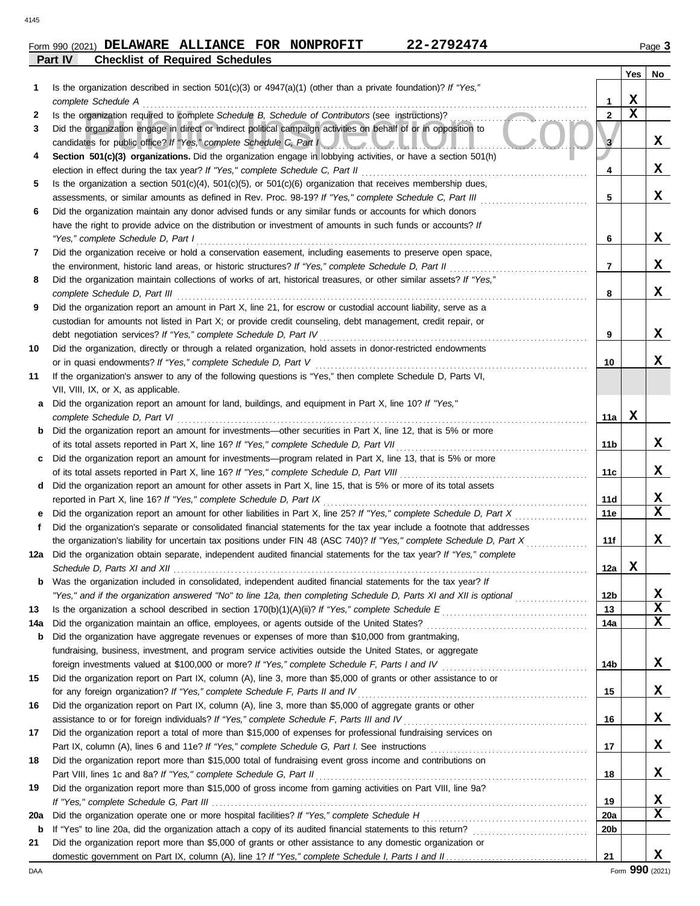# **Part IV Checklist of Required Schedules Form 990 (2021) DELAWARE ALLIANCE FOR NONPROFIT 22-2792474** Page 3

|     |                                                                                                                                                                                                                                       |                 | Yes                     | No          |
|-----|---------------------------------------------------------------------------------------------------------------------------------------------------------------------------------------------------------------------------------------|-----------------|-------------------------|-------------|
| 1   | Is the organization described in section $501(c)(3)$ or $4947(a)(1)$ (other than a private foundation)? If "Yes,"                                                                                                                     |                 |                         |             |
|     | complete Schedule A                                                                                                                                                                                                                   | 1               | X                       |             |
| 2   | Is the organization required to complete Schedule B, Schedule of Contributors (see instructions)?                                                                                                                                     | $\overline{2}$  | $\overline{\mathbf{x}}$ |             |
| 3   | Did the organization engage in direct or indirect political campaign activities on behalf of or in opposition to                                                                                                                      |                 |                         |             |
|     | candidates for public office? If "Yes," complete Schedule C, Part I                                                                                                                                                                   | 3               |                         | x           |
| 4   | Section 501(c)(3) organizations. Did the organization engage in lobbying activities, or have a section 501(h)                                                                                                                         |                 |                         |             |
|     | election in effect during the tax year? If "Yes," complete Schedule C, Part II                                                                                                                                                        | 4               |                         | x           |
| 5   | Is the organization a section $501(c)(4)$ , $501(c)(5)$ , or $501(c)(6)$ organization that receives membership dues,                                                                                                                  |                 |                         |             |
|     | assessments, or similar amounts as defined in Rev. Proc. 98-19? If "Yes," complete Schedule C, Part III                                                                                                                               | 5               |                         | X           |
| 6   | Did the organization maintain any donor advised funds or any similar funds or accounts for which donors                                                                                                                               |                 |                         |             |
|     | have the right to provide advice on the distribution or investment of amounts in such funds or accounts? If                                                                                                                           |                 |                         |             |
|     | "Yes," complete Schedule D, Part I                                                                                                                                                                                                    | 6               |                         | X           |
| 7   | Did the organization receive or hold a conservation easement, including easements to preserve open space,                                                                                                                             |                 |                         |             |
|     | the environment, historic land areas, or historic structures? If "Yes," complete Schedule D, Part II                                                                                                                                  | 7               |                         | X           |
| 8   | Did the organization maintain collections of works of art, historical treasures, or other similar assets? If "Yes,"                                                                                                                   |                 |                         |             |
|     |                                                                                                                                                                                                                                       | 8               |                         | x           |
| 9   | Did the organization report an amount in Part X, line 21, for escrow or custodial account liability, serve as a                                                                                                                       |                 |                         |             |
|     | custodian for amounts not listed in Part X; or provide credit counseling, debt management, credit repair, or                                                                                                                          |                 |                         |             |
|     | debt negotiation services? If "Yes," complete Schedule D, Part IV                                                                                                                                                                     | 9               |                         | x           |
| 10  | Did the organization, directly or through a related organization, hold assets in donor-restricted endowments                                                                                                                          |                 |                         |             |
|     | or in quasi endowments? If "Yes," complete Schedule D, Part V                                                                                                                                                                         | 10              |                         | x           |
| 11  | If the organization's answer to any of the following questions is "Yes," then complete Schedule D, Parts VI,                                                                                                                          |                 |                         |             |
|     | VII, VIII, IX, or X, as applicable.                                                                                                                                                                                                   |                 |                         |             |
|     | a Did the organization report an amount for land, buildings, and equipment in Part X, line 10? If "Yes,"                                                                                                                              |                 |                         |             |
|     | complete Schedule D, Part VI                                                                                                                                                                                                          | 11a             | X                       |             |
|     | <b>b</b> Did the organization report an amount for investments—other securities in Part X, line 12, that is 5% or more                                                                                                                |                 |                         |             |
|     | of its total assets reported in Part X, line 16? If "Yes," complete Schedule D, Part VII                                                                                                                                              | 11 b            |                         | x           |
|     | c Did the organization report an amount for investments—program related in Part X, line 13, that is 5% or more                                                                                                                        | 11c             |                         | x           |
|     | of its total assets reported in Part X, line 16? If "Yes," complete Schedule D, Part VIII [[[[[[[[[[[[[[[[[[[[<br>d Did the organization report an amount for other assets in Part X, line 15, that is 5% or more of its total assets |                 |                         |             |
|     | reported in Part X, line 16? If "Yes," complete Schedule D, Part IX                                                                                                                                                                   | 11d             |                         | X           |
|     | e Did the organization report an amount for other liabilities in Part X, line 25? If "Yes," complete Schedule D, Part X                                                                                                               | 11e             |                         | X           |
| f   | Did the organization's separate or consolidated financial statements for the tax year include a footnote that addresses                                                                                                               |                 |                         |             |
|     | the organization's liability for uncertain tax positions under FIN 48 (ASC 740)? If "Yes," complete Schedule D, Part X                                                                                                                | 11f             |                         | X           |
|     | 12a Did the organization obtain separate, independent audited financial statements for the tax year? If "Yes," complete                                                                                                               |                 |                         |             |
|     |                                                                                                                                                                                                                                       | 12a             | X                       |             |
| b   | Was the organization included in consolidated, independent audited financial statements for the tax year? If                                                                                                                          |                 |                         |             |
|     | "Yes," and if the organization answered "No" to line 12a, then completing Schedule D, Parts XI and XII is optional                                                                                                                    | 12 <sub>b</sub> |                         | х           |
| 13  |                                                                                                                                                                                                                                       | 13              |                         | $\mathbf x$ |
| 14a |                                                                                                                                                                                                                                       | 14a             |                         | $\mathbf x$ |
| b   | Did the organization have aggregate revenues or expenses of more than \$10,000 from grantmaking,                                                                                                                                      |                 |                         |             |
|     | fundraising, business, investment, and program service activities outside the United States, or aggregate                                                                                                                             |                 |                         |             |
|     | foreign investments valued at \$100,000 or more? If "Yes," complete Schedule F, Parts I and IV [[[[[[[[[[[[[[[[                                                                                                                       | 14b             |                         | X           |
| 15  | Did the organization report on Part IX, column (A), line 3, more than \$5,000 of grants or other assistance to or                                                                                                                     |                 |                         |             |
|     | for any foreign organization? If "Yes," complete Schedule F, Parts II and IV                                                                                                                                                          | 15              |                         | X           |
| 16  | Did the organization report on Part IX, column (A), line 3, more than \$5,000 of aggregate grants or other                                                                                                                            |                 |                         |             |
|     |                                                                                                                                                                                                                                       | 16              |                         | X           |
| 17  | Did the organization report a total of more than \$15,000 of expenses for professional fundraising services on                                                                                                                        |                 |                         |             |
|     |                                                                                                                                                                                                                                       | 17              |                         | X           |
| 18  | Did the organization report more than \$15,000 total of fundraising event gross income and contributions on                                                                                                                           |                 |                         |             |
|     |                                                                                                                                                                                                                                       | 18              |                         | X           |
| 19  | Did the organization report more than \$15,000 of gross income from gaming activities on Part VIII, line 9a?                                                                                                                          |                 |                         |             |
|     |                                                                                                                                                                                                                                       | 19              |                         | X           |
| 20a |                                                                                                                                                                                                                                       | 20a             |                         | X           |
| b   |                                                                                                                                                                                                                                       | 20 <sub>b</sub> |                         |             |
| 21  | Did the organization report more than \$5,000 of grants or other assistance to any domestic organization or                                                                                                                           |                 |                         |             |
|     |                                                                                                                                                                                                                                       | 21              |                         | X           |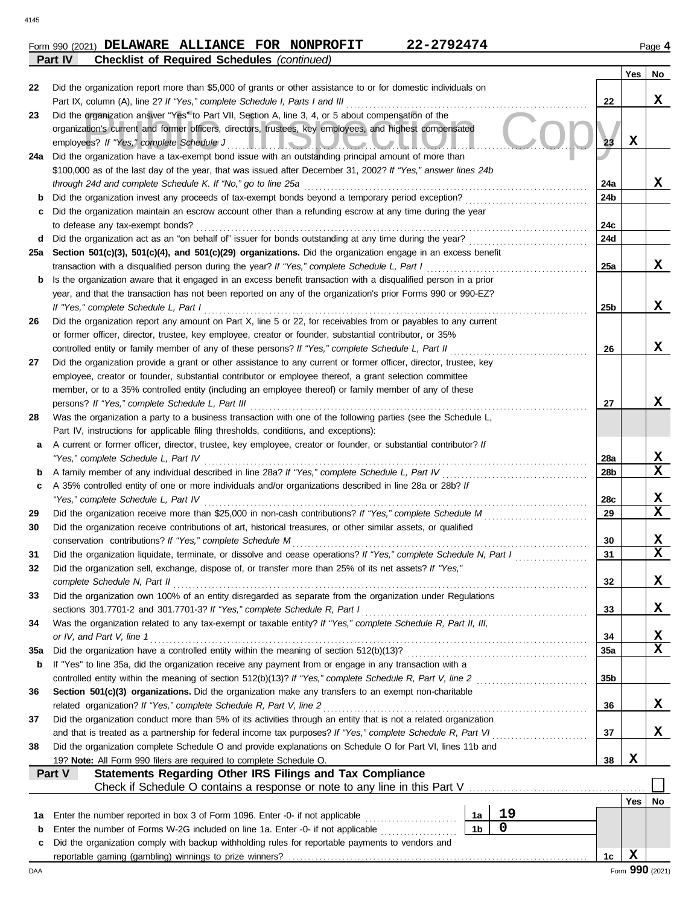| Form 990 (2021) | DELAWARE ALLIANCE FOR                              |  | NONPROFIT | 22-2792474 | Page 4 |
|-----------------|----------------------------------------------------|--|-----------|------------|--------|
| <b>Part IV</b>  | <b>Checklist of Required Schedules (continued)</b> |  |           |            |        |

|     |                                                                                                                                                                                                                                                                         |                 | Yes | No |
|-----|-------------------------------------------------------------------------------------------------------------------------------------------------------------------------------------------------------------------------------------------------------------------------|-----------------|-----|----|
| 22  | Did the organization report more than \$5,000 of grants or other assistance to or for domestic individuals on                                                                                                                                                           |                 |     |    |
|     | Part IX, column (A), line 2? If "Yes," complete Schedule I, Parts I and III                                                                                                                                                                                             | 22              |     | x  |
| 23  | Did the organization answer "Yes" to Part VII, Section A, line 3, 4, or 5 about compensation of the<br>organization's current and former officers, directors, trustees, key employees, and highest compensated<br>employees? If "Yes," complete Schedule J<br>IN JUNIOR | 23              | X   |    |
| 24a | Did the organization have a tax-exempt bond issue with an outstanding principal amount of more than                                                                                                                                                                     |                 |     |    |
|     | \$100,000 as of the last day of the year, that was issued after December 31, 2002? If "Yes," answer lines 24b                                                                                                                                                           |                 |     |    |
|     | through 24d and complete Schedule K. If "No," go to line 25a                                                                                                                                                                                                            | 24a             |     | x  |
| b   | Did the organization invest any proceeds of tax-exempt bonds beyond a temporary period exception?                                                                                                                                                                       | 24b             |     |    |
| c   | Did the organization maintain an escrow account other than a refunding escrow at any time during the year                                                                                                                                                               |                 |     |    |
|     | to defease any tax-exempt bonds?                                                                                                                                                                                                                                        | 24c             |     |    |
| d   |                                                                                                                                                                                                                                                                         | 24d             |     |    |
| 25a | Section 501(c)(3), 501(c)(4), and 501(c)(29) organizations. Did the organization engage in an excess benefit                                                                                                                                                            |                 |     |    |
|     | transaction with a disqualified person during the year? If "Yes," complete Schedule L, Part I                                                                                                                                                                           | 25a             |     | x  |
| b   | Is the organization aware that it engaged in an excess benefit transaction with a disqualified person in a prior<br>year, and that the transaction has not been reported on any of the organization's prior Forms 990 or 990-EZ?                                        |                 |     |    |
|     | If "Yes," complete Schedule L, Part I                                                                                                                                                                                                                                   | 25b             |     | х  |
| 26  | Did the organization report any amount on Part X, line 5 or 22, for receivables from or payables to any current                                                                                                                                                         |                 |     |    |
|     | or former officer, director, trustee, key employee, creator or founder, substantial contributor, or 35%                                                                                                                                                                 |                 |     |    |
|     | controlled entity or family member of any of these persons? If "Yes," complete Schedule L, Part II                                                                                                                                                                      | 26              |     | х  |
| 27  | Did the organization provide a grant or other assistance to any current or former officer, director, trustee, key                                                                                                                                                       |                 |     |    |
|     | employee, creator or founder, substantial contributor or employee thereof, a grant selection committee                                                                                                                                                                  |                 |     |    |
|     | member, or to a 35% controlled entity (including an employee thereof) or family member of any of these                                                                                                                                                                  |                 |     |    |
|     | persons? If "Yes," complete Schedule L, Part III                                                                                                                                                                                                                        | 27              |     | х  |
| 28  | Was the organization a party to a business transaction with one of the following parties (see the Schedule L,                                                                                                                                                           |                 |     |    |
|     | Part IV, instructions for applicable filing thresholds, conditions, and exceptions):                                                                                                                                                                                    |                 |     |    |
| а   | A current or former officer, director, trustee, key employee, creator or founder, or substantial contributor? If                                                                                                                                                        |                 |     |    |
|     | "Yes," complete Schedule L, Part IV                                                                                                                                                                                                                                     | 28a             |     | х  |
| b   | A family member of any individual described in line 28a? If "Yes," complete Schedule L, Part IV                                                                                                                                                                         | 28b             |     | X  |
| c   | A 35% controlled entity of one or more individuals and/or organizations described in line 28a or 28b? If<br>"Yes," complete Schedule L, Part IV                                                                                                                         | 28c             |     | х  |
| 29  |                                                                                                                                                                                                                                                                         | 29              |     | X  |
| 30  | Did the organization receive contributions of art, historical treasures, or other similar assets, or qualified                                                                                                                                                          |                 |     |    |
|     | conservation contributions? If "Yes," complete Schedule M                                                                                                                                                                                                               | 30              |     | х  |
| 31  | Did the organization liquidate, terminate, or dissolve and cease operations? If "Yes," complete Schedule N, Part I                                                                                                                                                      | 31              |     | X  |
| 32  | Did the organization sell, exchange, dispose of, or transfer more than 25% of its net assets? If "Yes,"                                                                                                                                                                 |                 |     |    |
|     | complete Schedule N, Part II                                                                                                                                                                                                                                            | 32              |     | х  |
| 33  | Did the organization own 100% of an entity disregarded as separate from the organization under Regulations                                                                                                                                                              |                 |     |    |
|     | sections 301.7701-2 and 301.7701-3? If "Yes," complete Schedule R, Part I                                                                                                                                                                                               | 33              |     | X  |
| 34  | Was the organization related to any tax-exempt or taxable entity? If "Yes," complete Schedule R, Part II, III,                                                                                                                                                          |                 |     |    |
|     | or IV, and Part V, line 1                                                                                                                                                                                                                                               | 34              |     | X  |
| 35a |                                                                                                                                                                                                                                                                         | 35a             |     | X  |
| b   | If "Yes" to line 35a, did the organization receive any payment from or engage in any transaction with a                                                                                                                                                                 |                 |     |    |
| 36  | Section 501(c)(3) organizations. Did the organization make any transfers to an exempt non-charitable                                                                                                                                                                    | 35 <sub>b</sub> |     |    |
|     | related organization? If "Yes," complete Schedule R, Part V, line 2                                                                                                                                                                                                     | 36              |     | x  |
| 37  | Did the organization conduct more than 5% of its activities through an entity that is not a related organization                                                                                                                                                        |                 |     |    |
|     | and that is treated as a partnership for federal income tax purposes? If "Yes," complete Schedule R, Part VI                                                                                                                                                            | 37              |     | X  |
| 38  | Did the organization complete Schedule O and provide explanations on Schedule O for Part VI, lines 11b and                                                                                                                                                              |                 |     |    |
|     | 19? Note: All Form 990 filers are required to complete Schedule O.                                                                                                                                                                                                      | 38              | X   |    |
|     | <b>Statements Regarding Other IRS Filings and Tax Compliance</b><br>Part V                                                                                                                                                                                              |                 |     |    |
|     |                                                                                                                                                                                                                                                                         |                 |     |    |
|     |                                                                                                                                                                                                                                                                         |                 | Yes | No |
| 1а  | 19<br>1a                                                                                                                                                                                                                                                                |                 |     |    |
| b   | $\mathbf 0$<br>1 <sub>b</sub><br>Enter the number of Forms W-2G included on line 1a. Enter -0- if not applicable                                                                                                                                                        |                 |     |    |
| с   | Did the organization comply with backup withholding rules for reportable payments to vendors and                                                                                                                                                                        | 1c              | X   |    |
|     |                                                                                                                                                                                                                                                                         |                 |     |    |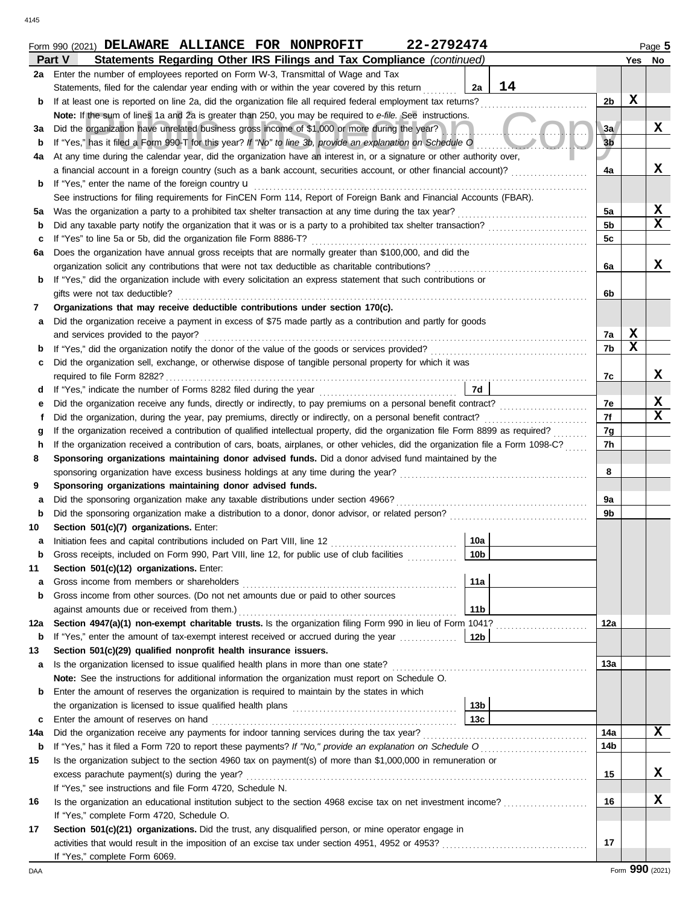|                                                                                                                       | <b>Part V</b><br>Statements Regarding Other IRS Filings and Tax Compliance (continued)                                                |                 |    |                         | Yes | No          |  |  |  |
|-----------------------------------------------------------------------------------------------------------------------|---------------------------------------------------------------------------------------------------------------------------------------|-----------------|----|-------------------------|-----|-------------|--|--|--|
| 2a                                                                                                                    | Enter the number of employees reported on Form W-3, Transmittal of Wage and Tax                                                       |                 |    |                         |     |             |  |  |  |
|                                                                                                                       | Statements, filed for the calendar year ending with or within the year covered by this return                                         | 2a              | 14 |                         |     |             |  |  |  |
| b                                                                                                                     | If at least one is reported on line 2a, did the organization file all required federal employment tax returns?                        |                 |    | 2b                      | х   |             |  |  |  |
|                                                                                                                       | Note: If the sum of lines 1a and 2a is greater than 250, you may be required to e-file. See instructions.                             |                 |    |                         |     |             |  |  |  |
| За                                                                                                                    | Did the organization have unrelated business gross income of \$1,000 or more during the year?                                         |                 |    | 3a                      |     | X           |  |  |  |
| b                                                                                                                     | If "Yes," has it filed a Form 990-T for this year? If "No" to line 3b, provide an explanation on Schedule O                           |                 |    | 3 <sub>b</sub>          |     |             |  |  |  |
| 4a                                                                                                                    | At any time during the calendar year, did the organization have an interest in, or a signature or other authority over,               |                 |    |                         |     |             |  |  |  |
|                                                                                                                       | a financial account in a foreign country (such as a bank account, securities account, or other financial account)?                    |                 |    | 4a                      |     | x           |  |  |  |
| b                                                                                                                     | If "Yes," enter the name of the foreign country $\mathbf u$                                                                           |                 |    |                         |     |             |  |  |  |
|                                                                                                                       | See instructions for filing requirements for FinCEN Form 114, Report of Foreign Bank and Financial Accounts (FBAR).                   |                 |    |                         |     |             |  |  |  |
| 5а                                                                                                                    | Was the organization a party to a prohibited tax shelter transaction at any time during the tax year?                                 |                 |    | 5a                      |     | X           |  |  |  |
| b                                                                                                                     |                                                                                                                                       | 5 <sub>b</sub>  |    | $\overline{\mathbf{x}}$ |     |             |  |  |  |
| c                                                                                                                     | If "Yes" to line 5a or 5b, did the organization file Form 8886-T?                                                                     |                 |    | 5c                      |     |             |  |  |  |
| 6а                                                                                                                    | Does the organization have annual gross receipts that are normally greater than \$100,000, and did the                                |                 |    |                         |     |             |  |  |  |
|                                                                                                                       | organization solicit any contributions that were not tax deductible as charitable contributions?                                      |                 |    | 6a                      |     | X           |  |  |  |
| b                                                                                                                     | If "Yes," did the organization include with every solicitation an express statement that such contributions or                        |                 |    |                         |     |             |  |  |  |
|                                                                                                                       | gifts were not tax deductible?                                                                                                        |                 |    | 6b                      |     |             |  |  |  |
| 7                                                                                                                     | Organizations that may receive deductible contributions under section 170(c).                                                         |                 |    |                         |     |             |  |  |  |
| а                                                                                                                     | Did the organization receive a payment in excess of \$75 made partly as a contribution and partly for goods                           |                 |    |                         |     |             |  |  |  |
|                                                                                                                       | and services provided to the payor?                                                                                                   |                 |    | 7a                      | X   |             |  |  |  |
| $\mathbf b$                                                                                                           |                                                                                                                                       |                 |    | 7b                      | X   |             |  |  |  |
| c                                                                                                                     | Did the organization sell, exchange, or otherwise dispose of tangible personal property for which it was                              |                 |    |                         |     |             |  |  |  |
|                                                                                                                       | required to file Form 8282?                                                                                                           |                 |    | 7c                      |     | X           |  |  |  |
| d                                                                                                                     |                                                                                                                                       | 7d              |    |                         |     |             |  |  |  |
| е                                                                                                                     |                                                                                                                                       |                 |    | 7e                      |     | X           |  |  |  |
|                                                                                                                       | Did the organization, during the year, pay premiums, directly or indirectly, on a personal benefit contract?                          |                 |    | 7f                      |     | $\mathbf x$ |  |  |  |
|                                                                                                                       | If the organization received a contribution of qualified intellectual property, did the organization file Form 8899 as required?<br>g |                 |    |                         |     |             |  |  |  |
| h                                                                                                                     | If the organization received a contribution of cars, boats, airplanes, or other vehicles, did the organization file a Form 1098-C?    |                 |    |                         |     |             |  |  |  |
| 8                                                                                                                     | Sponsoring organizations maintaining donor advised funds. Did a donor advised fund maintained by the                                  |                 |    |                         |     |             |  |  |  |
|                                                                                                                       | sponsoring organization have excess business holdings at any time during the year?                                                    |                 |    |                         |     |             |  |  |  |
| 9                                                                                                                     | Sponsoring organizations maintaining donor advised funds.                                                                             |                 |    |                         |     |             |  |  |  |
| а                                                                                                                     | Did the sponsoring organization make any taxable distributions under section 4966?                                                    |                 |    |                         |     |             |  |  |  |
| b                                                                                                                     |                                                                                                                                       |                 |    | 9b                      |     |             |  |  |  |
| 10                                                                                                                    | Section 501(c)(7) organizations. Enter:                                                                                               |                 |    |                         |     |             |  |  |  |
| а                                                                                                                     | Initiation fees and capital contributions included on Part VIII, line 12                                                              | 10a             |    |                         |     |             |  |  |  |
| b                                                                                                                     | Gross receipts, included on Form 990, Part VIII, line 12, for public use of club facilities                                           | 10 <sub>b</sub> |    |                         |     |             |  |  |  |
| 11                                                                                                                    | Section 501(c)(12) organizations. Enter:                                                                                              |                 |    |                         |     |             |  |  |  |
| а                                                                                                                     | Gross income from members or shareholders                                                                                             | 11a             |    |                         |     |             |  |  |  |
| b                                                                                                                     | Gross income from other sources. (Do not net amounts due or paid to other sources                                                     |                 |    |                         |     |             |  |  |  |
|                                                                                                                       | against amounts due or received from them.)                                                                                           | 11 <sub>b</sub> |    |                         |     |             |  |  |  |
| 12a                                                                                                                   | Section 4947(a)(1) non-exempt charitable trusts. Is the organization filing Form 990 in lieu of Form 1041?                            |                 |    | 12a                     |     |             |  |  |  |
| b                                                                                                                     | If "Yes," enter the amount of tax-exempt interest received or accrued during the year <i>[[COSTERRY]</i>                              | 12b             |    |                         |     |             |  |  |  |
| 13                                                                                                                    | Section 501(c)(29) qualified nonprofit health insurance issuers.                                                                      |                 |    |                         |     |             |  |  |  |
| а                                                                                                                     | Is the organization licensed to issue qualified health plans in more than one state?                                                  |                 |    | 13а                     |     |             |  |  |  |
|                                                                                                                       | Note: See the instructions for additional information the organization must report on Schedule O.                                     |                 |    |                         |     |             |  |  |  |
| b                                                                                                                     | Enter the amount of reserves the organization is required to maintain by the states in which                                          |                 |    |                         |     |             |  |  |  |
|                                                                                                                       |                                                                                                                                       | 13 <sub>b</sub> |    |                         |     |             |  |  |  |
| c                                                                                                                     | Enter the amount of reserves on hand                                                                                                  | 13с             |    |                         |     |             |  |  |  |
| 14a                                                                                                                   | Did the organization receive any payments for indoor tanning services during the tax year?                                            |                 |    | 14a                     |     | x           |  |  |  |
| b                                                                                                                     |                                                                                                                                       |                 |    | 14b                     |     |             |  |  |  |
| 15                                                                                                                    | Is the organization subject to the section 4960 tax on payment(s) of more than \$1,000,000 in remuneration or                         |                 |    |                         |     |             |  |  |  |
|                                                                                                                       | excess parachute payment(s) during the year?                                                                                          |                 |    | 15                      |     | x           |  |  |  |
|                                                                                                                       | If "Yes," see instructions and file Form 4720, Schedule N.                                                                            |                 |    |                         |     |             |  |  |  |
| 16<br>Is the organization an educational institution subject to the section 4968 excise tax on net investment income? |                                                                                                                                       |                 |    |                         |     |             |  |  |  |
|                                                                                                                       | If "Yes," complete Form 4720, Schedule O.                                                                                             |                 |    | 16                      |     | x           |  |  |  |
| 17                                                                                                                    | Section 501(c)(21) organizations. Did the trust, any disqualified person, or mine operator engage in                                  |                 |    |                         |     |             |  |  |  |
|                                                                                                                       |                                                                                                                                       |                 |    | 17                      |     |             |  |  |  |
|                                                                                                                       | If "Yes," complete Form 6069.                                                                                                         |                 |    |                         |     |             |  |  |  |
|                                                                                                                       |                                                                                                                                       |                 |    |                         |     |             |  |  |  |

**Form 990 (2021) DELAWARE ALLIANCE FOR NONPROFIT 22-2792474** Page 5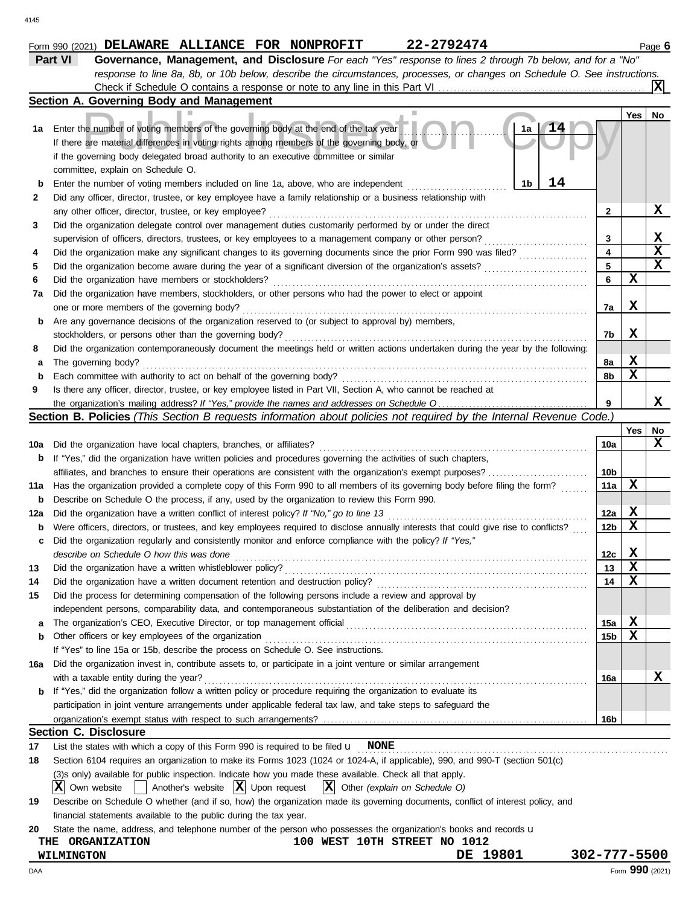|     |                                                                                                                                     |                         |             | $ \mathbf{x} $  |
|-----|-------------------------------------------------------------------------------------------------------------------------------------|-------------------------|-------------|-----------------|
|     | Section A. Governing Body and Management                                                                                            |                         |             |                 |
|     |                                                                                                                                     |                         | Yes         | No              |
| 1а  | 14<br>Enter the number of voting members of the governing body at the end of the tax year<br>1a                                     |                         |             |                 |
|     | If there are material differences in voting rights among members of the governing body, or                                          |                         |             |                 |
|     | if the governing body delegated broad authority to an executive committee or similar                                                |                         |             |                 |
|     | committee, explain on Schedule O.                                                                                                   |                         |             |                 |
| b   | 14<br>1b<br>Enter the number of voting members included on line 1a, above, who are independent                                      |                         |             |                 |
| 2   | Did any officer, director, trustee, or key employee have a family relationship or a business relationship with                      |                         |             |                 |
|     | any other officer, director, trustee, or key employee?                                                                              | 2                       |             | x               |
| 3   | Did the organization delegate control over management duties customarily performed by or under the direct                           |                         |             |                 |
|     | supervision of officers, directors, trustees, or key employees to a management company or other person?                             | 3                       |             | X               |
| 4   |                                                                                                                                     | $\overline{\mathbf{4}}$ |             | $\mathbf x$     |
| 5   |                                                                                                                                     | 5                       |             | $\mathbf x$     |
| 6   | Did the organization have members or stockholders?                                                                                  | 6                       | X           |                 |
| 7a  | Did the organization have members, stockholders, or other persons who had the power to elect or appoint                             |                         |             |                 |
|     | one or more members of the governing body?                                                                                          | 7a                      | X           |                 |
| b   | Are any governance decisions of the organization reserved to (or subject to approval by) members,                                   |                         |             |                 |
|     | stockholders, or persons other than the governing body?                                                                             | 7b                      | X           |                 |
| 8   | Did the organization contemporaneously document the meetings held or written actions undertaken during the year by the following:   |                         |             |                 |
| а   | The governing body?                                                                                                                 | 8a                      | X           |                 |
| b   | Each committee with authority to act on behalf of the governing body?                                                               | 8b                      | X           |                 |
| 9   | Is there any officer, director, trustee, or key employee listed in Part VII, Section A, who cannot be reached at                    |                         |             |                 |
|     |                                                                                                                                     | 9                       |             | x               |
|     | Section B. Policies (This Section B requests information about policies not required by the Internal Revenue Code.)                 |                         |             |                 |
|     |                                                                                                                                     |                         | Yes         | No              |
| 10a | Did the organization have local chapters, branches, or affiliates?                                                                  | 10a                     |             | x               |
| b   | If "Yes," did the organization have written policies and procedures governing the activities of such chapters,                      |                         |             |                 |
|     | affiliates, and branches to ensure their operations are consistent with the organization's exempt purposes?                         | 10 <sub>b</sub>         |             |                 |
| 11a | Has the organization provided a complete copy of this Form 990 to all members of its governing body before filing the form?         | 11a                     | X           |                 |
| b   | Describe on Schedule O the process, if any, used by the organization to review this Form 990.                                       |                         |             |                 |
| 12a |                                                                                                                                     | 12a                     | X           |                 |
| b   | Were officers, directors, or trustees, and key employees required to disclose annually interests that could give rise to conflicts? | 12 <sub>b</sub>         | X           |                 |
| c   | Did the organization regularly and consistently monitor and enforce compliance with the policy? If "Yes,"                           |                         |             |                 |
|     | describe on Schedule O how this was done                                                                                            | 12c                     | X           |                 |
| 13  |                                                                                                                                     | 13                      | X           |                 |
| 14  |                                                                                                                                     | 14                      | $\mathbf x$ |                 |
| 15  | Did the process for determining compensation of the following persons include a review and approval by                              |                         |             |                 |
|     | independent persons, comparability data, and contemporaneous substantiation of the deliberation and decision?                       |                         |             |                 |
| а   | The organization's CEO, Executive Director, or top management official                                                              | 15a                     | X           |                 |
| b   | Other officers or key employees of the organization                                                                                 | 15b                     | X           |                 |
|     | If "Yes" to line 15a or 15b, describe the process on Schedule O. See instructions.                                                  |                         |             |                 |
| 16a | Did the organization invest in, contribute assets to, or participate in a joint venture or similar arrangement                      |                         |             |                 |
|     | with a taxable entity during the year?                                                                                              | 16a                     |             | x               |
| b   | If "Yes," did the organization follow a written policy or procedure requiring the organization to evaluate its                      |                         |             |                 |
|     | participation in joint venture arrangements under applicable federal tax law, and take steps to safeguard the                       |                         |             |                 |
|     |                                                                                                                                     | 16b                     |             |                 |
|     | <b>Section C. Disclosure</b>                                                                                                        |                         |             |                 |
|     | List the states with which a copy of this Form 990 is required to be filed $\mathbf{u}$ NONE                                        |                         |             |                 |
| 17  |                                                                                                                                     |                         |             |                 |
| 18  | Section 6104 requires an organization to make its Forms 1023 (1024 or 1024-A, if applicable), 990, and 990-T (section 501(c)        |                         |             |                 |
|     | (3)s only) available for public inspection. Indicate how you made these available. Check all that apply.                            |                         |             |                 |
|     | $ \mathbf{x} $<br>X Own website<br>Another's website $ \mathbf{X} $ Upon request<br>Other (explain on Schedule O)                   |                         |             |                 |
| 19  | Describe on Schedule O whether (and if so, how) the organization made its governing documents, conflict of interest policy, and     |                         |             |                 |
|     | financial statements available to the public during the tax year.                                                                   |                         |             |                 |
| 20  | State the name, address, and telephone number of the person who possesses the organization's books and records u                    |                         |             |                 |
|     | 100 WEST 10TH STREET NO 1012<br><b>THE ORGANIZATION</b>                                                                             |                         |             |                 |
|     | DE 19801<br>WILMINGTON                                                                                                              | 302-777-5500            |             |                 |
| DAA |                                                                                                                                     |                         |             | Form 990 (2021) |

**Part VI Governance, Management, and Disclosure** *For each "Yes" response to lines 2 through 7b below, and for a "No"*

*response to line 8a, 8b, or 10b below, describe the circumstances, processes, or changes on Schedule O. See instructions.*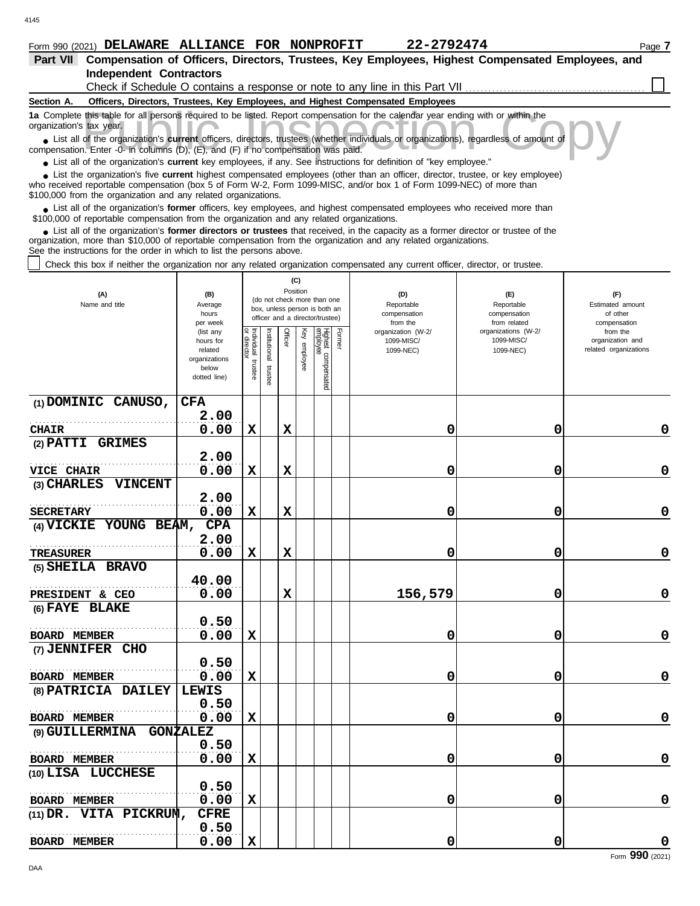## **Part VII Compensation of Officers, Directors, Trustees, Key Employees, Highest Compensated Employees, and Form 990 (2021) DELAWARE ALLIANCE FOR NONPROFIT 22-2792474** Page 7

| <b>Independent Contractors</b><br>Check if Schedule O contains a response or note to any line in this Part VII.                                                                                                                                         |                       |                                   |                       |         |              |                                 |        |                         |                         |                                           |  |  |  |
|---------------------------------------------------------------------------------------------------------------------------------------------------------------------------------------------------------------------------------------------------------|-----------------------|-----------------------------------|-----------------------|---------|--------------|---------------------------------|--------|-------------------------|-------------------------|-------------------------------------------|--|--|--|
| Officers, Directors, Trustees, Key Employees, and Highest Compensated Employees<br>Section A.                                                                                                                                                           |                       |                                   |                       |         |              |                                 |        |                         |                         |                                           |  |  |  |
|                                                                                                                                                                                                                                                         |                       |                                   |                       |         |              |                                 |        |                         |                         |                                           |  |  |  |
| 1a Complete this table for all persons required to be listed. Report compensation for the calendar year ending with or within the<br>organization's tax year.                                                                                           |                       |                                   |                       |         |              |                                 |        |                         |                         |                                           |  |  |  |
| List all of the organization's current officers, directors, trustees (whether individuals or organizations), regardless of amount of                                                                                                                    |                       |                                   |                       |         |              |                                 |        |                         |                         |                                           |  |  |  |
| compensation. Enter -0- in columns (D), (E), and (F) if no compensation was paid.<br>• List all of the organization's current key employees, if any. See instructions for definition of "key employee."                                                 |                       |                                   |                       |         |              |                                 |        |                         |                         |                                           |  |  |  |
| List the organization's five current highest compensated employees (other than an officer, director, trustee, or key employee)                                                                                                                          |                       |                                   |                       |         |              |                                 |        |                         |                         |                                           |  |  |  |
| who received reportable compensation (box 5 of Form W-2, Form 1099-MISC, and/or box 1 of Form 1099-NEC) of more than                                                                                                                                    |                       |                                   |                       |         |              |                                 |        |                         |                         |                                           |  |  |  |
| \$100,000 from the organization and any related organizations.                                                                                                                                                                                          |                       |                                   |                       |         |              |                                 |        |                         |                         |                                           |  |  |  |
| • List all of the organization's former officers, key employees, and highest compensated employees who received more than<br>\$100,000 of reportable compensation from the organization and any related organizations.                                  |                       |                                   |                       |         |              |                                 |        |                         |                         |                                           |  |  |  |
| • List all of the organization's former directors or trustees that received, in the capacity as a former director or trustee of the<br>organization, more than \$10,000 of reportable compensation from the organization and any related organizations. |                       |                                   |                       |         |              |                                 |        |                         |                         |                                           |  |  |  |
| See the instructions for the order in which to list the persons above.                                                                                                                                                                                  |                       |                                   |                       |         |              |                                 |        |                         |                         |                                           |  |  |  |
| Check this box if neither the organization nor any related organization compensated any current officer, director, or trustee.                                                                                                                          |                       |                                   |                       |         |              |                                 |        |                         |                         |                                           |  |  |  |
|                                                                                                                                                                                                                                                         |                       |                                   |                       |         | (C)          |                                 |        |                         |                         |                                           |  |  |  |
| (A)                                                                                                                                                                                                                                                     | (B)                   |                                   |                       |         | Position     |                                 |        | (D)                     | (E)                     | (F)                                       |  |  |  |
| Name and title                                                                                                                                                                                                                                          | Average               |                                   |                       |         |              | (do not check more than one     |        | Reportable              | Reportable              | Estimated amount                          |  |  |  |
| box, unless person is both an<br>compensation<br>compensation<br>of other<br>hours<br>officer and a director/trustee)<br>from the<br>from related<br>per week<br>compensation                                                                           |                       |                                   |                       |         |              |                                 |        |                         |                         |                                           |  |  |  |
|                                                                                                                                                                                                                                                         | (list any             |                                   |                       | Officer |              |                                 | Former | organization (W-2/      | organizations (W-2/     | from the                                  |  |  |  |
|                                                                                                                                                                                                                                                         | hours for<br>related  |                                   |                       |         | Key employee |                                 |        | 1099-MISC/<br>1099-NEC) | 1099-MISC/<br>1099-NEC) | organization and<br>related organizations |  |  |  |
|                                                                                                                                                                                                                                                         | organizations         |                                   |                       |         |              |                                 |        |                         |                         |                                           |  |  |  |
|                                                                                                                                                                                                                                                         | below<br>dotted line) | Individual trustee<br>or director | Institutional trustee |         |              | Highest compensated<br>employee |        |                         |                         |                                           |  |  |  |
|                                                                                                                                                                                                                                                         |                       |                                   |                       |         |              |                                 |        |                         |                         |                                           |  |  |  |
| (1) DOMINIC CANUSO,                                                                                                                                                                                                                                     | <b>CFA</b>            |                                   |                       |         |              |                                 |        |                         |                         |                                           |  |  |  |
|                                                                                                                                                                                                                                                         | 2.00                  |                                   |                       |         |              |                                 |        |                         |                         |                                           |  |  |  |
| <b>CHAIR</b>                                                                                                                                                                                                                                            | 0.00                  | X                                 |                       | X       |              |                                 |        | 0                       | 0                       | 0                                         |  |  |  |
| $(2)$ $PATTI$<br><b>GRIMES</b>                                                                                                                                                                                                                          |                       |                                   |                       |         |              |                                 |        |                         |                         |                                           |  |  |  |
|                                                                                                                                                                                                                                                         | 2.00                  |                                   |                       |         |              |                                 |        |                         |                         |                                           |  |  |  |
| VICE CHAIR                                                                                                                                                                                                                                              | 0.00                  | X                                 |                       | X       |              |                                 |        | 0                       | 0                       | 0                                         |  |  |  |
| (3) CHARLES<br><b>VINCENT</b>                                                                                                                                                                                                                           |                       |                                   |                       |         |              |                                 |        |                         |                         |                                           |  |  |  |
|                                                                                                                                                                                                                                                         | 2.00                  |                                   |                       |         |              |                                 |        |                         |                         |                                           |  |  |  |
| <b>SECRETARY</b>                                                                                                                                                                                                                                        | 0.00                  | X                                 |                       | X       |              |                                 |        | 0                       | 0                       | 0                                         |  |  |  |
| (4) VICKIE YOUNG BEAM,                                                                                                                                                                                                                                  | <b>CPA</b>            |                                   |                       |         |              |                                 |        |                         |                         |                                           |  |  |  |
|                                                                                                                                                                                                                                                         | 2.00                  |                                   |                       |         |              |                                 |        |                         |                         |                                           |  |  |  |
| TREASURER                                                                                                                                                                                                                                               | 0.00                  | X                                 |                       | X       |              |                                 |        | 0                       | 0                       | $\mathbf 0$                               |  |  |  |
| (5) SHEILA BRAVO                                                                                                                                                                                                                                        |                       |                                   |                       |         |              |                                 |        |                         |                         |                                           |  |  |  |
|                                                                                                                                                                                                                                                         | 40.00                 |                                   |                       |         |              |                                 |        |                         |                         |                                           |  |  |  |
| PRESIDENT & CEO                                                                                                                                                                                                                                         | 0.00                  |                                   |                       | X       |              |                                 |        | 156,579                 | 0                       | $\mathbf 0$                               |  |  |  |
| (6) FAYE BLAKE                                                                                                                                                                                                                                          |                       |                                   |                       |         |              |                                 |        |                         |                         |                                           |  |  |  |
|                                                                                                                                                                                                                                                         | 0.50                  |                                   |                       |         |              |                                 |        |                         |                         |                                           |  |  |  |
| <b>BOARD MEMBER</b>                                                                                                                                                                                                                                     | 0.00                  | X                                 |                       |         |              |                                 |        | 0                       | 0                       | $\mathbf 0$                               |  |  |  |
| (7) JENNIFER CHO                                                                                                                                                                                                                                        | 0.50                  |                                   |                       |         |              |                                 |        |                         |                         |                                           |  |  |  |
| BOARD MEMBER                                                                                                                                                                                                                                            | 0.00                  | X                                 |                       |         |              |                                 |        | 0                       | 0                       | $\mathbf 0$                               |  |  |  |
| (8) PATRICIA DAILEY                                                                                                                                                                                                                                     | LEWIS                 |                                   |                       |         |              |                                 |        |                         |                         |                                           |  |  |  |
|                                                                                                                                                                                                                                                         | 0.50                  |                                   |                       |         |              |                                 |        |                         |                         |                                           |  |  |  |
| BOARD MEMBER                                                                                                                                                                                                                                            | 0.00                  | X                                 |                       |         |              |                                 |        | 0                       | 0                       | $\mathbf 0$                               |  |  |  |
| (9) GUILLERMINA GONZALEZ                                                                                                                                                                                                                                |                       |                                   |                       |         |              |                                 |        |                         |                         |                                           |  |  |  |
|                                                                                                                                                                                                                                                         | 0.50                  |                                   |                       |         |              |                                 |        |                         |                         |                                           |  |  |  |
| <b>BOARD MEMBER</b>                                                                                                                                                                                                                                     | 0.00                  | X                                 |                       |         |              |                                 |        | 0                       | 0                       | $\mathbf 0$                               |  |  |  |
| (10) LISA LUCCHESE                                                                                                                                                                                                                                      |                       |                                   |                       |         |              |                                 |        |                         |                         |                                           |  |  |  |
|                                                                                                                                                                                                                                                         | 0.50                  |                                   |                       |         |              |                                 |        |                         |                         |                                           |  |  |  |
| <b>BOARD MEMBER</b>                                                                                                                                                                                                                                     | 0.00                  | X                                 |                       |         |              |                                 |        | 0                       | 0                       | $\mathbf 0$                               |  |  |  |
| $(11)$ DR. VITA PICKRUM,                                                                                                                                                                                                                                | <b>CFRE</b>           |                                   |                       |         |              |                                 |        |                         |                         |                                           |  |  |  |

**(11) DR. VITA PICKRUM, CFRE**

**BOARD MEMBER** 0.00

 $0.50$ <br> $0.00$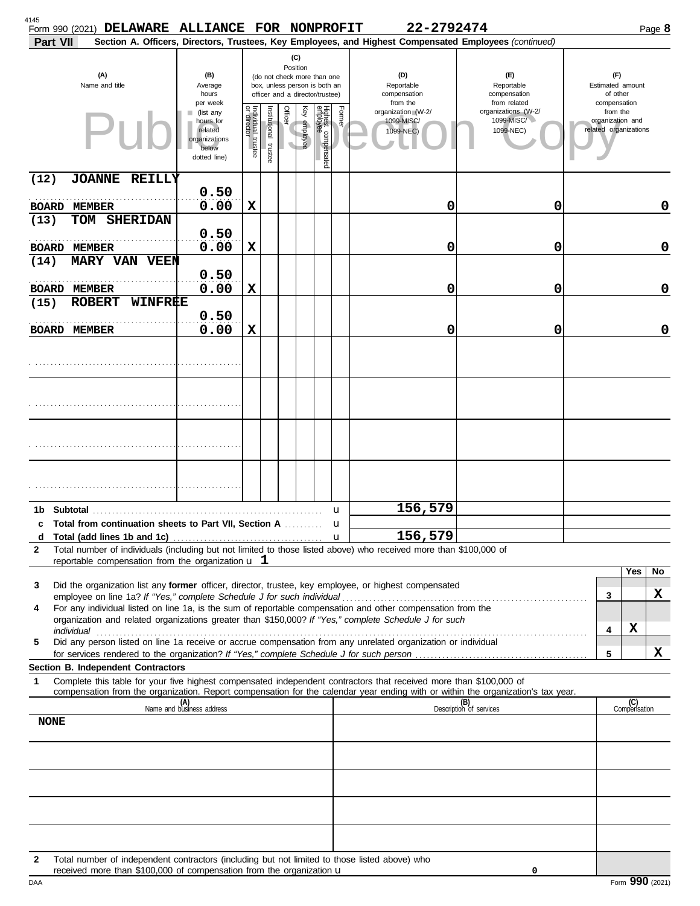| 4145<br>Form 990 (2021) DELAWARE ALLIANCE FOR NONPROFIT<br><b>Part VII</b>                                                                                                                                                |                                                                                                                                                                                                                                                                                                                          |   |  |  |  |                              |                       | 22-2792474<br>Section A. Officers, Directors, Trustees, Key Employees, and Highest Compensated Employees (continued) |                                |                                                     |                     | Page 8 |  |
|---------------------------------------------------------------------------------------------------------------------------------------------------------------------------------------------------------------------------|--------------------------------------------------------------------------------------------------------------------------------------------------------------------------------------------------------------------------------------------------------------------------------------------------------------------------|---|--|--|--|------------------------------|-----------------------|----------------------------------------------------------------------------------------------------------------------|--------------------------------|-----------------------------------------------------|---------------------|--------|--|
| (A)<br>Name and title                                                                                                                                                                                                     | (C)<br>Position<br>(D)<br>(E)<br>(B)<br>(do not check more than one<br>Average<br>box, unless person is both an<br>Reportable<br>Reportable<br>compensation<br>compensation<br>hours<br>officer and a director/trustee)<br>from the<br>from related<br>per week                                                          |   |  |  |  |                              |                       |                                                                                                                      |                                | (F)<br>Estimated amount<br>of other<br>compensation |                     |        |  |
| PII                                                                                                                                                                                                                       | Key employee<br>Individual trustee<br>or director<br>Officer<br>Highest compensated<br>employee<br>Former<br>nstitutional trustee<br>organizations (W-2/<br>organization (W-2/<br>(list any<br>1099-MISC/<br>1099-MISC/<br>hours for<br>related<br>1099-NEC)<br>1099-NEC)<br>organizations<br>V<br>below<br>dotted line) |   |  |  |  | from the<br>organization and | related organizations |                                                                                                                      |                                |                                                     |                     |        |  |
| (12)<br><b>JOANNE REILLY</b>                                                                                                                                                                                              |                                                                                                                                                                                                                                                                                                                          |   |  |  |  |                              |                       |                                                                                                                      |                                |                                                     |                     |        |  |
| <b>MEMBER</b><br>BOARD                                                                                                                                                                                                    | 0.50<br>0.00                                                                                                                                                                                                                                                                                                             | X |  |  |  |                              |                       | 0                                                                                                                    | 0                              |                                                     |                     | 0      |  |
| (13)<br>TOM SHERIDAN                                                                                                                                                                                                      |                                                                                                                                                                                                                                                                                                                          |   |  |  |  |                              |                       |                                                                                                                      |                                |                                                     |                     |        |  |
| <b>BOARD MEMBER</b>                                                                                                                                                                                                       | 0.50<br>0.00                                                                                                                                                                                                                                                                                                             | X |  |  |  |                              |                       | 0                                                                                                                    | 0                              |                                                     |                     | 0      |  |
| MARY VAN VEEN<br>(14)                                                                                                                                                                                                     |                                                                                                                                                                                                                                                                                                                          |   |  |  |  |                              |                       |                                                                                                                      |                                |                                                     |                     |        |  |
| <b>BOARD MEMBER</b>                                                                                                                                                                                                       | 0.50<br>0.00                                                                                                                                                                                                                                                                                                             | X |  |  |  |                              |                       | 0                                                                                                                    | 0                              |                                                     |                     | 0      |  |
| <b>ROBERT</b><br>(15)<br><b>WINFREE</b>                                                                                                                                                                                   | 0.50                                                                                                                                                                                                                                                                                                                     |   |  |  |  |                              |                       |                                                                                                                      |                                |                                                     |                     |        |  |
| <b>BOARD MEMBER</b>                                                                                                                                                                                                       | 0.00                                                                                                                                                                                                                                                                                                                     | X |  |  |  |                              |                       | 0                                                                                                                    | 0                              |                                                     |                     | 0      |  |
|                                                                                                                                                                                                                           |                                                                                                                                                                                                                                                                                                                          |   |  |  |  |                              |                       |                                                                                                                      |                                |                                                     |                     |        |  |
|                                                                                                                                                                                                                           |                                                                                                                                                                                                                                                                                                                          |   |  |  |  |                              |                       |                                                                                                                      |                                |                                                     |                     |        |  |
|                                                                                                                                                                                                                           |                                                                                                                                                                                                                                                                                                                          |   |  |  |  |                              |                       |                                                                                                                      |                                |                                                     |                     |        |  |
|                                                                                                                                                                                                                           |                                                                                                                                                                                                                                                                                                                          |   |  |  |  |                              |                       |                                                                                                                      |                                |                                                     |                     |        |  |
| Subtotal<br>1b                                                                                                                                                                                                            |                                                                                                                                                                                                                                                                                                                          |   |  |  |  |                              | u                     | 156,579                                                                                                              |                                |                                                     |                     |        |  |
| Total from continuation sheets to Part VII, Section A <i>Communi</i><br>c                                                                                                                                                 |                                                                                                                                                                                                                                                                                                                          |   |  |  |  |                              | u                     |                                                                                                                      |                                |                                                     |                     |        |  |
| d                                                                                                                                                                                                                         |                                                                                                                                                                                                                                                                                                                          |   |  |  |  |                              | $\mathbf u$           | 156,579                                                                                                              |                                |                                                     |                     |        |  |
| Total number of individuals (including but not limited to those listed above) who received more than \$100,000 of<br>$\mathbf{2}$<br>reportable compensation from the organization $\bf{u}$ $\bf{1}$                      |                                                                                                                                                                                                                                                                                                                          |   |  |  |  |                              |                       |                                                                                                                      |                                |                                                     |                     |        |  |
| Did the organization list any former officer, director, trustee, key employee, or highest compensated<br>3                                                                                                                |                                                                                                                                                                                                                                                                                                                          |   |  |  |  |                              |                       |                                                                                                                      |                                |                                                     | Yes                 | No     |  |
|                                                                                                                                                                                                                           |                                                                                                                                                                                                                                                                                                                          |   |  |  |  |                              |                       |                                                                                                                      |                                | 3                                                   |                     | X      |  |
| For any individual listed on line 1a, is the sum of reportable compensation and other compensation from the<br>4<br>organization and related organizations greater than \$150,000? If "Yes," complete Schedule J for such |                                                                                                                                                                                                                                                                                                                          |   |  |  |  |                              |                       |                                                                                                                      |                                |                                                     |                     |        |  |
| Did any person listed on line 1a receive or accrue compensation from any unrelated organization or individual<br>5                                                                                                        |                                                                                                                                                                                                                                                                                                                          |   |  |  |  |                              |                       |                                                                                                                      |                                | 4                                                   | х                   |        |  |
|                                                                                                                                                                                                                           |                                                                                                                                                                                                                                                                                                                          |   |  |  |  |                              |                       |                                                                                                                      |                                | 5                                                   |                     | x      |  |
| Section B. Independent Contractors<br>Complete this table for your five highest compensated independent contractors that received more than \$100,000 of<br>1                                                             |                                                                                                                                                                                                                                                                                                                          |   |  |  |  |                              |                       |                                                                                                                      |                                |                                                     |                     |        |  |
| compensation from the organization. Report compensation for the calendar year ending with or within the organization's tax year.                                                                                          |                                                                                                                                                                                                                                                                                                                          |   |  |  |  |                              |                       |                                                                                                                      |                                |                                                     |                     |        |  |
| <b>NONE</b>                                                                                                                                                                                                               | (A)<br>Name and business address                                                                                                                                                                                                                                                                                         |   |  |  |  |                              |                       |                                                                                                                      | (B)<br>Description of services |                                                     | (C)<br>Compensation |        |  |
|                                                                                                                                                                                                                           |                                                                                                                                                                                                                                                                                                                          |   |  |  |  |                              |                       |                                                                                                                      |                                |                                                     |                     |        |  |
|                                                                                                                                                                                                                           |                                                                                                                                                                                                                                                                                                                          |   |  |  |  |                              |                       |                                                                                                                      |                                |                                                     |                     |        |  |
|                                                                                                                                                                                                                           |                                                                                                                                                                                                                                                                                                                          |   |  |  |  |                              |                       |                                                                                                                      |                                |                                                     |                     |        |  |
|                                                                                                                                                                                                                           |                                                                                                                                                                                                                                                                                                                          |   |  |  |  |                              |                       |                                                                                                                      |                                |                                                     |                     |        |  |
|                                                                                                                                                                                                                           |                                                                                                                                                                                                                                                                                                                          |   |  |  |  |                              |                       |                                                                                                                      |                                |                                                     |                     |        |  |
| Total number of independent contractors (including but not limited to those listed above) who<br>2<br>received more than \$100,000 of compensation from the organization <b>u</b>                                         |                                                                                                                                                                                                                                                                                                                          |   |  |  |  |                              |                       |                                                                                                                      | 0                              |                                                     |                     |        |  |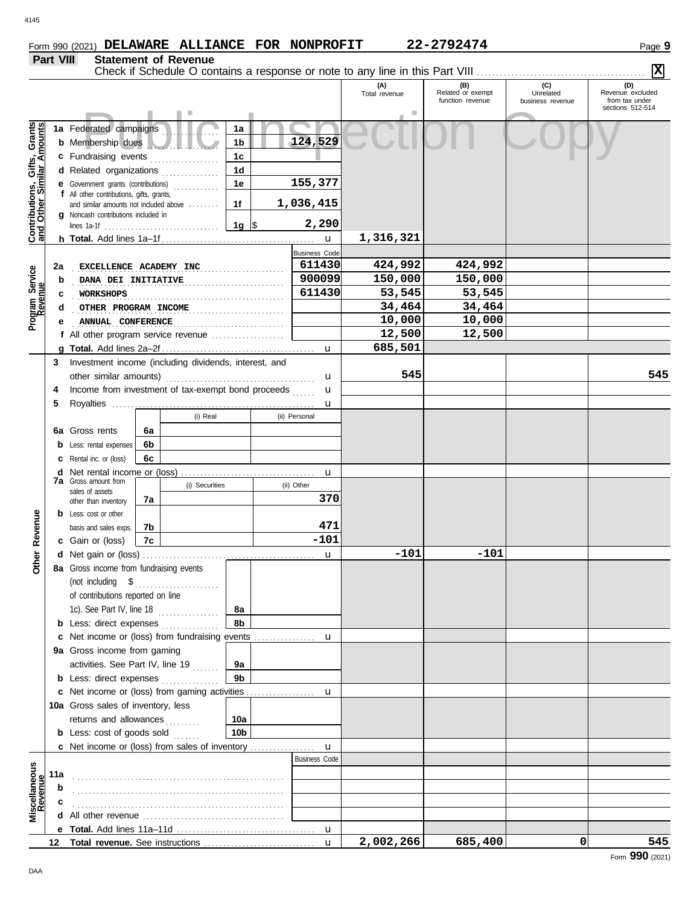Form 990 (2021) **DELAWARE ALLIANCE FOR NONPROFIT** 22-2792474 Page 9 **DELAWARE ALLIANCE FOR NONPROFIT 22-2792474**

|                                                                  | Part VIII |                                                                                                                                                                                                                                    |    | <b>Statement of Revenue</b> |                 |                                      | Check if Schedule O contains a response or note to any line in this Part VIII |                                              |                               | ΙX                                 |
|------------------------------------------------------------------|-----------|------------------------------------------------------------------------------------------------------------------------------------------------------------------------------------------------------------------------------------|----|-----------------------------|-----------------|--------------------------------------|-------------------------------------------------------------------------------|----------------------------------------------|-------------------------------|------------------------------------|
|                                                                  |           |                                                                                                                                                                                                                                    |    |                             |                 |                                      | (A)                                                                           |                                              | (C)                           | (D)                                |
|                                                                  |           |                                                                                                                                                                                                                                    |    |                             |                 |                                      | Total revenue                                                                 | (B)<br>Related or exempt<br>function revenue | Unrelated<br>business revenue | Revenue excluded<br>from tax under |
|                                                                  |           |                                                                                                                                                                                                                                    |    |                             |                 |                                      |                                                                               |                                              |                               | sections 512-514                   |
|                                                                  |           | 1a Federated campaigns                                                                                                                                                                                                             |    |                             | 1a              |                                      |                                                                               |                                              |                               |                                    |
|                                                                  |           | <b>b</b> Membership dues                                                                                                                                                                                                           |    |                             | 1b              | 124,529                              |                                                                               |                                              |                               |                                    |
|                                                                  |           | c Fundraising events                                                                                                                                                                                                               |    |                             | 1 <sub>c</sub>  |                                      |                                                                               |                                              |                               |                                    |
|                                                                  |           | d Related organizations                                                                                                                                                                                                            |    |                             | 1 <sub>d</sub>  |                                      |                                                                               |                                              |                               |                                    |
|                                                                  |           | e Government grants (contributions)                                                                                                                                                                                                |    |                             | 1e              | 155,377                              |                                                                               |                                              |                               |                                    |
|                                                                  |           | f All other contributions, gifts, grants,                                                                                                                                                                                          |    |                             |                 |                                      |                                                                               |                                              |                               |                                    |
|                                                                  |           | and similar amounts not included above<br><b>g</b> Noncash contributions included in                                                                                                                                               |    |                             | 1f              | 1,036,415                            |                                                                               |                                              |                               |                                    |
| <b>Contributions, Gifts, Grants</b><br>and Other Similar Amounts |           |                                                                                                                                                                                                                                    |    |                             | 1g $\sqrt{5}$   | 2,290                                |                                                                               |                                              |                               |                                    |
|                                                                  |           |                                                                                                                                                                                                                                    |    |                             |                 | $\mathbf{u}$                         | 1,316,321                                                                     |                                              |                               |                                    |
|                                                                  |           |                                                                                                                                                                                                                                    |    |                             |                 | <b>Business Code</b>                 |                                                                               |                                              |                               |                                    |
|                                                                  | 2a        | EXCELLENCE ACADEMY INC                                                                                                                                                                                                             |    |                             |                 | 611430                               | 424,992                                                                       | 424,992                                      |                               |                                    |
|                                                                  | b         | DANA DEI INITIATIVE                                                                                                                                                                                                                |    | .                           |                 | 900099                               | 150,000                                                                       | 150,000                                      |                               |                                    |
|                                                                  | c         | <b>WORKSHOPS</b>                                                                                                                                                                                                                   |    |                             |                 | 611430                               | 53,545                                                                        | 53,545                                       |                               |                                    |
|                                                                  | d         | OTHER PROGRAM INCOME                                                                                                                                                                                                               |    |                             |                 |                                      | 34,464                                                                        | 34,464                                       |                               |                                    |
| Program Service<br>Revenue                                       | е         | ANNUAL CONFERENCE                                                                                                                                                                                                                  |    |                             |                 |                                      | 10,000                                                                        | 10,000                                       |                               |                                    |
|                                                                  |           | f All other program service revenue                                                                                                                                                                                                |    |                             |                 |                                      | 12,500                                                                        | 12,500                                       |                               |                                    |
|                                                                  |           |                                                                                                                                                                                                                                    |    |                             |                 | $\mathbf{u}$                         | 685,501                                                                       |                                              |                               |                                    |
|                                                                  | 3         | Investment income (including dividends, interest, and                                                                                                                                                                              |    |                             |                 |                                      |                                                                               |                                              |                               |                                    |
|                                                                  |           |                                                                                                                                                                                                                                    |    |                             |                 | u                                    | 545                                                                           |                                              |                               | 545                                |
|                                                                  | 4         | Income from investment of tax-exempt bond proceeds                                                                                                                                                                                 |    |                             |                 | $\mathbf{u}$                         |                                                                               |                                              |                               |                                    |
|                                                                  | 5         |                                                                                                                                                                                                                                    |    |                             |                 | u                                    |                                                                               |                                              |                               |                                    |
|                                                                  |           |                                                                                                                                                                                                                                    |    | (i) Real                    |                 | (ii) Personal                        |                                                                               |                                              |                               |                                    |
|                                                                  |           | 6a Gross rents                                                                                                                                                                                                                     | 6a |                             |                 |                                      |                                                                               |                                              |                               |                                    |
|                                                                  |           | <b>b</b> Less: rental expenses                                                                                                                                                                                                     | 6b |                             |                 |                                      |                                                                               |                                              |                               |                                    |
|                                                                  |           | <b>c</b> Rental inc. or (loss)                                                                                                                                                                                                     | 6c |                             |                 |                                      |                                                                               |                                              |                               |                                    |
|                                                                  |           | <b>7a</b> Gross amount from                                                                                                                                                                                                        |    | (i) Securities              |                 | u<br>(ii) Other                      |                                                                               |                                              |                               |                                    |
|                                                                  |           | sales of assets<br>other than inventory                                                                                                                                                                                            | 7a |                             |                 | 370                                  |                                                                               |                                              |                               |                                    |
|                                                                  |           | <b>b</b> Less: cost or other                                                                                                                                                                                                       |    |                             |                 |                                      |                                                                               |                                              |                               |                                    |
|                                                                  |           | basis and sales exps.                                                                                                                                                                                                              | 7b |                             |                 | 471                                  |                                                                               |                                              |                               |                                    |
| Revenue                                                          |           | c Gain or (loss)                                                                                                                                                                                                                   | 7c |                             |                 | $-101$                               |                                                                               |                                              |                               |                                    |
|                                                                  |           |                                                                                                                                                                                                                                    |    |                             |                 | u                                    | $-101$                                                                        | $-101$                                       |                               |                                    |
| Other                                                            |           | 8a Gross income from fundraising events                                                                                                                                                                                            |    |                             |                 |                                      |                                                                               |                                              |                               |                                    |
|                                                                  |           | (not including $$$                                                                                                                                                                                                                 |    | .                           |                 |                                      |                                                                               |                                              |                               |                                    |
|                                                                  |           | of contributions reported on line                                                                                                                                                                                                  |    |                             |                 |                                      |                                                                               |                                              |                               |                                    |
|                                                                  |           | 1c). See Part IV, line 18                                                                                                                                                                                                          |    |                             | 8а              |                                      |                                                                               |                                              |                               |                                    |
|                                                                  |           | <b>b</b> Less: direct expenses                                                                                                                                                                                                     |    |                             | 8b              |                                      |                                                                               |                                              |                               |                                    |
|                                                                  |           | c Net income or (loss) from fundraising events                                                                                                                                                                                     |    |                             |                 | u                                    |                                                                               |                                              |                               |                                    |
|                                                                  |           | 9a Gross income from gaming                                                                                                                                                                                                        |    |                             |                 |                                      |                                                                               |                                              |                               |                                    |
|                                                                  |           | activities. See Part IV, line 19                                                                                                                                                                                                   |    |                             | 9а              |                                      |                                                                               |                                              |                               |                                    |
|                                                                  |           | <b>b</b> Less: direct expenses                                                                                                                                                                                                     |    |                             | 9 <sub>b</sub>  |                                      |                                                                               |                                              |                               |                                    |
|                                                                  |           | c Net income or (loss) from gaming activities                                                                                                                                                                                      |    |                             |                 | u                                    |                                                                               |                                              |                               |                                    |
|                                                                  |           | 10a Gross sales of inventory, less                                                                                                                                                                                                 |    |                             |                 |                                      |                                                                               |                                              |                               |                                    |
|                                                                  |           | returns and allowances                                                                                                                                                                                                             |    |                             | 10a             |                                      |                                                                               |                                              |                               |                                    |
|                                                                  |           | <b>b</b> Less: cost of goods sold                                                                                                                                                                                                  |    |                             | 10 <sub>b</sub> |                                      |                                                                               |                                              |                               |                                    |
|                                                                  |           | c Net income or (loss) from sales of inventory                                                                                                                                                                                     |    |                             |                 | $\mathbf{u}$<br><b>Business Code</b> |                                                                               |                                              |                               |                                    |
|                                                                  |           |                                                                                                                                                                                                                                    |    |                             |                 |                                      |                                                                               |                                              |                               |                                    |
|                                                                  | 11a       |                                                                                                                                                                                                                                    |    |                             |                 |                                      |                                                                               |                                              |                               |                                    |
| Miscellaneous<br>Revenue                                         | b         |                                                                                                                                                                                                                                    |    |                             |                 |                                      |                                                                               |                                              |                               |                                    |
|                                                                  | d         | All other revenue <i>containance</i> and the container and the container and the container and the container and the container and the container and the container and the container and the container and container and container |    |                             |                 |                                      |                                                                               |                                              |                               |                                    |
|                                                                  |           |                                                                                                                                                                                                                                    |    |                             |                 | u                                    |                                                                               |                                              |                               |                                    |
|                                                                  |           |                                                                                                                                                                                                                                    |    |                             |                 | $\mathbf{u}$                         | 2,002,266                                                                     | 685,400                                      | 0                             | 545                                |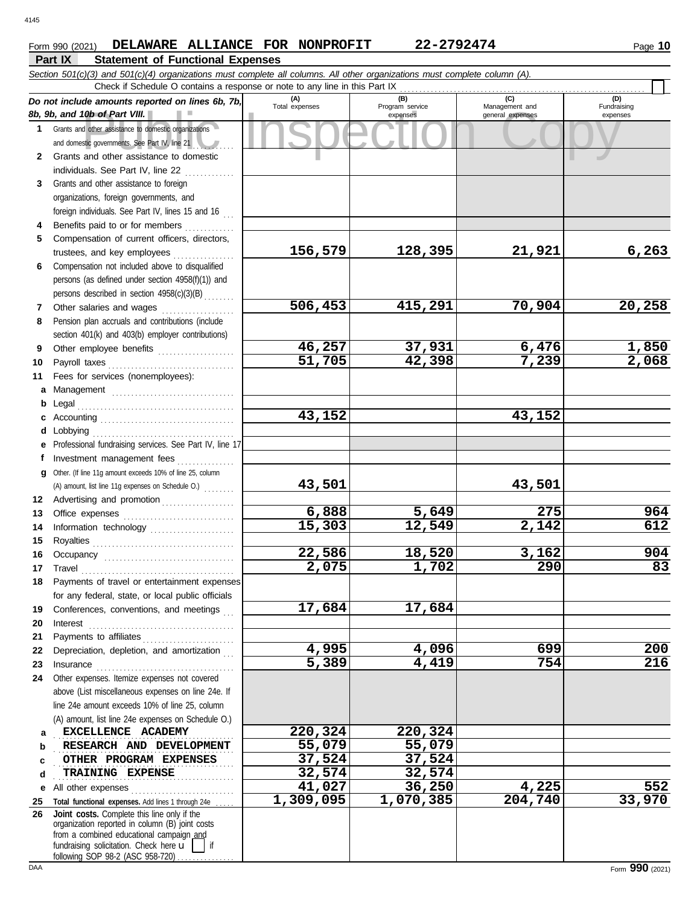# **Part IX Statement of Functional Expenses Form 990 (2021) DELAWARE ALLIANCE FOR NONPROFIT 22-2792474** Page 10

|    | Section 501(c)(3) and 501(c)(4) organizations must complete all columns. All other organizations must complete column (A).                                                                                                                                                                                                                                                                                                                                                                                                  |                       |                        |                       |                    |
|----|-----------------------------------------------------------------------------------------------------------------------------------------------------------------------------------------------------------------------------------------------------------------------------------------------------------------------------------------------------------------------------------------------------------------------------------------------------------------------------------------------------------------------------|-----------------------|------------------------|-----------------------|--------------------|
|    | Check if Schedule O contains a response or note to any line in this Part IX                                                                                                                                                                                                                                                                                                                                                                                                                                                 |                       |                        |                       |                    |
|    | Do not include amounts reported on lines 6b, 7b,                                                                                                                                                                                                                                                                                                                                                                                                                                                                            | (A)<br>Total expenses | (B)<br>Program service | (C)<br>Management and | (D)<br>Fundraising |
|    | 8b, 9b, and 10b of Part VIII.<br><b>The State</b>                                                                                                                                                                                                                                                                                                                                                                                                                                                                           |                       | expenses               | general expenses      | expenses           |
| 1  | Grants and other assistance to domestic organizations                                                                                                                                                                                                                                                                                                                                                                                                                                                                       |                       |                        |                       |                    |
|    | and domestic governments. See Part IV, line 21                                                                                                                                                                                                                                                                                                                                                                                                                                                                              |                       |                        |                       |                    |
| 2  | Grants and other assistance to domestic                                                                                                                                                                                                                                                                                                                                                                                                                                                                                     |                       |                        |                       |                    |
|    | individuals. See Part IV, line 22                                                                                                                                                                                                                                                                                                                                                                                                                                                                                           |                       |                        |                       |                    |
| 3  | Grants and other assistance to foreign                                                                                                                                                                                                                                                                                                                                                                                                                                                                                      |                       |                        |                       |                    |
|    | organizations, foreign governments, and                                                                                                                                                                                                                                                                                                                                                                                                                                                                                     |                       |                        |                       |                    |
|    | foreign individuals. See Part IV, lines 15 and 16                                                                                                                                                                                                                                                                                                                                                                                                                                                                           |                       |                        |                       |                    |
| 5  | Benefits paid to or for members<br>Compensation of current officers, directors,                                                                                                                                                                                                                                                                                                                                                                                                                                             |                       |                        |                       |                    |
|    | trustees, and key employees                                                                                                                                                                                                                                                                                                                                                                                                                                                                                                 | 156,579               | 128,395                | 21,921                | 6,263              |
| 6  | Compensation not included above to disqualified                                                                                                                                                                                                                                                                                                                                                                                                                                                                             |                       |                        |                       |                    |
|    | persons (as defined under section 4958(f)(1)) and                                                                                                                                                                                                                                                                                                                                                                                                                                                                           |                       |                        |                       |                    |
|    | persons described in section 4958(c)(3)(B)                                                                                                                                                                                                                                                                                                                                                                                                                                                                                  |                       |                        |                       |                    |
| 7  | Other salaries and wages                                                                                                                                                                                                                                                                                                                                                                                                                                                                                                    | 506,453               | 415,291                | 70,904                | 20,258             |
| 8  | Pension plan accruals and contributions (include                                                                                                                                                                                                                                                                                                                                                                                                                                                                            |                       |                        |                       |                    |
|    | section 401(k) and 403(b) employer contributions)                                                                                                                                                                                                                                                                                                                                                                                                                                                                           |                       |                        |                       |                    |
| 9  | Other employee benefits                                                                                                                                                                                                                                                                                                                                                                                                                                                                                                     | 46,257                | 37,931                 | 6,476                 | 1,850              |
| 10 |                                                                                                                                                                                                                                                                                                                                                                                                                                                                                                                             | 51,705                | 42,398                 | 7,239                 | 2,068              |
| 11 | Fees for services (nonemployees):                                                                                                                                                                                                                                                                                                                                                                                                                                                                                           |                       |                        |                       |                    |
| a  |                                                                                                                                                                                                                                                                                                                                                                                                                                                                                                                             |                       |                        |                       |                    |
| b  |                                                                                                                                                                                                                                                                                                                                                                                                                                                                                                                             |                       |                        |                       |                    |
|    |                                                                                                                                                                                                                                                                                                                                                                                                                                                                                                                             | 43,152                |                        | 43,152                |                    |
| d  | Lobbying                                                                                                                                                                                                                                                                                                                                                                                                                                                                                                                    |                       |                        |                       |                    |
|    | Professional fundraising services. See Part IV, line 17                                                                                                                                                                                                                                                                                                                                                                                                                                                                     |                       |                        |                       |                    |
| f  | Investment management fees                                                                                                                                                                                                                                                                                                                                                                                                                                                                                                  |                       |                        |                       |                    |
| q  | Other. (If line 11g amount exceeds 10% of line 25, column                                                                                                                                                                                                                                                                                                                                                                                                                                                                   |                       |                        |                       |                    |
|    | (A) amount, list line 11g expenses on Schedule O.)                                                                                                                                                                                                                                                                                                                                                                                                                                                                          | 43,501                |                        | 43,501                |                    |
| 12 | Advertising and promotion                                                                                                                                                                                                                                                                                                                                                                                                                                                                                                   |                       |                        |                       |                    |
| 13 |                                                                                                                                                                                                                                                                                                                                                                                                                                                                                                                             | 6,888                 | 5,649                  | 275                   | 964                |
| 14 | Information technology                                                                                                                                                                                                                                                                                                                                                                                                                                                                                                      | 15,303                | 12,549                 | 2,142                 | 612                |
| 15 |                                                                                                                                                                                                                                                                                                                                                                                                                                                                                                                             |                       |                        |                       |                    |
| 16 |                                                                                                                                                                                                                                                                                                                                                                                                                                                                                                                             | 22,586                | 18,520                 | 3,162                 | 904                |
| 17 | $\begin{minipage}[c]{0.9\linewidth} \begin{tabular}{l} \textbf{Travel} \end{tabular} \end{minipage} \end{minipage} \begin{minipage}[c]{0.9\linewidth} \begin{tabular}{l} \textbf{True} \end{tabular} \end{minipage} \end{minipage} \begin{minipage}[c]{0.9\linewidth} \begin{tabular}{l} \textbf{True} \end{tabular} \end{minipage} \end{minipage} \begin{minipage}[c]{0.9\linewidth} \begin{tabular}{l} \textbf{True} \end{tabular} \end{minipage} \end{minipage} \begin{minipage}[c]{0.9\linewidth} \begin{tabular}{l} \$ | 2,075                 | 1,702                  | 290                   | 83                 |
| 18 | Payments of travel or entertainment expenses                                                                                                                                                                                                                                                                                                                                                                                                                                                                                |                       |                        |                       |                    |
|    | for any federal, state, or local public officials                                                                                                                                                                                                                                                                                                                                                                                                                                                                           |                       |                        |                       |                    |
| 19 | Conferences, conventions, and meetings                                                                                                                                                                                                                                                                                                                                                                                                                                                                                      | 17,684                | 17,684                 |                       |                    |
| 20 | $\textbf{Interest} \hspace{0.05in} \ldots \hspace{0.05in} \ldots \hspace{0.05in} \ldots \hspace{0.05in} \ldots \hspace{0.05in} \ldots \hspace{0.05in} \ldots \hspace{0.05in} \ldots \hspace{0.05in} \ldots \hspace{0.05in} \ldots \hspace{0.05in} \ldots$                                                                                                                                                                                                                                                                   |                       |                        |                       |                    |
| 21 |                                                                                                                                                                                                                                                                                                                                                                                                                                                                                                                             |                       |                        |                       |                    |
| 22 | Depreciation, depletion, and amortization                                                                                                                                                                                                                                                                                                                                                                                                                                                                                   | 4,995                 | 4,096                  | 699                   | 200                |
| 23 | Insurance with a continuum and the continuum of the continuum of the continuum of the continuum of the continuum of the continuum of the continuum of the continuum of the continuum of the continuum of the continuum of the                                                                                                                                                                                                                                                                                               | 5,389                 | 4,419                  | 754                   | 216                |
| 24 | Other expenses. Itemize expenses not covered                                                                                                                                                                                                                                                                                                                                                                                                                                                                                |                       |                        |                       |                    |
|    | above (List miscellaneous expenses on line 24e. If                                                                                                                                                                                                                                                                                                                                                                                                                                                                          |                       |                        |                       |                    |
|    | line 24e amount exceeds 10% of line 25, column                                                                                                                                                                                                                                                                                                                                                                                                                                                                              |                       |                        |                       |                    |
|    | (A) amount, list line 24e expenses on Schedule O.)                                                                                                                                                                                                                                                                                                                                                                                                                                                                          |                       |                        |                       |                    |
| а  | EXCELLENCE ACADEMY                                                                                                                                                                                                                                                                                                                                                                                                                                                                                                          | 220,324               | 220,324                |                       |                    |
| b  | RESEARCH AND DEVELOPMENT                                                                                                                                                                                                                                                                                                                                                                                                                                                                                                    | 55,079                | 55,079                 |                       |                    |
| c  | OTHER PROGRAM EXPENSES                                                                                                                                                                                                                                                                                                                                                                                                                                                                                                      | 37,524                | 37,524                 |                       |                    |
| d  | TRAINING EXPENSE                                                                                                                                                                                                                                                                                                                                                                                                                                                                                                            | 32,574                | 32,574                 |                       |                    |
| е  | All other expenses                                                                                                                                                                                                                                                                                                                                                                                                                                                                                                          | 41,027                | 36,250                 | 4,225                 | 552                |
| 25 | Total functional expenses. Add lines 1 through 24e                                                                                                                                                                                                                                                                                                                                                                                                                                                                          | 1,309,095             | 1,070,385              | 204,740               | 33,970             |
| 26 | Joint costs. Complete this line only if the<br>organization reported in column (B) joint costs                                                                                                                                                                                                                                                                                                                                                                                                                              |                       |                        |                       |                    |
|    | from a combined educational campaign and                                                                                                                                                                                                                                                                                                                                                                                                                                                                                    |                       |                        |                       |                    |
|    | fundraising solicitation. Check here u                                                                                                                                                                                                                                                                                                                                                                                                                                                                                      |                       |                        |                       |                    |
|    | following SOP 98-2 (ASC 958-720)                                                                                                                                                                                                                                                                                                                                                                                                                                                                                            |                       |                        |                       |                    |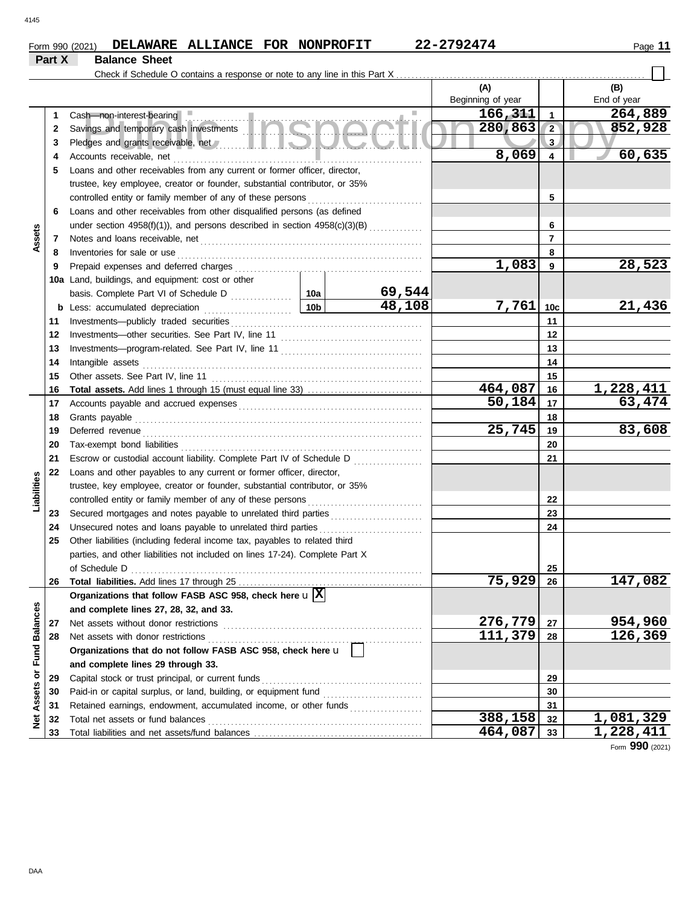| Form 990 (2021) | <b>DELAWARE</b>      | <b>ALLIANCE FOR</b> | NONPROFIT | $-2792474$<br>$22 -$ | Page |
|-----------------|----------------------|---------------------|-----------|----------------------|------|
| Part X          | <b>Balance Sheet</b> |                     |           |                      |      |

|                             |    |                                                                                                                            |   |                                            | (A)               |                | (B)         |
|-----------------------------|----|----------------------------------------------------------------------------------------------------------------------------|---|--------------------------------------------|-------------------|----------------|-------------|
|                             |    |                                                                                                                            |   |                                            | Beginning of year |                | End of year |
|                             | 1  |                                                                                                                            |   |                                            | 166,311           | $\mathbf{1}$   | 264,889     |
|                             | 2  | Cash—non-interest-bearing<br>Savings and temporary cash investments                                                        |   |                                            | 280,863           | $\sqrt{2}$     | 852,928     |
|                             | 3  | Pledges and grants receivable, net <b>All and School and School and School and School and School and School and School</b> |   |                                            | 3                 |                |             |
|                             | 4  | Accounts receivable, net                                                                                                   |   |                                            | 8,069             | 4              | 60,635      |
|                             | 5  | Loans and other receivables from any current or former officer, director,                                                  |   |                                            |                   |                |             |
|                             |    | trustee, key employee, creator or founder, substantial contributor, or 35%                                                 |   |                                            |                   |                |             |
|                             |    | controlled entity or family member of any of these persons                                                                 | 5 |                                            |                   |                |             |
|                             | 6  | Loans and other receivables from other disqualified persons (as defined                                                    |   |                                            |                   |                |             |
|                             |    | under section 4958(f)(1)), and persons described in section 4958(c)(3)(B)                                                  |   |                                            |                   | 6              |             |
| Assets                      | 7  | Notes and loans receivable, net                                                                                            |   |                                            |                   | $\overline{7}$ |             |
|                             | 8  | Inventories for sale or use                                                                                                |   |                                            |                   | 8              |             |
|                             | 9  | Prepaid expenses and deferred charges                                                                                      |   |                                            | 1,083             | 9              | 28,523      |
|                             |    | 10a Land, buildings, and equipment: cost or other                                                                          |   |                                            |                   |                |             |
|                             |    |                                                                                                                            |   | 69,544                                     |                   |                |             |
|                             |    |                                                                                                                            |   | 48,108                                     | 7,761             | 10c            | 21,436      |
|                             | 11 | Investments-publicly traded securities                                                                                     |   |                                            |                   | 11             |             |
|                             | 12 |                                                                                                                            |   |                                            |                   | 12             |             |
|                             | 13 |                                                                                                                            |   |                                            |                   | 13             |             |
|                             | 14 | Intangible assets                                                                                                          |   |                                            | 14                |                |             |
|                             | 15 | Other assets. See Part IV, line 11                                                                                         |   |                                            |                   | 15             |             |
|                             | 16 |                                                                                                                            |   |                                            | 464,087           | 16             | 1,228,411   |
|                             | 17 |                                                                                                                            |   |                                            | 50,184            | 17             | 63,474      |
|                             | 18 | Grants payable                                                                                                             |   | 18                                         |                   |                |             |
|                             | 19 | Deferred revenue                                                                                                           |   | 25,745                                     | 19                | 83,608         |             |
|                             | 20 | Tax-exempt bond liabilities                                                                                                |   |                                            |                   | 20             |             |
|                             | 21 | Escrow or custodial account liability. Complete Part IV of Schedule D                                                      |   | <u> 1999 - Johann Stoff, ameri</u> kansk f |                   | 21             |             |
|                             | 22 | Loans and other payables to any current or former officer, director,                                                       |   |                                            |                   |                |             |
| Liabilities                 |    | trustee, key employee, creator or founder, substantial contributor, or 35%                                                 |   |                                            |                   |                |             |
|                             |    | controlled entity or family member of any of these persons                                                                 |   |                                            |                   | 22             |             |
|                             | 23 |                                                                                                                            |   |                                            |                   | 23             |             |
|                             | 24 | Unsecured notes and loans payable to unrelated third parties                                                               |   |                                            |                   | 24             |             |
|                             | 25 | Other liabilities (including federal income tax, payables to related third                                                 |   |                                            |                   |                |             |
|                             |    | parties, and other liabilities not included on lines 17-24). Complete Part X                                               |   |                                            |                   |                |             |
|                             |    | of Schedule D                                                                                                              |   |                                            |                   | 25             |             |
|                             | 26 |                                                                                                                            |   |                                            | 75,929            | 26             | 147,082     |
|                             |    | Organizations that follow FASB ASC 958, check here $\mathbf{u} \mathbf{X}$                                                 |   |                                            |                   |                |             |
|                             |    | and complete lines 27, 28, 32, and 33.                                                                                     |   |                                            |                   |                |             |
|                             | 27 | Net assets without donor restrictions                                                                                      |   |                                            | 276,779           | 27             | 954,960     |
|                             | 28 | Net assets with donor restrictions                                                                                         |   |                                            | 111,379           | 28             | 126,369     |
|                             |    | Organizations that do not follow FASB ASC 958, check here u                                                                |   |                                            |                   |                |             |
|                             |    | and complete lines 29 through 33.                                                                                          |   |                                            |                   |                |             |
|                             | 29 | Capital stock or trust principal, or current funds                                                                         |   |                                            |                   | 29             |             |
|                             | 30 |                                                                                                                            |   |                                            |                   | 30             |             |
| Net Assets or Fund Balances | 31 | Retained earnings, endowment, accumulated income, or other funds                                                           |   |                                            |                   | 31             |             |
|                             | 32 | Total net assets or fund balances                                                                                          |   |                                            | 388,158           | 32             | 1,081,329   |
|                             | 33 |                                                                                                                            |   |                                            | 464,087           | 33             | 1,228,411   |

Form **990** (2021)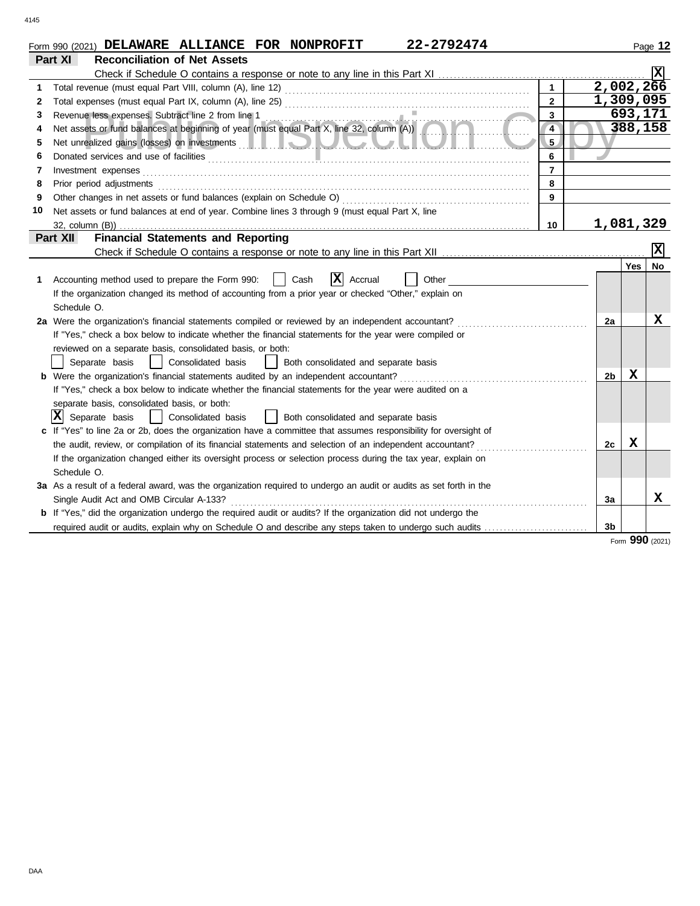|    | 22-2792474<br>Form 990 (2021) DELAWARE ALLIANCE FOR NONPROFIT                                                                                   |                |  |           |     | Page 12                 |
|----|-------------------------------------------------------------------------------------------------------------------------------------------------|----------------|--|-----------|-----|-------------------------|
|    | <b>Reconciliation of Net Assets</b><br>Part XI                                                                                                  |                |  |           |     |                         |
|    |                                                                                                                                                 |                |  |           |     | ΙX                      |
| 1  |                                                                                                                                                 | $\mathbf{1}$   |  | 2,002,266 |     |                         |
| 2  |                                                                                                                                                 | $\overline{2}$ |  |           |     | 1,309,095<br>693,171    |
| 3  | Revenue less expenses. Subtract line 2 from line 1<br>3                                                                                         |                |  |           |     |                         |
| 4  | Revenue less expenses. Subtract line 2 from line 1<br>Net assets or fund balances at beginning of year (must equal Part X, line 32, column (A)) | $\overline{4}$ |  |           |     | 388,158                 |
| 5  |                                                                                                                                                 | 5              |  |           |     |                         |
| 6  |                                                                                                                                                 | 6              |  |           |     |                         |
| 7  | Investment expenses                                                                                                                             | $\overline{7}$ |  |           |     |                         |
| 8  | Prior period adjustments                                                                                                                        | 8              |  |           |     |                         |
| 9  |                                                                                                                                                 | 9              |  |           |     |                         |
| 10 | Net assets or fund balances at end of year. Combine lines 3 through 9 (must equal Part X, line                                                  |                |  |           |     |                         |
|    |                                                                                                                                                 | 10             |  | 1,081,329 |     |                         |
|    | <b>Financial Statements and Reporting</b><br>Part XII                                                                                           |                |  |           |     |                         |
|    |                                                                                                                                                 |                |  |           |     | $\overline{\mathbf{x}}$ |
|    |                                                                                                                                                 |                |  |           | Yes | No                      |
| 1. | ΙXΙ<br>Accounting method used to prepare the Form 990:<br>Cash<br>Accrual<br>Other                                                              |                |  |           |     |                         |
|    | If the organization changed its method of accounting from a prior year or checked "Other," explain on                                           |                |  |           |     |                         |
|    | Schedule O.                                                                                                                                     |                |  |           |     |                         |
|    | 2a Were the organization's financial statements compiled or reviewed by an independent accountant?                                              |                |  | 2a        |     | X                       |
|    | If "Yes," check a box below to indicate whether the financial statements for the year were compiled or                                          |                |  |           |     |                         |
|    | reviewed on a separate basis, consolidated basis, or both:                                                                                      |                |  |           |     |                         |
|    | Separate basis<br>Consolidated basis<br>Both consolidated and separate basis                                                                    |                |  |           |     |                         |
|    | <b>b</b> Were the organization's financial statements audited by an independent accountant?                                                     |                |  | 2b        | X   |                         |
|    | If "Yes," check a box below to indicate whether the financial statements for the year were audited on a                                         |                |  |           |     |                         |
|    | separate basis, consolidated basis, or both:                                                                                                    |                |  |           |     |                         |
|    | $ \mathbf{X} $ Separate basis<br>Both consolidated and separate basis<br>Consolidated basis                                                     |                |  |           |     |                         |
|    | c If "Yes" to line 2a or 2b, does the organization have a committee that assumes responsibility for oversight of                                |                |  |           |     |                         |
|    | the audit, review, or compilation of its financial statements and selection of an independent accountant?                                       |                |  | 2c        | X   |                         |
|    | If the organization changed either its oversight process or selection process during the tax year, explain on                                   |                |  |           |     |                         |
|    | Schedule O.                                                                                                                                     |                |  |           |     |                         |
|    | 3a As a result of a federal award, was the organization required to undergo an audit or audits as set forth in the                              |                |  |           |     |                         |
|    | Single Audit Act and OMB Circular A-133?                                                                                                        |                |  | Зa        |     | X                       |
|    | <b>b</b> If "Yes," did the organization undergo the required audit or audits? If the organization did not undergo the                           |                |  |           |     |                         |
|    | required audit or audits, explain why on Schedule O and describe any steps taken to undergo such audits                                         |                |  | 3b        |     |                         |
|    |                                                                                                                                                 |                |  |           |     | Form 990 (2021)         |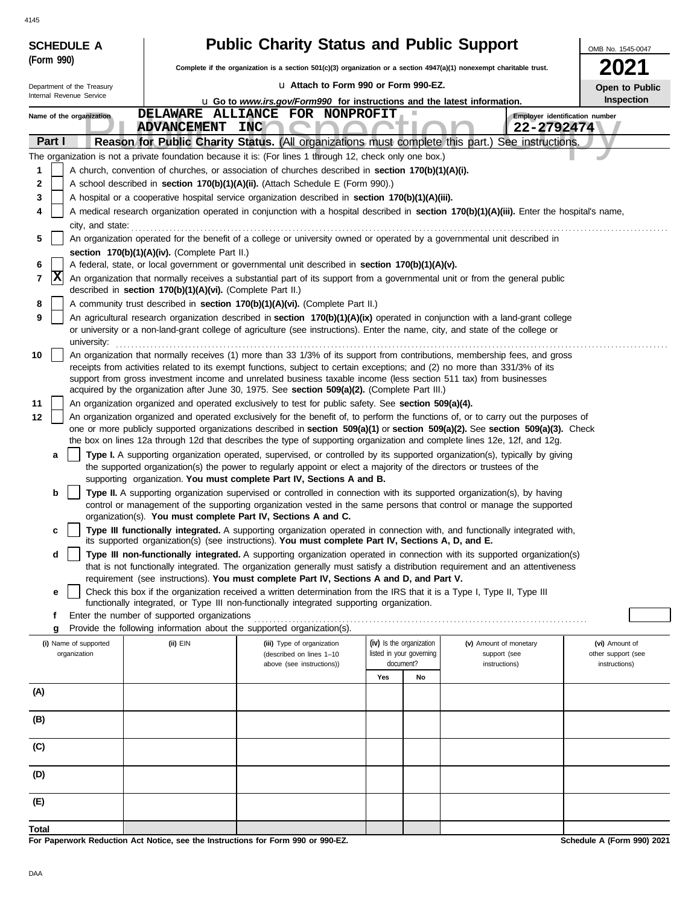| <b>SCHEDULE A</b>                                                                                                                      |                  |                                                            | <b>Public Charity Status and Public Support</b>                                                                                                                                                                     |                                                                   |    |                                                                                                                                                                                                                                                                       | OMB No. 1545-0047                                     |
|----------------------------------------------------------------------------------------------------------------------------------------|------------------|------------------------------------------------------------|---------------------------------------------------------------------------------------------------------------------------------------------------------------------------------------------------------------------|-------------------------------------------------------------------|----|-----------------------------------------------------------------------------------------------------------------------------------------------------------------------------------------------------------------------------------------------------------------------|-------------------------------------------------------|
| (Form 990)<br>Complete if the organization is a section $501(c)(3)$ organization or a section $4947(a)(1)$ nonexempt charitable trust. |                  |                                                            |                                                                                                                                                                                                                     | 2021                                                              |    |                                                                                                                                                                                                                                                                       |                                                       |
| Department of the Treasury                                                                                                             |                  |                                                            | La Attach to Form 990 or Form 990-EZ.                                                                                                                                                                               |                                                                   |    |                                                                                                                                                                                                                                                                       | Open to Public                                        |
| Internal Revenue Service                                                                                                               |                  |                                                            | u Go to www.irs.gov/Form990 for instructions and the latest information.                                                                                                                                            |                                                                   |    |                                                                                                                                                                                                                                                                       | Inspection                                            |
| Name of the organization                                                                                                               |                  |                                                            | DELAWARE ALLIANCE FOR NONPROFIT                                                                                                                                                                                     |                                                                   |    | Employer identification number                                                                                                                                                                                                                                        |                                                       |
|                                                                                                                                        |                  | <b>ADVANCEMENT</b>                                         | <b>INC</b>                                                                                                                                                                                                          |                                                                   |    | 22-2792474                                                                                                                                                                                                                                                            |                                                       |
| Part I                                                                                                                                 |                  |                                                            | The organization is not a private foundation because it is: (For lines 1 through 12, check only one box.)                                                                                                           |                                                                   |    | Reason for Public Charity Status. (All organizations must complete this part.) See instructions.                                                                                                                                                                      |                                                       |
| 1                                                                                                                                      |                  |                                                            | A church, convention of churches, or association of churches described in section 170(b)(1)(A)(i).                                                                                                                  |                                                                   |    |                                                                                                                                                                                                                                                                       |                                                       |
| 2                                                                                                                                      |                  |                                                            | A school described in section 170(b)(1)(A)(ii). (Attach Schedule E (Form 990).)                                                                                                                                     |                                                                   |    |                                                                                                                                                                                                                                                                       |                                                       |
| 3                                                                                                                                      |                  |                                                            | A hospital or a cooperative hospital service organization described in section 170(b)(1)(A)(iii).                                                                                                                   |                                                                   |    |                                                                                                                                                                                                                                                                       |                                                       |
| 4                                                                                                                                      | city, and state: |                                                            |                                                                                                                                                                                                                     |                                                                   |    | A medical research organization operated in conjunction with a hospital described in section 170(b)(1)(A)(iii). Enter the hospital's name,                                                                                                                            |                                                       |
| 5                                                                                                                                      |                  |                                                            | An organization operated for the benefit of a college or university owned or operated by a governmental unit described in                                                                                           |                                                                   |    |                                                                                                                                                                                                                                                                       |                                                       |
| 6                                                                                                                                      |                  | section 170(b)(1)(A)(iv). (Complete Part II.)              | A federal, state, or local government or governmental unit described in section 170(b)(1)(A)(v).                                                                                                                    |                                                                   |    |                                                                                                                                                                                                                                                                       |                                                       |
| x<br>7                                                                                                                                 |                  | described in section 170(b)(1)(A)(vi). (Complete Part II.) |                                                                                                                                                                                                                     |                                                                   |    | An organization that normally receives a substantial part of its support from a governmental unit or from the general public                                                                                                                                          |                                                       |
| 8                                                                                                                                      |                  |                                                            | A community trust described in section 170(b)(1)(A)(vi). (Complete Part II.)                                                                                                                                        |                                                                   |    |                                                                                                                                                                                                                                                                       |                                                       |
| 9                                                                                                                                      | university:      |                                                            | or university or a non-land-grant college of agriculture (see instructions). Enter the name, city, and state of the college or                                                                                      |                                                                   |    | An agricultural research organization described in section 170(b)(1)(A)(ix) operated in conjunction with a land-grant college                                                                                                                                         |                                                       |
| 10                                                                                                                                     |                  |                                                            | receipts from activities related to its exempt functions, subject to certain exceptions; and (2) no more than 331/3% of its                                                                                         |                                                                   |    | An organization that normally receives (1) more than 33 1/3% of its support from contributions, membership fees, and gross                                                                                                                                            |                                                       |
|                                                                                                                                        |                  |                                                            | support from gross investment income and unrelated business taxable income (less section 511 tax) from businesses<br>acquired by the organization after June 30, 1975. See section 509(a)(2). (Complete Part III.)  |                                                                   |    |                                                                                                                                                                                                                                                                       |                                                       |
| 11                                                                                                                                     |                  |                                                            | An organization organized and operated exclusively to test for public safety. See section 509(a)(4).                                                                                                                |                                                                   |    |                                                                                                                                                                                                                                                                       |                                                       |
| 12                                                                                                                                     |                  |                                                            |                                                                                                                                                                                                                     |                                                                   |    | An organization organized and operated exclusively for the benefit of, to perform the functions of, or to carry out the purposes of<br>one or more publicly supported organizations described in section 509(a)(1) or section 509(a)(2). See section 509(a)(3). Check |                                                       |
|                                                                                                                                        |                  |                                                            | the box on lines 12a through 12d that describes the type of supporting organization and complete lines 12e, 12f, and 12g.                                                                                           |                                                                   |    |                                                                                                                                                                                                                                                                       |                                                       |
| а                                                                                                                                      |                  |                                                            | the supported organization(s) the power to regularly appoint or elect a majority of the directors or trustees of the<br>supporting organization. You must complete Part IV, Sections A and B.                       |                                                                   |    | Type I. A supporting organization operated, supervised, or controlled by its supported organization(s), typically by giving                                                                                                                                           |                                                       |
| b                                                                                                                                      |                  |                                                            | Type II. A supporting organization supervised or controlled in connection with its supported organization(s), by having                                                                                             |                                                                   |    |                                                                                                                                                                                                                                                                       |                                                       |
|                                                                                                                                        |                  |                                                            |                                                                                                                                                                                                                     |                                                                   |    | control or management of the supporting organization vested in the same persons that control or manage the supported                                                                                                                                                  |                                                       |
| c                                                                                                                                      |                  |                                                            | organization(s). You must complete Part IV, Sections A and C.                                                                                                                                                       |                                                                   |    | Type III functionally integrated. A supporting organization operated in connection with, and functionally integrated with,                                                                                                                                            |                                                       |
|                                                                                                                                        |                  |                                                            | its supported organization(s) (see instructions). You must complete Part IV, Sections A, D, and E.                                                                                                                  |                                                                   |    |                                                                                                                                                                                                                                                                       |                                                       |
| d                                                                                                                                      |                  |                                                            |                                                                                                                                                                                                                     |                                                                   |    | Type III non-functionally integrated. A supporting organization operated in connection with its supported organization(s)<br>that is not functionally integrated. The organization generally must satisfy a distribution requirement and an attentiveness             |                                                       |
|                                                                                                                                        |                  |                                                            | requirement (see instructions). You must complete Part IV, Sections A and D, and Part V.<br>Check this box if the organization received a written determination from the IRS that it is a Type I, Type II, Type III |                                                                   |    |                                                                                                                                                                                                                                                                       |                                                       |
| е                                                                                                                                      |                  |                                                            | functionally integrated, or Type III non-functionally integrated supporting organization.                                                                                                                           |                                                                   |    |                                                                                                                                                                                                                                                                       |                                                       |
| f                                                                                                                                      |                  | Enter the number of supported organizations                |                                                                                                                                                                                                                     |                                                                   |    |                                                                                                                                                                                                                                                                       |                                                       |
| g                                                                                                                                      |                  |                                                            | Provide the following information about the supported organization(s).                                                                                                                                              |                                                                   |    |                                                                                                                                                                                                                                                                       |                                                       |
| (i) Name of supported<br>organization                                                                                                  |                  | (ii) EIN                                                   | (iii) Type of organization<br>(described on lines 1-10<br>above (see instructions))                                                                                                                                 | (iv) Is the organization<br>listed in your governing<br>document? |    | (v) Amount of monetary<br>support (see<br>instructions)                                                                                                                                                                                                               | (vi) Amount of<br>other support (see<br>instructions) |
|                                                                                                                                        |                  |                                                            |                                                                                                                                                                                                                     | Yes                                                               | No |                                                                                                                                                                                                                                                                       |                                                       |
| (A)                                                                                                                                    |                  |                                                            |                                                                                                                                                                                                                     |                                                                   |    |                                                                                                                                                                                                                                                                       |                                                       |
| (B)                                                                                                                                    |                  |                                                            |                                                                                                                                                                                                                     |                                                                   |    |                                                                                                                                                                                                                                                                       |                                                       |
| (C)                                                                                                                                    |                  |                                                            |                                                                                                                                                                                                                     |                                                                   |    |                                                                                                                                                                                                                                                                       |                                                       |
| (D)                                                                                                                                    |                  |                                                            |                                                                                                                                                                                                                     |                                                                   |    |                                                                                                                                                                                                                                                                       |                                                       |
| (E)                                                                                                                                    |                  |                                                            |                                                                                                                                                                                                                     |                                                                   |    |                                                                                                                                                                                                                                                                       |                                                       |
| Total                                                                                                                                  |                  |                                                            |                                                                                                                                                                                                                     |                                                                   |    |                                                                                                                                                                                                                                                                       |                                                       |

**For Paperwork Reduction Act Notice, see the Instructions for Form 990 or 990-EZ.**

**Schedule A (Form 990) 2021**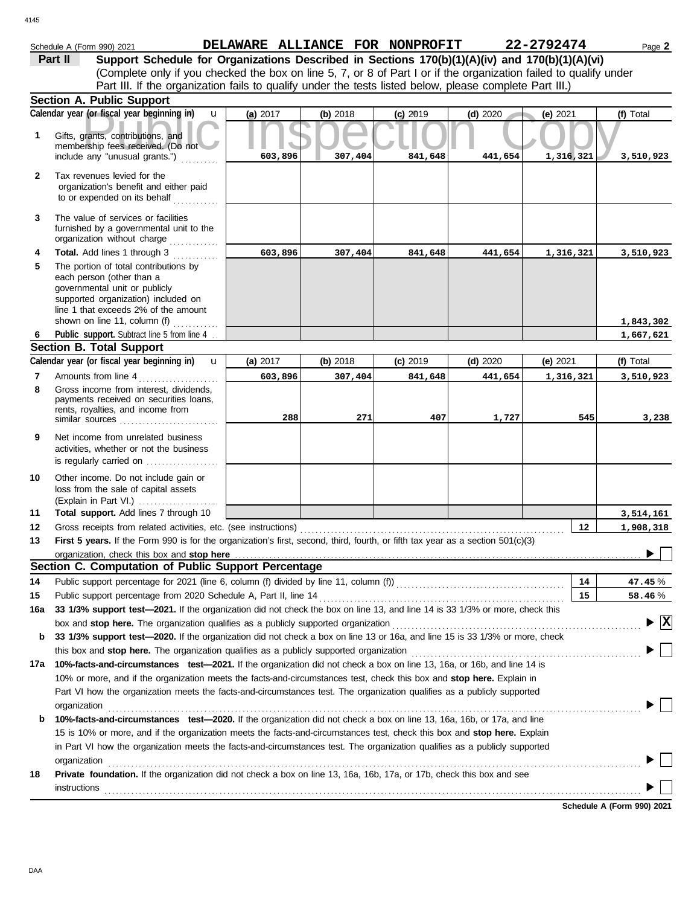|              | Schedule A (Form 990) 2021                                                                                                                                                                                                  | DELAWARE ALLIANCE FOR NONPROFIT |          |            |            | 22-2792474 | Page 2                  |
|--------------|-----------------------------------------------------------------------------------------------------------------------------------------------------------------------------------------------------------------------------|---------------------------------|----------|------------|------------|------------|-------------------------|
|              | Support Schedule for Organizations Described in Sections 170(b)(1)(A)(iv) and 170(b)(1)(A)(vi)<br>Part II                                                                                                                   |                                 |          |            |            |            |                         |
|              | (Complete only if you checked the box on line 5, 7, or 8 of Part I or if the organization failed to qualify under                                                                                                           |                                 |          |            |            |            |                         |
|              | Part III. If the organization fails to qualify under the tests listed below, please complete Part III.)                                                                                                                     |                                 |          |            |            |            |                         |
|              | <b>Section A. Public Support</b>                                                                                                                                                                                            |                                 |          |            |            |            |                         |
|              | Calendar year (or fiscal year beginning in)<br>$\mathbf{u}$                                                                                                                                                                 | (a) 2017                        | (b) 2018 | $(c)$ 2019 | $(d)$ 2020 | (e) 2021   | (f) Total               |
| 1            | Gifts, grants, contributions, and<br>membership fees received. (Do not<br>include any "unusual grants.")                                                                                                                    | 603,896                         | 307,404  | 841,648    | 441,654    | 1,316,321  | 3,510,923               |
|              |                                                                                                                                                                                                                             |                                 |          |            |            |            |                         |
| $\mathbf{2}$ | Tax revenues levied for the<br>organization's benefit and either paid<br>to or expended on its behalf                                                                                                                       |                                 |          |            |            |            |                         |
| 3            | The value of services or facilities<br>furnished by a governmental unit to the<br>organization without charge                                                                                                               |                                 |          |            |            |            |                         |
| 4            | Total. Add lines 1 through 3                                                                                                                                                                                                | 603,896                         | 307,404  | 841,648    | 441,654    | 1,316,321  | 3,510,923               |
| 5            | The portion of total contributions by<br>each person (other than a<br>governmental unit or publicly<br>supported organization) included on<br>line 1 that exceeds 2% of the amount<br>shown on line 11, column (f) $\ldots$ |                                 |          |            |            |            | 1,843,302               |
| 6            | Public support. Subtract line 5 from line 4                                                                                                                                                                                 |                                 |          |            |            |            | 1,667,621               |
|              | <b>Section B. Total Support</b>                                                                                                                                                                                             |                                 |          |            |            |            |                         |
|              | Calendar year (or fiscal year beginning in)<br>$\mathbf{u}$                                                                                                                                                                 | (a) 2017                        | (b) 2018 | $(c)$ 2019 | $(d)$ 2020 | (e) $2021$ | (f) Total               |
| 7            | Amounts from line 4                                                                                                                                                                                                         | 603,896                         | 307,404  | 841,648    | 441,654    | 1,316,321  | 3,510,923               |
| 8            | Gross income from interest, dividends,<br>payments received on securities loans,<br>rents, royalties, and income from<br>similar sources                                                                                    | 288                             | 271      | 407        | 1,727      | 545        | 3,238                   |
| 9            | Net income from unrelated business<br>activities, whether or not the business<br>is regularly carried on                                                                                                                    |                                 |          |            |            |            |                         |
| 10           | Other income. Do not include gain or<br>loss from the sale of capital assets<br>(Explain in Part VI.)                                                                                                                       |                                 |          |            |            |            |                         |
| 11           | Total support. Add lines 7 through 10                                                                                                                                                                                       |                                 |          |            |            |            | 3,514,161               |
| 12           | Gross receipts from related activities, etc. (see instructions)                                                                                                                                                             |                                 |          |            |            | 12         | 1,908,318               |
| 13           | First 5 years. If the Form 990 is for the organization's first, second, third, fourth, or fifth tax year as a section 501(c)(3)                                                                                             |                                 |          |            |            |            |                         |
|              | organization, check this box and stop here                                                                                                                                                                                  |                                 |          |            |            |            |                         |
|              | Section C. Computation of Public Support Percentage                                                                                                                                                                         |                                 |          |            |            |            |                         |
| 14           | Public support percentage for 2021 (line 6, column (f) divided by line 11, column (f)) [[[[[[[[[[[[[[[[[[[[[[                                                                                                               |                                 |          |            |            | 14<br>15   | 47.45%                  |
| 15<br>16a    | Public support percentage from 2020 Schedule A, Part II, line 14<br>33 1/3% support test-2021. If the organization did not check the box on line 13, and line 14 is 33 1/3% or more, check this                             |                                 |          |            |            |            | 58.46%                  |
|              | box and stop here. The organization qualifies as a publicly supported organization                                                                                                                                          |                                 |          |            |            |            | $\overline{\mathbf{x}}$ |
| b            | 33 1/3% support test-2020. If the organization did not check a box on line 13 or 16a, and line 15 is 33 1/3% or more, check                                                                                                 |                                 |          |            |            |            |                         |
|              | this box and stop here. The organization qualifies as a publicly supported organization                                                                                                                                     |                                 |          |            |            |            |                         |
| 17a          | 10%-facts-and-circumstances test-2021. If the organization did not check a box on line 13, 16a, or 16b, and line 14 is                                                                                                      |                                 |          |            |            |            |                         |
|              | 10% or more, and if the organization meets the facts-and-circumstances test, check this box and stop here. Explain in                                                                                                       |                                 |          |            |            |            |                         |
|              | Part VI how the organization meets the facts-and-circumstances test. The organization qualifies as a publicly supported                                                                                                     |                                 |          |            |            |            |                         |
|              | organization                                                                                                                                                                                                                |                                 |          |            |            |            |                         |
| b            | 10%-facts-and-circumstances test-2020. If the organization did not check a box on line 13, 16a, 16b, or 17a, and line                                                                                                       |                                 |          |            |            |            |                         |
|              | 15 is 10% or more, and if the organization meets the facts-and-circumstances test, check this box and stop here. Explain                                                                                                    |                                 |          |            |            |            |                         |
|              | in Part VI how the organization meets the facts-and-circumstances test. The organization qualifies as a publicly supported                                                                                                  |                                 |          |            |            |            |                         |
|              | organization                                                                                                                                                                                                                |                                 |          |            |            |            |                         |
| 18           | Private foundation. If the organization did not check a box on line 13, 16a, 16b, 17a, or 17b, check this box and see                                                                                                       |                                 |          |            |            |            |                         |
|              | instructions                                                                                                                                                                                                                |                                 |          |            |            |            |                         |

**Schedule A (Form 990) 2021**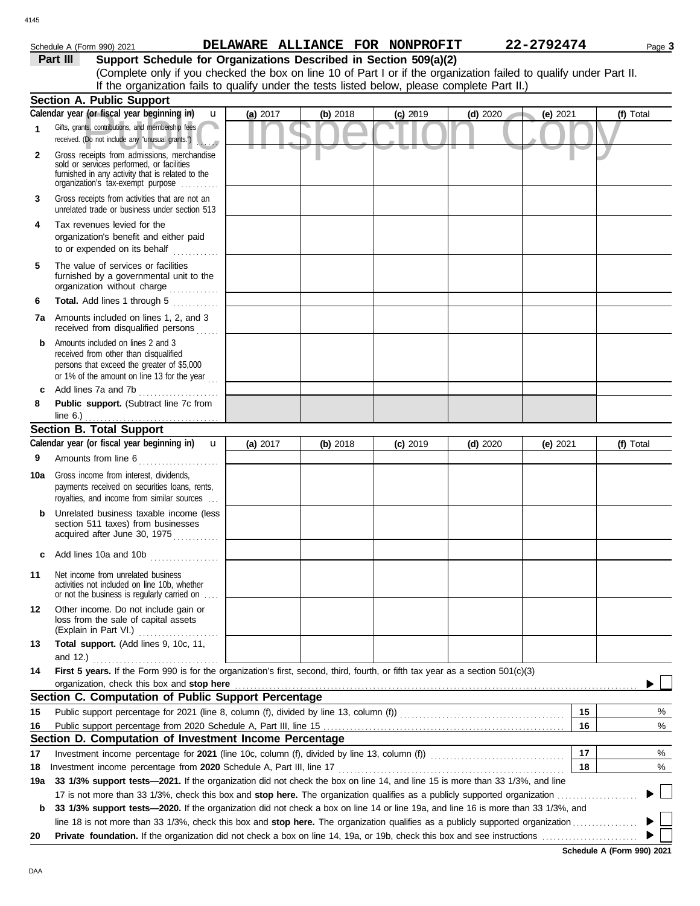| Part III<br>Support Schedule for Organizations Described in Section 509(a)(2)<br>(Complete only if you checked the box on line 10 of Part I or if the organization failed to qualify under Part II.<br>If the organization fails to qualify under the tests listed below, please complete Part II.)<br><b>Section A. Public Support</b><br>Calendar year (or fiscal year beginning in)<br>(f) Total<br>u<br>(a) 2017<br>(b) 2018<br>$(d)$ 2020<br>(e) 2021<br>$(c)$ 2019<br>Gifts, grants, contributions, and membership fees<br>1<br>received. (Do not include any "unusual grants.")<br>Gross receipts from admissions, merchandise<br>$\mathbf{2}$<br>sold or services performed, or facilities<br>furnished in any activity that is related to the<br>organization's tax-exempt purpose<br>Gross receipts from activities that are not an<br>3<br>unrelated trade or business under section 513<br>Tax revenues levied for the<br>4<br>organization's benefit and either paid<br>to or expended on its behalf<br>The value of services or facilities<br>5<br>furnished by a governmental unit to the<br>organization without charge<br>Total. Add lines 1 through 5<br><b>7a</b> Amounts included on lines 1, 2, and 3<br>received from disqualified persons<br>Amounts included on lines 2 and 3<br>b<br>received from other than disqualified<br>persons that exceed the greater of \$5,000<br>or 1% of the amount on line 13 for the year $\ldots$<br>Add lines 7a and 7b<br>c<br>Public support. (Subtract line 7c from<br>8<br>line $6.$ )<br><b>Section B. Total Support</b><br>Calendar year (or fiscal year beginning in)<br>$\mathbf{u}$<br>(a) 2017<br>(f) Total<br>(b) $2018$<br>$(c)$ 2019<br>(d) $2020$<br>(e) $2021$<br>Amounts from line 6<br>9<br>Gross income from interest, dividends,<br>payments received on securities loans, rents,<br>royalties, and income from similar sources<br>Unrelated business taxable income (less<br>b<br>section 511 taxes) from businesses<br>acquired after June 30, 1975<br>Add lines 10a and 10b<br>c<br>Net income from unrelated business<br>activities not included on line 10b, whether<br>or not the business is regularly carried on<br>Other income. Do not include gain or<br>loss from the sale of capital assets<br>(Explain in Part VI.)<br>Total support. (Add lines 9, 10c, 11,<br>and 12.) $\ldots$<br>First 5 years. If the Form 990 is for the organization's first, second, third, fourth, or fifth tax year as a section 501(c)(3)<br>organization, check this box and stop here<br>Section C. Computation of Public Support Percentage<br>15<br>%<br>16<br>%<br>Section D. Computation of Investment Income Percentage<br>17<br>Investment income percentage for 2021 (line 10c, column (f), divided by line 13, column (f)) [[[[[[[[[[[[[[[[[<br>%<br>18<br>%<br>33 1/3% support tests-2021. If the organization did not check the box on line 14, and line 15 is more than 33 1/3%, and line<br>33 1/3% support tests-2020. If the organization did not check a box on line 14 or line 19a, and line 16 is more than 33 1/3%, and<br>b |     | Schedule A (Form 990) 2021 |  | DELAWARE ALLIANCE FOR NONPROFIT | 22-2792474 | Page 3 |
|-----------------------------------------------------------------------------------------------------------------------------------------------------------------------------------------------------------------------------------------------------------------------------------------------------------------------------------------------------------------------------------------------------------------------------------------------------------------------------------------------------------------------------------------------------------------------------------------------------------------------------------------------------------------------------------------------------------------------------------------------------------------------------------------------------------------------------------------------------------------------------------------------------------------------------------------------------------------------------------------------------------------------------------------------------------------------------------------------------------------------------------------------------------------------------------------------------------------------------------------------------------------------------------------------------------------------------------------------------------------------------------------------------------------------------------------------------------------------------------------------------------------------------------------------------------------------------------------------------------------------------------------------------------------------------------------------------------------------------------------------------------------------------------------------------------------------------------------------------------------------------------------------------------------------------------------------------------------------------------------------------------------------------------------------------------------------------------------------------------------------------------------------------------------------------------------------------------------------------------------------------------------------------------------------------------------------------------------------------------------------------------------------------------------------------------------------------------------------------------------------------------------------------------------------------------------------------------------------------------------------------------------------------------------------------------------------------------------------------------------------------------------------------------------------------------------------------------------------------------------------------------------------------------------------------------------------------------------------------------------------------------------------------------------------------------------------------------------------------------------------|-----|----------------------------|--|---------------------------------|------------|--------|
|                                                                                                                                                                                                                                                                                                                                                                                                                                                                                                                                                                                                                                                                                                                                                                                                                                                                                                                                                                                                                                                                                                                                                                                                                                                                                                                                                                                                                                                                                                                                                                                                                                                                                                                                                                                                                                                                                                                                                                                                                                                                                                                                                                                                                                                                                                                                                                                                                                                                                                                                                                                                                                                                                                                                                                                                                                                                                                                                                                                                                                                                                                                       |     |                            |  |                                 |            |        |
|                                                                                                                                                                                                                                                                                                                                                                                                                                                                                                                                                                                                                                                                                                                                                                                                                                                                                                                                                                                                                                                                                                                                                                                                                                                                                                                                                                                                                                                                                                                                                                                                                                                                                                                                                                                                                                                                                                                                                                                                                                                                                                                                                                                                                                                                                                                                                                                                                                                                                                                                                                                                                                                                                                                                                                                                                                                                                                                                                                                                                                                                                                                       |     |                            |  |                                 |            |        |
|                                                                                                                                                                                                                                                                                                                                                                                                                                                                                                                                                                                                                                                                                                                                                                                                                                                                                                                                                                                                                                                                                                                                                                                                                                                                                                                                                                                                                                                                                                                                                                                                                                                                                                                                                                                                                                                                                                                                                                                                                                                                                                                                                                                                                                                                                                                                                                                                                                                                                                                                                                                                                                                                                                                                                                                                                                                                                                                                                                                                                                                                                                                       |     |                            |  |                                 |            |        |
|                                                                                                                                                                                                                                                                                                                                                                                                                                                                                                                                                                                                                                                                                                                                                                                                                                                                                                                                                                                                                                                                                                                                                                                                                                                                                                                                                                                                                                                                                                                                                                                                                                                                                                                                                                                                                                                                                                                                                                                                                                                                                                                                                                                                                                                                                                                                                                                                                                                                                                                                                                                                                                                                                                                                                                                                                                                                                                                                                                                                                                                                                                                       |     |                            |  |                                 |            |        |
|                                                                                                                                                                                                                                                                                                                                                                                                                                                                                                                                                                                                                                                                                                                                                                                                                                                                                                                                                                                                                                                                                                                                                                                                                                                                                                                                                                                                                                                                                                                                                                                                                                                                                                                                                                                                                                                                                                                                                                                                                                                                                                                                                                                                                                                                                                                                                                                                                                                                                                                                                                                                                                                                                                                                                                                                                                                                                                                                                                                                                                                                                                                       |     |                            |  |                                 |            |        |
|                                                                                                                                                                                                                                                                                                                                                                                                                                                                                                                                                                                                                                                                                                                                                                                                                                                                                                                                                                                                                                                                                                                                                                                                                                                                                                                                                                                                                                                                                                                                                                                                                                                                                                                                                                                                                                                                                                                                                                                                                                                                                                                                                                                                                                                                                                                                                                                                                                                                                                                                                                                                                                                                                                                                                                                                                                                                                                                                                                                                                                                                                                                       |     |                            |  |                                 |            |        |
|                                                                                                                                                                                                                                                                                                                                                                                                                                                                                                                                                                                                                                                                                                                                                                                                                                                                                                                                                                                                                                                                                                                                                                                                                                                                                                                                                                                                                                                                                                                                                                                                                                                                                                                                                                                                                                                                                                                                                                                                                                                                                                                                                                                                                                                                                                                                                                                                                                                                                                                                                                                                                                                                                                                                                                                                                                                                                                                                                                                                                                                                                                                       |     |                            |  |                                 |            |        |
|                                                                                                                                                                                                                                                                                                                                                                                                                                                                                                                                                                                                                                                                                                                                                                                                                                                                                                                                                                                                                                                                                                                                                                                                                                                                                                                                                                                                                                                                                                                                                                                                                                                                                                                                                                                                                                                                                                                                                                                                                                                                                                                                                                                                                                                                                                                                                                                                                                                                                                                                                                                                                                                                                                                                                                                                                                                                                                                                                                                                                                                                                                                       |     |                            |  |                                 |            |        |
|                                                                                                                                                                                                                                                                                                                                                                                                                                                                                                                                                                                                                                                                                                                                                                                                                                                                                                                                                                                                                                                                                                                                                                                                                                                                                                                                                                                                                                                                                                                                                                                                                                                                                                                                                                                                                                                                                                                                                                                                                                                                                                                                                                                                                                                                                                                                                                                                                                                                                                                                                                                                                                                                                                                                                                                                                                                                                                                                                                                                                                                                                                                       |     |                            |  |                                 |            |        |
|                                                                                                                                                                                                                                                                                                                                                                                                                                                                                                                                                                                                                                                                                                                                                                                                                                                                                                                                                                                                                                                                                                                                                                                                                                                                                                                                                                                                                                                                                                                                                                                                                                                                                                                                                                                                                                                                                                                                                                                                                                                                                                                                                                                                                                                                                                                                                                                                                                                                                                                                                                                                                                                                                                                                                                                                                                                                                                                                                                                                                                                                                                                       |     |                            |  |                                 |            |        |
|                                                                                                                                                                                                                                                                                                                                                                                                                                                                                                                                                                                                                                                                                                                                                                                                                                                                                                                                                                                                                                                                                                                                                                                                                                                                                                                                                                                                                                                                                                                                                                                                                                                                                                                                                                                                                                                                                                                                                                                                                                                                                                                                                                                                                                                                                                                                                                                                                                                                                                                                                                                                                                                                                                                                                                                                                                                                                                                                                                                                                                                                                                                       |     |                            |  |                                 |            |        |
|                                                                                                                                                                                                                                                                                                                                                                                                                                                                                                                                                                                                                                                                                                                                                                                                                                                                                                                                                                                                                                                                                                                                                                                                                                                                                                                                                                                                                                                                                                                                                                                                                                                                                                                                                                                                                                                                                                                                                                                                                                                                                                                                                                                                                                                                                                                                                                                                                                                                                                                                                                                                                                                                                                                                                                                                                                                                                                                                                                                                                                                                                                                       |     |                            |  |                                 |            |        |
|                                                                                                                                                                                                                                                                                                                                                                                                                                                                                                                                                                                                                                                                                                                                                                                                                                                                                                                                                                                                                                                                                                                                                                                                                                                                                                                                                                                                                                                                                                                                                                                                                                                                                                                                                                                                                                                                                                                                                                                                                                                                                                                                                                                                                                                                                                                                                                                                                                                                                                                                                                                                                                                                                                                                                                                                                                                                                                                                                                                                                                                                                                                       |     |                            |  |                                 |            |        |
|                                                                                                                                                                                                                                                                                                                                                                                                                                                                                                                                                                                                                                                                                                                                                                                                                                                                                                                                                                                                                                                                                                                                                                                                                                                                                                                                                                                                                                                                                                                                                                                                                                                                                                                                                                                                                                                                                                                                                                                                                                                                                                                                                                                                                                                                                                                                                                                                                                                                                                                                                                                                                                                                                                                                                                                                                                                                                                                                                                                                                                                                                                                       |     |                            |  |                                 |            |        |
|                                                                                                                                                                                                                                                                                                                                                                                                                                                                                                                                                                                                                                                                                                                                                                                                                                                                                                                                                                                                                                                                                                                                                                                                                                                                                                                                                                                                                                                                                                                                                                                                                                                                                                                                                                                                                                                                                                                                                                                                                                                                                                                                                                                                                                                                                                                                                                                                                                                                                                                                                                                                                                                                                                                                                                                                                                                                                                                                                                                                                                                                                                                       |     |                            |  |                                 |            |        |
|                                                                                                                                                                                                                                                                                                                                                                                                                                                                                                                                                                                                                                                                                                                                                                                                                                                                                                                                                                                                                                                                                                                                                                                                                                                                                                                                                                                                                                                                                                                                                                                                                                                                                                                                                                                                                                                                                                                                                                                                                                                                                                                                                                                                                                                                                                                                                                                                                                                                                                                                                                                                                                                                                                                                                                                                                                                                                                                                                                                                                                                                                                                       |     |                            |  |                                 |            |        |
|                                                                                                                                                                                                                                                                                                                                                                                                                                                                                                                                                                                                                                                                                                                                                                                                                                                                                                                                                                                                                                                                                                                                                                                                                                                                                                                                                                                                                                                                                                                                                                                                                                                                                                                                                                                                                                                                                                                                                                                                                                                                                                                                                                                                                                                                                                                                                                                                                                                                                                                                                                                                                                                                                                                                                                                                                                                                                                                                                                                                                                                                                                                       |     |                            |  |                                 |            |        |
|                                                                                                                                                                                                                                                                                                                                                                                                                                                                                                                                                                                                                                                                                                                                                                                                                                                                                                                                                                                                                                                                                                                                                                                                                                                                                                                                                                                                                                                                                                                                                                                                                                                                                                                                                                                                                                                                                                                                                                                                                                                                                                                                                                                                                                                                                                                                                                                                                                                                                                                                                                                                                                                                                                                                                                                                                                                                                                                                                                                                                                                                                                                       |     |                            |  |                                 |            |        |
|                                                                                                                                                                                                                                                                                                                                                                                                                                                                                                                                                                                                                                                                                                                                                                                                                                                                                                                                                                                                                                                                                                                                                                                                                                                                                                                                                                                                                                                                                                                                                                                                                                                                                                                                                                                                                                                                                                                                                                                                                                                                                                                                                                                                                                                                                                                                                                                                                                                                                                                                                                                                                                                                                                                                                                                                                                                                                                                                                                                                                                                                                                                       | 6   |                            |  |                                 |            |        |
|                                                                                                                                                                                                                                                                                                                                                                                                                                                                                                                                                                                                                                                                                                                                                                                                                                                                                                                                                                                                                                                                                                                                                                                                                                                                                                                                                                                                                                                                                                                                                                                                                                                                                                                                                                                                                                                                                                                                                                                                                                                                                                                                                                                                                                                                                                                                                                                                                                                                                                                                                                                                                                                                                                                                                                                                                                                                                                                                                                                                                                                                                                                       |     |                            |  |                                 |            |        |
|                                                                                                                                                                                                                                                                                                                                                                                                                                                                                                                                                                                                                                                                                                                                                                                                                                                                                                                                                                                                                                                                                                                                                                                                                                                                                                                                                                                                                                                                                                                                                                                                                                                                                                                                                                                                                                                                                                                                                                                                                                                                                                                                                                                                                                                                                                                                                                                                                                                                                                                                                                                                                                                                                                                                                                                                                                                                                                                                                                                                                                                                                                                       |     |                            |  |                                 |            |        |
|                                                                                                                                                                                                                                                                                                                                                                                                                                                                                                                                                                                                                                                                                                                                                                                                                                                                                                                                                                                                                                                                                                                                                                                                                                                                                                                                                                                                                                                                                                                                                                                                                                                                                                                                                                                                                                                                                                                                                                                                                                                                                                                                                                                                                                                                                                                                                                                                                                                                                                                                                                                                                                                                                                                                                                                                                                                                                                                                                                                                                                                                                                                       |     |                            |  |                                 |            |        |
|                                                                                                                                                                                                                                                                                                                                                                                                                                                                                                                                                                                                                                                                                                                                                                                                                                                                                                                                                                                                                                                                                                                                                                                                                                                                                                                                                                                                                                                                                                                                                                                                                                                                                                                                                                                                                                                                                                                                                                                                                                                                                                                                                                                                                                                                                                                                                                                                                                                                                                                                                                                                                                                                                                                                                                                                                                                                                                                                                                                                                                                                                                                       |     |                            |  |                                 |            |        |
|                                                                                                                                                                                                                                                                                                                                                                                                                                                                                                                                                                                                                                                                                                                                                                                                                                                                                                                                                                                                                                                                                                                                                                                                                                                                                                                                                                                                                                                                                                                                                                                                                                                                                                                                                                                                                                                                                                                                                                                                                                                                                                                                                                                                                                                                                                                                                                                                                                                                                                                                                                                                                                                                                                                                                                                                                                                                                                                                                                                                                                                                                                                       |     |                            |  |                                 |            |        |
|                                                                                                                                                                                                                                                                                                                                                                                                                                                                                                                                                                                                                                                                                                                                                                                                                                                                                                                                                                                                                                                                                                                                                                                                                                                                                                                                                                                                                                                                                                                                                                                                                                                                                                                                                                                                                                                                                                                                                                                                                                                                                                                                                                                                                                                                                                                                                                                                                                                                                                                                                                                                                                                                                                                                                                                                                                                                                                                                                                                                                                                                                                                       |     |                            |  |                                 |            |        |
|                                                                                                                                                                                                                                                                                                                                                                                                                                                                                                                                                                                                                                                                                                                                                                                                                                                                                                                                                                                                                                                                                                                                                                                                                                                                                                                                                                                                                                                                                                                                                                                                                                                                                                                                                                                                                                                                                                                                                                                                                                                                                                                                                                                                                                                                                                                                                                                                                                                                                                                                                                                                                                                                                                                                                                                                                                                                                                                                                                                                                                                                                                                       |     |                            |  |                                 |            |        |
|                                                                                                                                                                                                                                                                                                                                                                                                                                                                                                                                                                                                                                                                                                                                                                                                                                                                                                                                                                                                                                                                                                                                                                                                                                                                                                                                                                                                                                                                                                                                                                                                                                                                                                                                                                                                                                                                                                                                                                                                                                                                                                                                                                                                                                                                                                                                                                                                                                                                                                                                                                                                                                                                                                                                                                                                                                                                                                                                                                                                                                                                                                                       |     |                            |  |                                 |            |        |
|                                                                                                                                                                                                                                                                                                                                                                                                                                                                                                                                                                                                                                                                                                                                                                                                                                                                                                                                                                                                                                                                                                                                                                                                                                                                                                                                                                                                                                                                                                                                                                                                                                                                                                                                                                                                                                                                                                                                                                                                                                                                                                                                                                                                                                                                                                                                                                                                                                                                                                                                                                                                                                                                                                                                                                                                                                                                                                                                                                                                                                                                                                                       |     |                            |  |                                 |            |        |
|                                                                                                                                                                                                                                                                                                                                                                                                                                                                                                                                                                                                                                                                                                                                                                                                                                                                                                                                                                                                                                                                                                                                                                                                                                                                                                                                                                                                                                                                                                                                                                                                                                                                                                                                                                                                                                                                                                                                                                                                                                                                                                                                                                                                                                                                                                                                                                                                                                                                                                                                                                                                                                                                                                                                                                                                                                                                                                                                                                                                                                                                                                                       |     |                            |  |                                 |            |        |
|                                                                                                                                                                                                                                                                                                                                                                                                                                                                                                                                                                                                                                                                                                                                                                                                                                                                                                                                                                                                                                                                                                                                                                                                                                                                                                                                                                                                                                                                                                                                                                                                                                                                                                                                                                                                                                                                                                                                                                                                                                                                                                                                                                                                                                                                                                                                                                                                                                                                                                                                                                                                                                                                                                                                                                                                                                                                                                                                                                                                                                                                                                                       |     |                            |  |                                 |            |        |
|                                                                                                                                                                                                                                                                                                                                                                                                                                                                                                                                                                                                                                                                                                                                                                                                                                                                                                                                                                                                                                                                                                                                                                                                                                                                                                                                                                                                                                                                                                                                                                                                                                                                                                                                                                                                                                                                                                                                                                                                                                                                                                                                                                                                                                                                                                                                                                                                                                                                                                                                                                                                                                                                                                                                                                                                                                                                                                                                                                                                                                                                                                                       |     |                            |  |                                 |            |        |
|                                                                                                                                                                                                                                                                                                                                                                                                                                                                                                                                                                                                                                                                                                                                                                                                                                                                                                                                                                                                                                                                                                                                                                                                                                                                                                                                                                                                                                                                                                                                                                                                                                                                                                                                                                                                                                                                                                                                                                                                                                                                                                                                                                                                                                                                                                                                                                                                                                                                                                                                                                                                                                                                                                                                                                                                                                                                                                                                                                                                                                                                                                                       | 10a |                            |  |                                 |            |        |
|                                                                                                                                                                                                                                                                                                                                                                                                                                                                                                                                                                                                                                                                                                                                                                                                                                                                                                                                                                                                                                                                                                                                                                                                                                                                                                                                                                                                                                                                                                                                                                                                                                                                                                                                                                                                                                                                                                                                                                                                                                                                                                                                                                                                                                                                                                                                                                                                                                                                                                                                                                                                                                                                                                                                                                                                                                                                                                                                                                                                                                                                                                                       |     |                            |  |                                 |            |        |
|                                                                                                                                                                                                                                                                                                                                                                                                                                                                                                                                                                                                                                                                                                                                                                                                                                                                                                                                                                                                                                                                                                                                                                                                                                                                                                                                                                                                                                                                                                                                                                                                                                                                                                                                                                                                                                                                                                                                                                                                                                                                                                                                                                                                                                                                                                                                                                                                                                                                                                                                                                                                                                                                                                                                                                                                                                                                                                                                                                                                                                                                                                                       |     |                            |  |                                 |            |        |
|                                                                                                                                                                                                                                                                                                                                                                                                                                                                                                                                                                                                                                                                                                                                                                                                                                                                                                                                                                                                                                                                                                                                                                                                                                                                                                                                                                                                                                                                                                                                                                                                                                                                                                                                                                                                                                                                                                                                                                                                                                                                                                                                                                                                                                                                                                                                                                                                                                                                                                                                                                                                                                                                                                                                                                                                                                                                                                                                                                                                                                                                                                                       |     |                            |  |                                 |            |        |
|                                                                                                                                                                                                                                                                                                                                                                                                                                                                                                                                                                                                                                                                                                                                                                                                                                                                                                                                                                                                                                                                                                                                                                                                                                                                                                                                                                                                                                                                                                                                                                                                                                                                                                                                                                                                                                                                                                                                                                                                                                                                                                                                                                                                                                                                                                                                                                                                                                                                                                                                                                                                                                                                                                                                                                                                                                                                                                                                                                                                                                                                                                                       |     |                            |  |                                 |            |        |
|                                                                                                                                                                                                                                                                                                                                                                                                                                                                                                                                                                                                                                                                                                                                                                                                                                                                                                                                                                                                                                                                                                                                                                                                                                                                                                                                                                                                                                                                                                                                                                                                                                                                                                                                                                                                                                                                                                                                                                                                                                                                                                                                                                                                                                                                                                                                                                                                                                                                                                                                                                                                                                                                                                                                                                                                                                                                                                                                                                                                                                                                                                                       |     |                            |  |                                 |            |        |
|                                                                                                                                                                                                                                                                                                                                                                                                                                                                                                                                                                                                                                                                                                                                                                                                                                                                                                                                                                                                                                                                                                                                                                                                                                                                                                                                                                                                                                                                                                                                                                                                                                                                                                                                                                                                                                                                                                                                                                                                                                                                                                                                                                                                                                                                                                                                                                                                                                                                                                                                                                                                                                                                                                                                                                                                                                                                                                                                                                                                                                                                                                                       |     |                            |  |                                 |            |        |
|                                                                                                                                                                                                                                                                                                                                                                                                                                                                                                                                                                                                                                                                                                                                                                                                                                                                                                                                                                                                                                                                                                                                                                                                                                                                                                                                                                                                                                                                                                                                                                                                                                                                                                                                                                                                                                                                                                                                                                                                                                                                                                                                                                                                                                                                                                                                                                                                                                                                                                                                                                                                                                                                                                                                                                                                                                                                                                                                                                                                                                                                                                                       | 11  |                            |  |                                 |            |        |
|                                                                                                                                                                                                                                                                                                                                                                                                                                                                                                                                                                                                                                                                                                                                                                                                                                                                                                                                                                                                                                                                                                                                                                                                                                                                                                                                                                                                                                                                                                                                                                                                                                                                                                                                                                                                                                                                                                                                                                                                                                                                                                                                                                                                                                                                                                                                                                                                                                                                                                                                                                                                                                                                                                                                                                                                                                                                                                                                                                                                                                                                                                                       |     |                            |  |                                 |            |        |
|                                                                                                                                                                                                                                                                                                                                                                                                                                                                                                                                                                                                                                                                                                                                                                                                                                                                                                                                                                                                                                                                                                                                                                                                                                                                                                                                                                                                                                                                                                                                                                                                                                                                                                                                                                                                                                                                                                                                                                                                                                                                                                                                                                                                                                                                                                                                                                                                                                                                                                                                                                                                                                                                                                                                                                                                                                                                                                                                                                                                                                                                                                                       |     |                            |  |                                 |            |        |
|                                                                                                                                                                                                                                                                                                                                                                                                                                                                                                                                                                                                                                                                                                                                                                                                                                                                                                                                                                                                                                                                                                                                                                                                                                                                                                                                                                                                                                                                                                                                                                                                                                                                                                                                                                                                                                                                                                                                                                                                                                                                                                                                                                                                                                                                                                                                                                                                                                                                                                                                                                                                                                                                                                                                                                                                                                                                                                                                                                                                                                                                                                                       | 12  |                            |  |                                 |            |        |
|                                                                                                                                                                                                                                                                                                                                                                                                                                                                                                                                                                                                                                                                                                                                                                                                                                                                                                                                                                                                                                                                                                                                                                                                                                                                                                                                                                                                                                                                                                                                                                                                                                                                                                                                                                                                                                                                                                                                                                                                                                                                                                                                                                                                                                                                                                                                                                                                                                                                                                                                                                                                                                                                                                                                                                                                                                                                                                                                                                                                                                                                                                                       |     |                            |  |                                 |            |        |
|                                                                                                                                                                                                                                                                                                                                                                                                                                                                                                                                                                                                                                                                                                                                                                                                                                                                                                                                                                                                                                                                                                                                                                                                                                                                                                                                                                                                                                                                                                                                                                                                                                                                                                                                                                                                                                                                                                                                                                                                                                                                                                                                                                                                                                                                                                                                                                                                                                                                                                                                                                                                                                                                                                                                                                                                                                                                                                                                                                                                                                                                                                                       | 13  |                            |  |                                 |            |        |
|                                                                                                                                                                                                                                                                                                                                                                                                                                                                                                                                                                                                                                                                                                                                                                                                                                                                                                                                                                                                                                                                                                                                                                                                                                                                                                                                                                                                                                                                                                                                                                                                                                                                                                                                                                                                                                                                                                                                                                                                                                                                                                                                                                                                                                                                                                                                                                                                                                                                                                                                                                                                                                                                                                                                                                                                                                                                                                                                                                                                                                                                                                                       |     |                            |  |                                 |            |        |
|                                                                                                                                                                                                                                                                                                                                                                                                                                                                                                                                                                                                                                                                                                                                                                                                                                                                                                                                                                                                                                                                                                                                                                                                                                                                                                                                                                                                                                                                                                                                                                                                                                                                                                                                                                                                                                                                                                                                                                                                                                                                                                                                                                                                                                                                                                                                                                                                                                                                                                                                                                                                                                                                                                                                                                                                                                                                                                                                                                                                                                                                                                                       | 14  |                            |  |                                 |            |        |
|                                                                                                                                                                                                                                                                                                                                                                                                                                                                                                                                                                                                                                                                                                                                                                                                                                                                                                                                                                                                                                                                                                                                                                                                                                                                                                                                                                                                                                                                                                                                                                                                                                                                                                                                                                                                                                                                                                                                                                                                                                                                                                                                                                                                                                                                                                                                                                                                                                                                                                                                                                                                                                                                                                                                                                                                                                                                                                                                                                                                                                                                                                                       |     |                            |  |                                 |            |        |
|                                                                                                                                                                                                                                                                                                                                                                                                                                                                                                                                                                                                                                                                                                                                                                                                                                                                                                                                                                                                                                                                                                                                                                                                                                                                                                                                                                                                                                                                                                                                                                                                                                                                                                                                                                                                                                                                                                                                                                                                                                                                                                                                                                                                                                                                                                                                                                                                                                                                                                                                                                                                                                                                                                                                                                                                                                                                                                                                                                                                                                                                                                                       |     |                            |  |                                 |            |        |
|                                                                                                                                                                                                                                                                                                                                                                                                                                                                                                                                                                                                                                                                                                                                                                                                                                                                                                                                                                                                                                                                                                                                                                                                                                                                                                                                                                                                                                                                                                                                                                                                                                                                                                                                                                                                                                                                                                                                                                                                                                                                                                                                                                                                                                                                                                                                                                                                                                                                                                                                                                                                                                                                                                                                                                                                                                                                                                                                                                                                                                                                                                                       | 15  |                            |  |                                 |            |        |
|                                                                                                                                                                                                                                                                                                                                                                                                                                                                                                                                                                                                                                                                                                                                                                                                                                                                                                                                                                                                                                                                                                                                                                                                                                                                                                                                                                                                                                                                                                                                                                                                                                                                                                                                                                                                                                                                                                                                                                                                                                                                                                                                                                                                                                                                                                                                                                                                                                                                                                                                                                                                                                                                                                                                                                                                                                                                                                                                                                                                                                                                                                                       | 16  |                            |  |                                 |            |        |
|                                                                                                                                                                                                                                                                                                                                                                                                                                                                                                                                                                                                                                                                                                                                                                                                                                                                                                                                                                                                                                                                                                                                                                                                                                                                                                                                                                                                                                                                                                                                                                                                                                                                                                                                                                                                                                                                                                                                                                                                                                                                                                                                                                                                                                                                                                                                                                                                                                                                                                                                                                                                                                                                                                                                                                                                                                                                                                                                                                                                                                                                                                                       |     |                            |  |                                 |            |        |
|                                                                                                                                                                                                                                                                                                                                                                                                                                                                                                                                                                                                                                                                                                                                                                                                                                                                                                                                                                                                                                                                                                                                                                                                                                                                                                                                                                                                                                                                                                                                                                                                                                                                                                                                                                                                                                                                                                                                                                                                                                                                                                                                                                                                                                                                                                                                                                                                                                                                                                                                                                                                                                                                                                                                                                                                                                                                                                                                                                                                                                                                                                                       | 17  |                            |  |                                 |            |        |
|                                                                                                                                                                                                                                                                                                                                                                                                                                                                                                                                                                                                                                                                                                                                                                                                                                                                                                                                                                                                                                                                                                                                                                                                                                                                                                                                                                                                                                                                                                                                                                                                                                                                                                                                                                                                                                                                                                                                                                                                                                                                                                                                                                                                                                                                                                                                                                                                                                                                                                                                                                                                                                                                                                                                                                                                                                                                                                                                                                                                                                                                                                                       | 18  |                            |  |                                 |            |        |
|                                                                                                                                                                                                                                                                                                                                                                                                                                                                                                                                                                                                                                                                                                                                                                                                                                                                                                                                                                                                                                                                                                                                                                                                                                                                                                                                                                                                                                                                                                                                                                                                                                                                                                                                                                                                                                                                                                                                                                                                                                                                                                                                                                                                                                                                                                                                                                                                                                                                                                                                                                                                                                                                                                                                                                                                                                                                                                                                                                                                                                                                                                                       | 19a |                            |  |                                 |            |        |
|                                                                                                                                                                                                                                                                                                                                                                                                                                                                                                                                                                                                                                                                                                                                                                                                                                                                                                                                                                                                                                                                                                                                                                                                                                                                                                                                                                                                                                                                                                                                                                                                                                                                                                                                                                                                                                                                                                                                                                                                                                                                                                                                                                                                                                                                                                                                                                                                                                                                                                                                                                                                                                                                                                                                                                                                                                                                                                                                                                                                                                                                                                                       |     |                            |  |                                 |            |        |
|                                                                                                                                                                                                                                                                                                                                                                                                                                                                                                                                                                                                                                                                                                                                                                                                                                                                                                                                                                                                                                                                                                                                                                                                                                                                                                                                                                                                                                                                                                                                                                                                                                                                                                                                                                                                                                                                                                                                                                                                                                                                                                                                                                                                                                                                                                                                                                                                                                                                                                                                                                                                                                                                                                                                                                                                                                                                                                                                                                                                                                                                                                                       |     |                            |  |                                 |            |        |
|                                                                                                                                                                                                                                                                                                                                                                                                                                                                                                                                                                                                                                                                                                                                                                                                                                                                                                                                                                                                                                                                                                                                                                                                                                                                                                                                                                                                                                                                                                                                                                                                                                                                                                                                                                                                                                                                                                                                                                                                                                                                                                                                                                                                                                                                                                                                                                                                                                                                                                                                                                                                                                                                                                                                                                                                                                                                                                                                                                                                                                                                                                                       |     |                            |  |                                 |            |        |
|                                                                                                                                                                                                                                                                                                                                                                                                                                                                                                                                                                                                                                                                                                                                                                                                                                                                                                                                                                                                                                                                                                                                                                                                                                                                                                                                                                                                                                                                                                                                                                                                                                                                                                                                                                                                                                                                                                                                                                                                                                                                                                                                                                                                                                                                                                                                                                                                                                                                                                                                                                                                                                                                                                                                                                                                                                                                                                                                                                                                                                                                                                                       | 20  |                            |  |                                 |            |        |

**Schedule A (Form 990) 2021**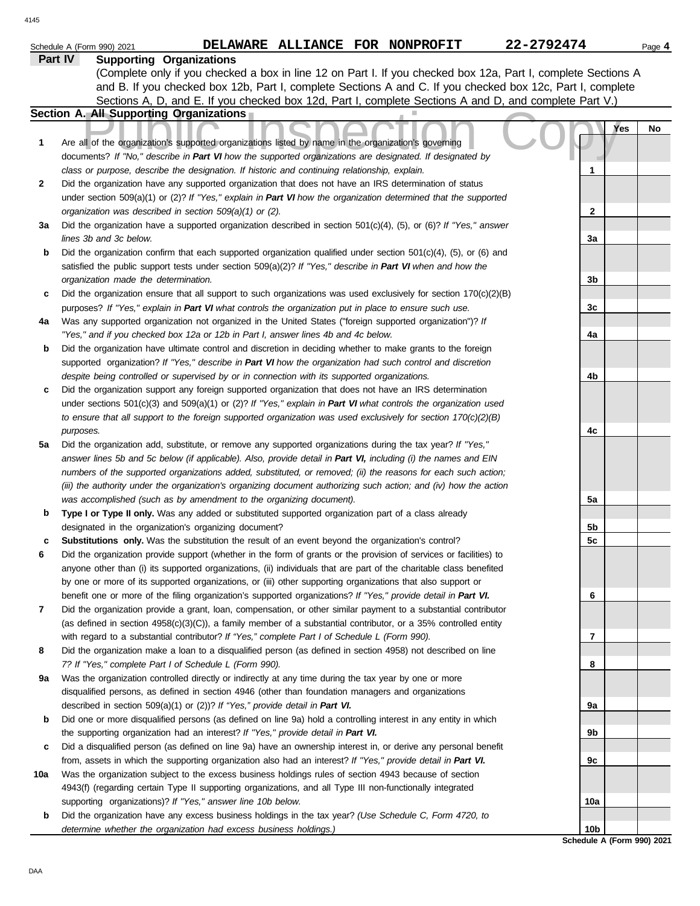|         | Schedule A (Form 990) 2021                                                                                                                                   |  | DELAWARE ALLIANCE FOR NONPROFIT | 22-2792474 |                            | Page 4 |
|---------|--------------------------------------------------------------------------------------------------------------------------------------------------------------|--|---------------------------------|------------|----------------------------|--------|
| Part IV | <b>Supporting Organizations</b>                                                                                                                              |  |                                 |            |                            |        |
|         | (Complete only if you checked a box in line 12 on Part I. If you checked box 12a, Part I, complete Sections A                                                |  |                                 |            |                            |        |
|         | and B. If you checked box 12b, Part I, complete Sections A and C. If you checked box 12c, Part I, complete                                                   |  |                                 |            |                            |        |
|         | Sections A, D, and E. If you checked box 12d, Part I, complete Sections A and D, and complete Part V.)                                                       |  |                                 |            |                            |        |
|         | Section A. All Supporting Organizations                                                                                                                      |  |                                 |            |                            |        |
|         |                                                                                                                                                              |  |                                 |            | Yes                        | No     |
| 1       | Are all of the organization's supported organizations listed by name in the organization's governing                                                         |  |                                 |            |                            |        |
|         | documents? If "No," describe in Part VI how the supported organizations are designated. If designated by                                                     |  |                                 |            |                            |        |
|         | class or purpose, describe the designation. If historic and continuing relationship, explain.                                                                |  |                                 |            | 1                          |        |
| 2       | Did the organization have any supported organization that does not have an IRS determination of status                                                       |  |                                 |            |                            |        |
|         | under section 509(a)(1) or (2)? If "Yes," explain in Part VI how the organization determined that the supported                                              |  |                                 |            |                            |        |
|         | organization was described in section 509(a)(1) or (2).                                                                                                      |  |                                 |            | $\mathbf{2}$               |        |
| За      | Did the organization have a supported organization described in section $501(c)(4)$ , (5), or (6)? If "Yes," answer                                          |  |                                 |            |                            |        |
|         | lines 3b and 3c below.                                                                                                                                       |  |                                 |            | 3a                         |        |
| b       | Did the organization confirm that each supported organization qualified under section $501(c)(4)$ , $(5)$ , or $(6)$ and                                     |  |                                 |            |                            |        |
|         | satisfied the public support tests under section 509(a)(2)? If "Yes," describe in Part VI when and how the                                                   |  |                                 |            |                            |        |
|         | organization made the determination.                                                                                                                         |  |                                 |            | 3b                         |        |
| c       | Did the organization ensure that all support to such organizations was used exclusively for section $170(c)(2)(B)$                                           |  |                                 |            |                            |        |
|         | purposes? If "Yes," explain in Part VI what controls the organization put in place to ensure such use.                                                       |  |                                 |            | 3 <sub>c</sub>             |        |
| 4a      | Was any supported organization not organized in the United States ("foreign supported organization")? If                                                     |  |                                 |            |                            |        |
|         | "Yes," and if you checked box 12a or 12b in Part I, answer lines 4b and 4c below.                                                                            |  |                                 |            | 4a                         |        |
| b       | Did the organization have ultimate control and discretion in deciding whether to make grants to the foreign                                                  |  |                                 |            |                            |        |
|         | supported organization? If "Yes," describe in Part VI how the organization had such control and discretion                                                   |  |                                 |            |                            |        |
|         | despite being controlled or supervised by or in connection with its supported organizations.                                                                 |  |                                 |            | 4b                         |        |
| c       | Did the organization support any foreign supported organization that does not have an IRS determination                                                      |  |                                 |            |                            |        |
|         | under sections $501(c)(3)$ and $509(a)(1)$ or (2)? If "Yes," explain in Part VI what controls the organization used                                          |  |                                 |            |                            |        |
|         | to ensure that all support to the foreign supported organization was used exclusively for section $170(c)(2)(B)$                                             |  |                                 |            |                            |        |
|         | purposes.                                                                                                                                                    |  |                                 |            | 4c                         |        |
| 5a      | Did the organization add, substitute, or remove any supported organizations during the tax year? If "Yes,"                                                   |  |                                 |            |                            |        |
|         | answer lines 5b and 5c below (if applicable). Also, provide detail in Part VI, including (i) the names and EIN                                               |  |                                 |            |                            |        |
|         | numbers of the supported organizations added, substituted, or removed; (ii) the reasons for each such action;                                                |  |                                 |            |                            |        |
|         | (iii) the authority under the organization's organizing document authorizing such action; and (iv) how the action                                            |  |                                 |            |                            |        |
|         | was accomplished (such as by amendment to the organizing document).                                                                                          |  |                                 |            | 5a                         |        |
| b       | Type I or Type II only. Was any added or substituted supported organization part of a class already<br>designated in the organization's organizing document? |  |                                 |            | 5b                         |        |
|         | Substitutions only. Was the substitution the result of an event beyond the organization's control?                                                           |  |                                 |            | 5c                         |        |
| с<br>6  | Did the organization provide support (whether in the form of grants or the provision of services or facilities) to                                           |  |                                 |            |                            |        |
|         | anyone other than (i) its supported organizations, (ii) individuals that are part of the charitable class benefited                                          |  |                                 |            |                            |        |
|         | by one or more of its supported organizations, or (iii) other supporting organizations that also support or                                                  |  |                                 |            |                            |        |
|         | benefit one or more of the filing organization's supported organizations? If "Yes," provide detail in Part VI.                                               |  |                                 |            | 6                          |        |
| 7       | Did the organization provide a grant, loan, compensation, or other similar payment to a substantial contributor                                              |  |                                 |            |                            |        |
|         | (as defined in section 4958(c)(3)(C)), a family member of a substantial contributor, or a 35% controlled entity                                              |  |                                 |            |                            |        |
|         | with regard to a substantial contributor? If "Yes," complete Part I of Schedule L (Form 990).                                                                |  |                                 |            | 7                          |        |
| 8       | Did the organization make a loan to a disqualified person (as defined in section 4958) not described on line                                                 |  |                                 |            |                            |        |
|         | 7? If "Yes," complete Part I of Schedule L (Form 990).                                                                                                       |  |                                 |            | 8                          |        |
| 9а      | Was the organization controlled directly or indirectly at any time during the tax year by one or more                                                        |  |                                 |            |                            |        |
|         | disqualified persons, as defined in section 4946 (other than foundation managers and organizations                                                           |  |                                 |            |                            |        |
|         | described in section 509(a)(1) or (2))? If "Yes," provide detail in Part VI.                                                                                 |  |                                 |            | 9а                         |        |
| b       | Did one or more disqualified persons (as defined on line 9a) hold a controlling interest in any entity in which                                              |  |                                 |            |                            |        |
|         | the supporting organization had an interest? If "Yes," provide detail in Part VI.                                                                            |  |                                 |            | 9b                         |        |
| c       | Did a disqualified person (as defined on line 9a) have an ownership interest in, or derive any personal benefit                                              |  |                                 |            |                            |        |
|         | from, assets in which the supporting organization also had an interest? If "Yes," provide detail in Part VI.                                                 |  |                                 |            | 9c                         |        |
| 10a     | Was the organization subject to the excess business holdings rules of section 4943 because of section                                                        |  |                                 |            |                            |        |
|         | 4943(f) (regarding certain Type II supporting organizations, and all Type III non-functionally integrated                                                    |  |                                 |            |                            |        |
|         | supporting organizations)? If "Yes," answer line 10b below.                                                                                                  |  |                                 |            | 10a                        |        |
| b       | Did the organization have any excess business holdings in the tax year? (Use Schedule C, Form 4720, to                                                       |  |                                 |            |                            |        |
|         | determine whether the organization had excess business holdings.)                                                                                            |  |                                 |            | 10b                        |        |
|         |                                                                                                                                                              |  |                                 |            | Schedule A (Form 990) 2021 |        |

4145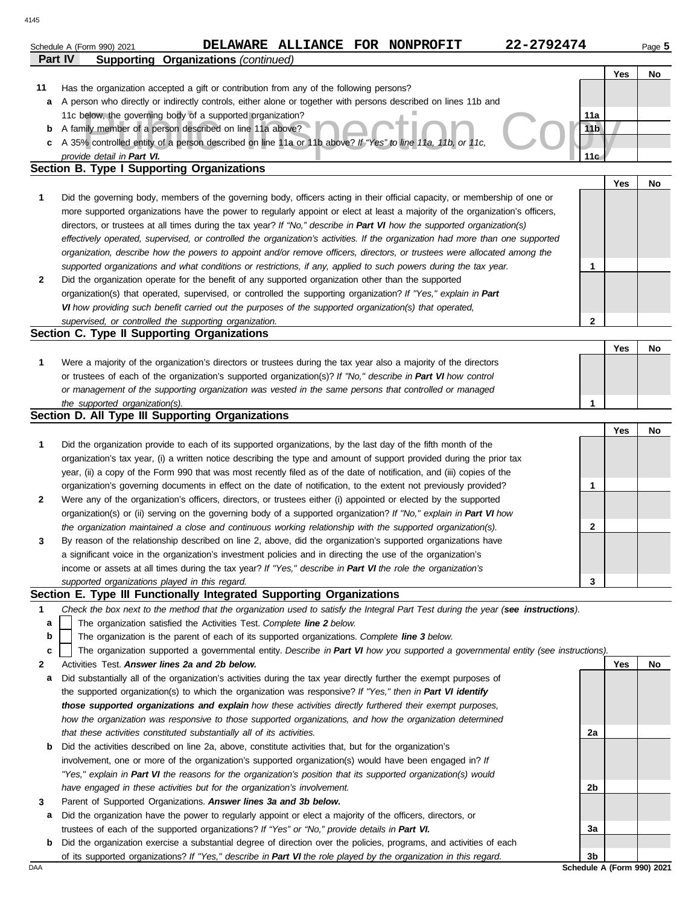|    | 22-2792474<br>DELAWARE ALLIANCE FOR NONPROFIT<br>Schedule A (Form 990) 2021                                                                                                                                                                  |                 |     | Page 5 |
|----|----------------------------------------------------------------------------------------------------------------------------------------------------------------------------------------------------------------------------------------------|-----------------|-----|--------|
|    | <b>Supporting Organizations (continued)</b><br><b>Part IV</b>                                                                                                                                                                                |                 |     |        |
|    |                                                                                                                                                                                                                                              |                 | Yes | No     |
| 11 | Has the organization accepted a gift or contribution from any of the following persons?                                                                                                                                                      |                 |     |        |
| а  | A person who directly or indirectly controls, either alone or together with persons described on lines 11b and                                                                                                                               |                 |     |        |
|    | 11c below, the governing body of a supported organization?                                                                                                                                                                                   | 11a             |     |        |
| b  | A family member of a person described on line 11a above?                                                                                                                                                                                     | 11 <sub>b</sub> |     |        |
| c  | A 35% controlled entity of a person described on line 11a or 11b above? If "Yes" to line 11a, 11b, or 11c,                                                                                                                                   |                 |     |        |
|    | provide detail in Part VI.                                                                                                                                                                                                                   | 11c             |     |        |
|    | Section B. Type I Supporting Organizations                                                                                                                                                                                                   |                 |     |        |
|    |                                                                                                                                                                                                                                              |                 | Yes | No     |
| 1  | Did the governing body, members of the governing body, officers acting in their official capacity, or membership of one or                                                                                                                   |                 |     |        |
|    | more supported organizations have the power to regularly appoint or elect at least a majority of the organization's officers,                                                                                                                |                 |     |        |
|    | directors, or trustees at all times during the tax year? If "No," describe in Part VI how the supported organization(s)                                                                                                                      |                 |     |        |
|    | effectively operated, supervised, or controlled the organization's activities. If the organization had more than one supported                                                                                                               |                 |     |        |
|    | organization, describe how the powers to appoint and/or remove officers, directors, or trustees were allocated among the<br>supported organizations and what conditions or restrictions, if any, applied to such powers during the tax year. | 1               |     |        |
| 2  | Did the organization operate for the benefit of any supported organization other than the supported                                                                                                                                          |                 |     |        |
|    | organization(s) that operated, supervised, or controlled the supporting organization? If "Yes," explain in Part                                                                                                                              |                 |     |        |
|    | VI how providing such benefit carried out the purposes of the supported organization(s) that operated,                                                                                                                                       |                 |     |        |
|    | supervised, or controlled the supporting organization.                                                                                                                                                                                       | $\mathbf{2}$    |     |        |
|    | Section C. Type II Supporting Organizations                                                                                                                                                                                                  |                 |     |        |
|    |                                                                                                                                                                                                                                              |                 | Yes | No     |
| 1  | Were a majority of the organization's directors or trustees during the tax year also a majority of the directors                                                                                                                             |                 |     |        |
|    | or trustees of each of the organization's supported organization(s)? If "No," describe in Part VI how control                                                                                                                                |                 |     |        |
|    | or management of the supporting organization was vested in the same persons that controlled or managed                                                                                                                                       |                 |     |        |
|    | the supported organization(s).                                                                                                                                                                                                               | 1               |     |        |
|    | Section D. All Type III Supporting Organizations                                                                                                                                                                                             |                 |     |        |
|    |                                                                                                                                                                                                                                              |                 | Yes | No     |
| 1  | Did the organization provide to each of its supported organizations, by the last day of the fifth month of the                                                                                                                               |                 |     |        |
|    | organization's tax year, (i) a written notice describing the type and amount of support provided during the prior tax                                                                                                                        |                 |     |        |
|    | year, (ii) a copy of the Form 990 that was most recently filed as of the date of notification, and (iii) copies of the                                                                                                                       |                 |     |        |
|    | organization's governing documents in effect on the date of notification, to the extent not previously provided?                                                                                                                             | 1               |     |        |
| 2  | Were any of the organization's officers, directors, or trustees either (i) appointed or elected by the supported                                                                                                                             |                 |     |        |
|    | organization(s) or (ii) serving on the governing body of a supported organization? If "No," explain in Part VI how                                                                                                                           |                 |     |        |
|    | the organization maintained a close and continuous working relationship with the supported organization(s).                                                                                                                                  | $\mathbf{2}$    |     |        |
| 3  | By reason of the relationship described on line 2, above, did the organization's supported organizations have                                                                                                                                |                 |     |        |
|    | a significant voice in the organization's investment policies and in directing the use of the organization's                                                                                                                                 |                 |     |        |
|    | income or assets at all times during the tax year? If "Yes," describe in Part VI the role the organization's                                                                                                                                 |                 |     |        |
|    | supported organizations played in this regard.                                                                                                                                                                                               | 3               |     |        |
|    | Section E. Type III Functionally Integrated Supporting Organizations                                                                                                                                                                         |                 |     |        |
| 1  | Check the box next to the method that the organization used to satisfy the Integral Part Test during the year (see instructions).                                                                                                            |                 |     |        |
| а  | The organization satisfied the Activities Test. Complete line 2 below.                                                                                                                                                                       |                 |     |        |
| b  | The organization is the parent of each of its supported organizations. Complete line 3 below.                                                                                                                                                |                 |     |        |
| c  | The organization supported a governmental entity. Describe in Part VI how you supported a governmental entity (see instructions).<br>Activities Test. Answer lines 2a and 2b below.                                                          |                 | Yes |        |
| 2  |                                                                                                                                                                                                                                              |                 |     | No     |
| а  | Did substantially all of the organization's activities during the tax year directly further the exempt purposes of<br>the supported organization(s) to which the organization was responsive? If "Yes," then in Part VI identify             |                 |     |        |
|    | those supported organizations and explain how these activities directly furthered their exempt purposes,                                                                                                                                     |                 |     |        |
|    | how the organization was responsive to those supported organizations, and how the organization determined                                                                                                                                    |                 |     |        |
|    | that these activities constituted substantially all of its activities.                                                                                                                                                                       | 2a              |     |        |
| b  | Did the activities described on line 2a, above, constitute activities that, but for the organization's                                                                                                                                       |                 |     |        |
|    | involvement, one or more of the organization's supported organization(s) would have been engaged in? If                                                                                                                                      |                 |     |        |
|    | "Yes," explain in Part VI the reasons for the organization's position that its supported organization(s) would                                                                                                                               |                 |     |        |
|    | have engaged in these activities but for the organization's involvement.                                                                                                                                                                     | 2b              |     |        |
| 3  | Parent of Supported Organizations. Answer lines 3a and 3b below.                                                                                                                                                                             |                 |     |        |
| а  | Did the organization have the power to regularly appoint or elect a majority of the officers, directors, or                                                                                                                                  |                 |     |        |
|    | trustees of each of the supported organizations? If "Yes" or "No," provide details in Part VI.                                                                                                                                               | За              |     |        |
|    | <b>b</b> Did the organization exercise a substantial degree of direction over the policies, programs, and activities of each                                                                                                                 |                 |     |        |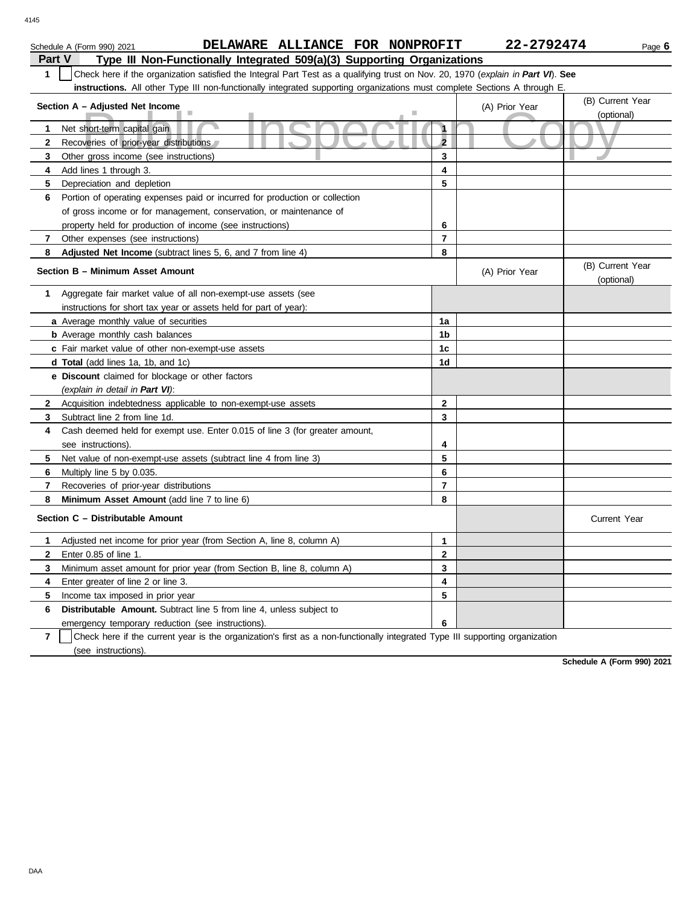| Schedule A (Form 990) 2021                                                       | DELAWARE ALLIANCE FOR NONPROFIT                                                                                                  |                         | 22-2792474     | Page 6                         |
|----------------------------------------------------------------------------------|----------------------------------------------------------------------------------------------------------------------------------|-------------------------|----------------|--------------------------------|
| <b>Part V</b>                                                                    | Type III Non-Functionally Integrated 509(a)(3) Supporting Organizations                                                          |                         |                |                                |
| 1                                                                                | Check here if the organization satisfied the Integral Part Test as a qualifying trust on Nov. 20, 1970 (explain in Part VI). See |                         |                |                                |
|                                                                                  | instructions. All other Type III non-functionally integrated supporting organizations must complete Sections A through E.        |                         |                |                                |
| Section A - Adjusted Net Income                                                  |                                                                                                                                  | п                       | (A) Prior Year | (B) Current Year<br>(optional) |
| 1<br>Net short-term capital gain                                                 |                                                                                                                                  | $\mathbf{1}$            |                |                                |
| Recoveries of prior-year distributions<br>$\mathbf{2}$                           |                                                                                                                                  | $\overline{2}$          |                |                                |
| 3<br>Other gross income (see instructions)                                       |                                                                                                                                  | 3                       |                |                                |
| 4<br>Add lines 1 through 3.                                                      |                                                                                                                                  | 4                       |                |                                |
| 5<br>Depreciation and depletion                                                  |                                                                                                                                  | 5                       |                |                                |
| Portion of operating expenses paid or incurred for production or collection<br>6 |                                                                                                                                  |                         |                |                                |
| of gross income or for management, conservation, or maintenance of               |                                                                                                                                  |                         |                |                                |
| property held for production of income (see instructions)                        |                                                                                                                                  | 6                       |                |                                |
| 7<br>Other expenses (see instructions)                                           |                                                                                                                                  | $\overline{7}$          |                |                                |
| Adjusted Net Income (subtract lines 5, 6, and 7 from line 4)<br>8                |                                                                                                                                  | 8                       |                |                                |
| Section B - Minimum Asset Amount                                                 |                                                                                                                                  |                         | (A) Prior Year | (B) Current Year<br>(optional) |
| $\mathbf{1}$<br>Aggregate fair market value of all non-exempt-use assets (see    |                                                                                                                                  |                         |                |                                |
| instructions for short tax year or assets held for part of year):                |                                                                                                                                  |                         |                |                                |
| a Average monthly value of securities                                            |                                                                                                                                  | 1a                      |                |                                |
| <b>b</b> Average monthly cash balances                                           |                                                                                                                                  | 1 <sub>b</sub>          |                |                                |
| c Fair market value of other non-exempt-use assets                               |                                                                                                                                  | 1 <sup>c</sup>          |                |                                |
| <b>d Total</b> (add lines 1a, 1b, and 1c)                                        |                                                                                                                                  | 1d                      |                |                                |
| <b>e</b> Discount claimed for blockage or other factors                          |                                                                                                                                  |                         |                |                                |
| (explain in detail in Part VI):                                                  |                                                                                                                                  |                         |                |                                |
| $\mathbf{2}$<br>Acquisition indebtedness applicable to non-exempt-use assets     |                                                                                                                                  | $\mathbf{2}$            |                |                                |
| 3<br>Subtract line 2 from line 1d.                                               |                                                                                                                                  | 3                       |                |                                |
| Cash deemed held for exempt use. Enter 0.015 of line 3 (for greater amount,<br>4 |                                                                                                                                  |                         |                |                                |
| see instructions).                                                               |                                                                                                                                  | 4                       |                |                                |
| 5<br>Net value of non-exempt-use assets (subtract line 4 from line 3)            |                                                                                                                                  | 5                       |                |                                |
| 6<br>Multiply line 5 by 0.035.                                                   |                                                                                                                                  | 6                       |                |                                |
| 7<br>Recoveries of prior-year distributions                                      |                                                                                                                                  | $\overline{\mathbf{r}}$ |                |                                |
| 8<br>Minimum Asset Amount (add line 7 to line 6)                                 |                                                                                                                                  | 8                       |                |                                |
| Section C - Distributable Amount                                                 |                                                                                                                                  |                         |                | <b>Current Year</b>            |
| Adjusted net income for prior year (from Section A, line 8, column A)<br>1       |                                                                                                                                  | 1                       |                |                                |
| $\mathbf{2}$<br>Enter 0.85 of line 1.                                            |                                                                                                                                  | $\mathbf{2}$            |                |                                |
| 3<br>Minimum asset amount for prior year (from Section B, line 8, column A)      |                                                                                                                                  | 3                       |                |                                |
| 4<br>Enter greater of line 2 or line 3.                                          |                                                                                                                                  | 4                       |                |                                |
| 5<br>Income tax imposed in prior year                                            |                                                                                                                                  | 5                       |                |                                |

**7** emergency temporary reduction (see instructions). (see instructions). Check here if the current year is the organization's first as a non-functionally integrated Type III supporting organization **6**

**Distributable Amount.** Subtract line 5 from line 4, unless subject to

**Schedule A (Form 990) 2021**

**6**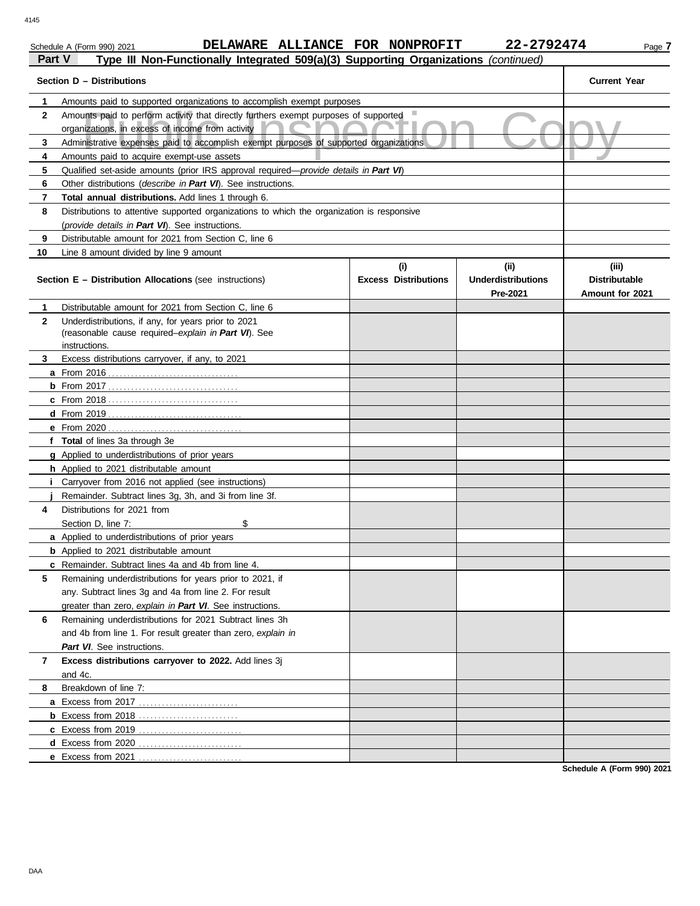Other distributions (*describe in Part VI*). See instructions. **Total annual distributions.** Add lines 1 through 6.

(*provide details in Part VI*). See instructions. Distributable amount for 2021 from Section C, line 6

Distributable amount for 2021 from Section C, line 6 Underdistributions, if any, for years prior to 2021 (reasonable cause required–*explain in Part VI*). See

Line 8 amount divided by line 9 amount

**a** From 2016 . . . . . . . . . . . . . . . . . . . . . . . . . . . . . . . . . . **b** From 2017 . . . . . . . . . . . . . . . . . . . . . . . . . . . . . . . . . . **c** From 2018 . . . . . . . . . . . . . . . . . . . . . . . . . . . . . . . . . . **d** From 2019 . . . . . . . . . . . . . . . . . . . . . . . . . . . . . . . . . . . **e** From 2020 . . . . . . . . . . . . . . . . . . . . . . . . . . . . . . . . . . .

Excess distributions carryover, if any, to 2021

**g** Applied to underdistributions of prior years **h** Applied to 2021 distributable amount

**a** Applied to underdistributions of prior years **b** Applied to 2021 distributable amount

**a** Excess from 2017 . . . . . . . . . . . . . . . . . . . . . . . . . . **b** Excess from 2018 . . . . . . . . . . . . . . . . . . . . . . . . . . **c** Excess from 2019 . . . . . . . . . . . . . . . . . . . . . . . . . . . **d** Excess from 2020 . . . . . . . . . . . . . . . . . . . . . . . . . . . **e** Excess from 2021 . . . . . . . . . . . . . . . . . . . . . . . . . . .

**c** Remainder. Subtract lines 4a and 4b from line 4.

Remaining underdistributions for years prior to 2021, if any. Subtract lines 3g and 4a from line 2. For result greater than zero, *explain in Part VI*. See instructions. Remaining underdistributions for 2021 Subtract lines 3h and 4b from line 1. For result greater than zero, *explain in*

**Excess distributions carryover to 2022.** Add lines 3j

Section D, line 7: \$

**i** Carryover from 2016 not applied (see instructions) **j** Remainder. Subtract lines 3g, 3h, and 3i from line 3f.

**f Total** of lines 3a through 3e

Distributions for 2021 from

*Part VI*. See instructions.

Breakdown of line 7:

Distributions to attentive supported organizations to which the organization is responsive

**Section E – Distribution Allocations** (see instructions) **Excess Distributions** 

Qualified set-aside amounts (prior IRS approval required—*provide details in Part VI*)

**9 10**

**3**

instructions.

**2 1**

|        | 22-2792474<br>ALLIANCE FOR NONPROFIT<br><b>DELAWARE</b><br>Schedule A (Form 990) 2021 | Page 7              |
|--------|---------------------------------------------------------------------------------------|---------------------|
| Part V | Type III Non-Functionally Integrated 509(a)(3) Supporting Organizations (continued)   |                     |
|        | Section D - Distributions                                                             | <b>Current Year</b> |
|        | Amounts paid to supported organizations to accomplish exempt purposes                 |                     |
|        | Amounts paid to perform activity that directly furthers exempt purposes of supported  |                     |
|        | organizations, in excess of income from activity                                      |                     |
|        | Administrative expenses paid to accomplish exempt purposes of supported organizations |                     |
|        | Amounts paid to acquire exempt-use assets                                             |                     |

**(i) (ii)**

**Underdistributions Pre-2021**

**Schedule A (Form 990) 2021**

**(iii) Distributable Amount for 2021**

**8**

**7**

and 4c.

**6**

**5**

**4**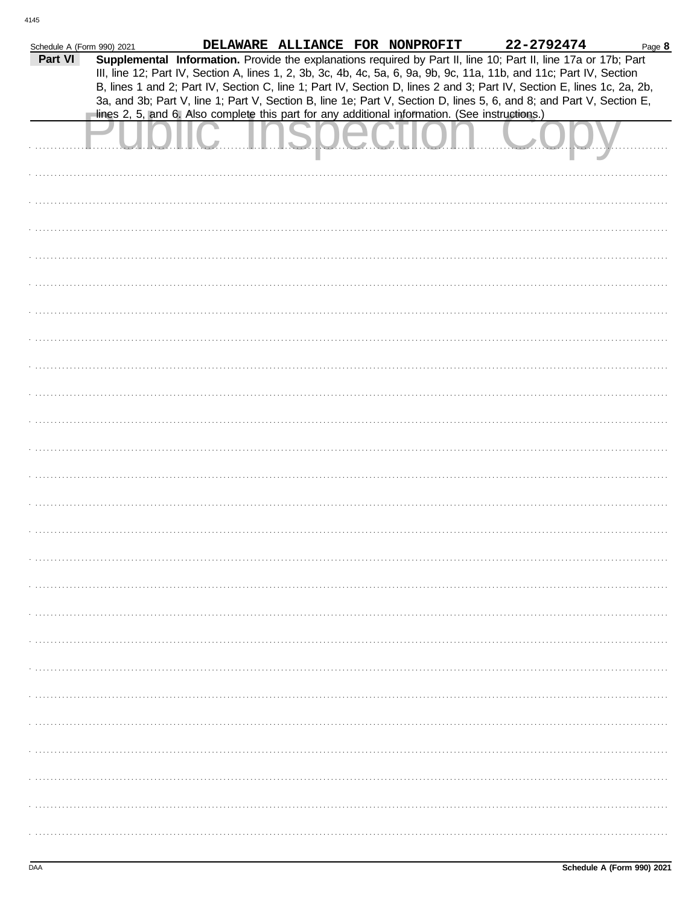| Schedule A (Form 990) 2021 |                                                                                                |  |              | DELAWARE ALLIANCE FOR NONPROFIT | 22-2792474                                                                                                                                                                                                                                     | Page 8 |
|----------------------------|------------------------------------------------------------------------------------------------|--|--------------|---------------------------------|------------------------------------------------------------------------------------------------------------------------------------------------------------------------------------------------------------------------------------------------|--------|
| Part VI                    |                                                                                                |  |              |                                 | Supplemental Information. Provide the explanations required by Part II, line 10; Part II, line 17a or 17b; Part<br>III, line 12; Part IV, Section A, lines 1, 2, 3b, 3c, 4b, 4c, 5a, 6, 9a, 9b, 9c, 11a, 11b, and 11c; Part IV, Section        |        |
|                            | lines 2, 5, and 6. Also complete this part for any additional information. (See instructions.) |  |              |                                 | B, lines 1 and 2; Part IV, Section C, line 1; Part IV, Section D, lines 2 and 3; Part IV, Section E, lines 1c, 2a, 2b,<br>3a, and 3b; Part V, line 1; Part V, Section B, line 1e; Part V, Section D, lines 5, 6, and 8; and Part V, Section E, |        |
|                            |                                                                                                |  | <b>Decuc</b> |                                 |                                                                                                                                                                                                                                                |        |
|                            |                                                                                                |  |              |                                 |                                                                                                                                                                                                                                                |        |
|                            |                                                                                                |  |              |                                 |                                                                                                                                                                                                                                                |        |
|                            |                                                                                                |  |              |                                 |                                                                                                                                                                                                                                                |        |
|                            |                                                                                                |  |              |                                 |                                                                                                                                                                                                                                                |        |
|                            |                                                                                                |  |              |                                 |                                                                                                                                                                                                                                                |        |
|                            |                                                                                                |  |              |                                 |                                                                                                                                                                                                                                                |        |
|                            |                                                                                                |  |              |                                 |                                                                                                                                                                                                                                                |        |
|                            |                                                                                                |  |              |                                 |                                                                                                                                                                                                                                                |        |
|                            |                                                                                                |  |              |                                 |                                                                                                                                                                                                                                                |        |
|                            |                                                                                                |  |              |                                 |                                                                                                                                                                                                                                                |        |
|                            |                                                                                                |  |              |                                 |                                                                                                                                                                                                                                                |        |
|                            |                                                                                                |  |              |                                 |                                                                                                                                                                                                                                                |        |
|                            |                                                                                                |  |              |                                 |                                                                                                                                                                                                                                                |        |
|                            |                                                                                                |  |              |                                 |                                                                                                                                                                                                                                                |        |
|                            |                                                                                                |  |              |                                 |                                                                                                                                                                                                                                                |        |
|                            |                                                                                                |  |              |                                 |                                                                                                                                                                                                                                                |        |
|                            |                                                                                                |  |              |                                 |                                                                                                                                                                                                                                                |        |
|                            |                                                                                                |  |              |                                 |                                                                                                                                                                                                                                                |        |
|                            |                                                                                                |  |              |                                 |                                                                                                                                                                                                                                                |        |
|                            |                                                                                                |  |              |                                 |                                                                                                                                                                                                                                                |        |
|                            |                                                                                                |  |              |                                 |                                                                                                                                                                                                                                                |        |
|                            |                                                                                                |  |              |                                 |                                                                                                                                                                                                                                                |        |
|                            |                                                                                                |  |              |                                 |                                                                                                                                                                                                                                                |        |
|                            |                                                                                                |  |              |                                 |                                                                                                                                                                                                                                                |        |
|                            |                                                                                                |  |              |                                 |                                                                                                                                                                                                                                                |        |
|                            |                                                                                                |  |              |                                 |                                                                                                                                                                                                                                                |        |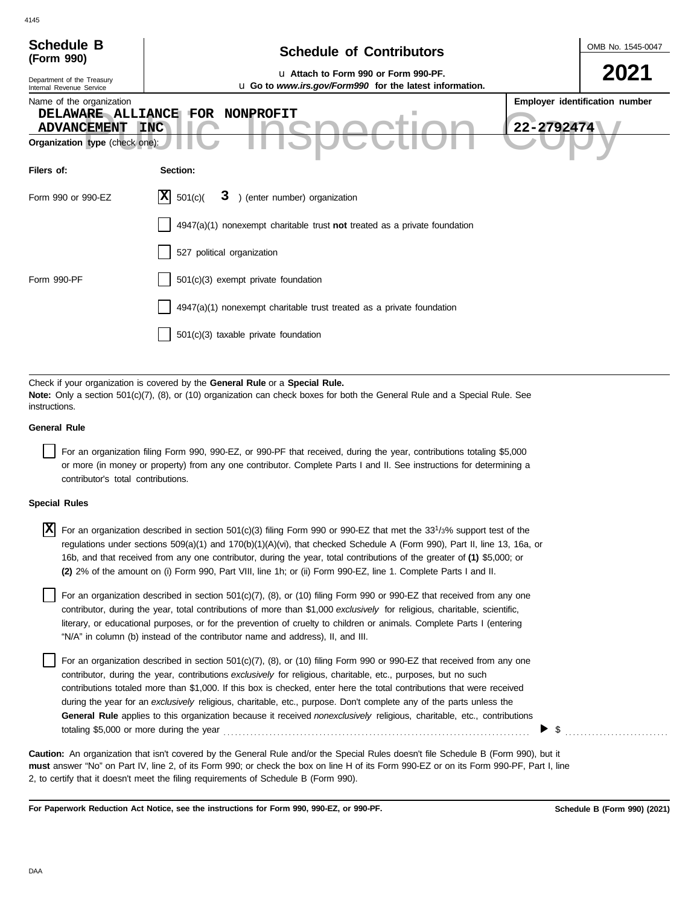| <b>Schedule B</b><br>(Form 990)<br>Department of the Treasury                                                                                      | <b>Schedule of Contributors</b><br>La Attach to Form 990 or Form 990-PF.  | OMB No. 1545-0047<br>2021 |  |  |  |  |  |
|----------------------------------------------------------------------------------------------------------------------------------------------------|---------------------------------------------------------------------------|---------------------------|--|--|--|--|--|
| Internal Revenue Service                                                                                                                           | u Go to www.irs.gov/Form990 for the latest information.                   |                           |  |  |  |  |  |
| Employer identification number<br>Name of the organization<br>DELAWARE ALLIANCE FOR<br>NONPROFIT<br>22-2792474<br><b>INC</b><br><b>ADVANCEMENT</b> |                                                                           |                           |  |  |  |  |  |
| Organization type (check one):                                                                                                                     |                                                                           |                           |  |  |  |  |  |
| Filers of:                                                                                                                                         | Section:                                                                  |                           |  |  |  |  |  |
| Form 990 or 990-EZ                                                                                                                                 | IХ<br>501(c)<br>) (enter number) organization<br>3                        |                           |  |  |  |  |  |
|                                                                                                                                                    | 4947(a)(1) nonexempt charitable trust not treated as a private foundation |                           |  |  |  |  |  |
|                                                                                                                                                    | 527 political organization                                                |                           |  |  |  |  |  |
| Form 990-PF                                                                                                                                        | 501(c)(3) exempt private foundation                                       |                           |  |  |  |  |  |
|                                                                                                                                                    | 4947(a)(1) nonexempt charitable trust treated as a private foundation     |                           |  |  |  |  |  |
|                                                                                                                                                    | 501(c)(3) taxable private foundation                                      |                           |  |  |  |  |  |
|                                                                                                                                                    |                                                                           |                           |  |  |  |  |  |

Check if your organization is covered by the **General Rule** or a **Special Rule. Note:** Only a section 501(c)(7), (8), or (10) organization can check boxes for both the General Rule and a Special Rule. See instructions.

# **General Rule**

For an organization filing Form 990, 990-EZ, or 990-PF that received, during the year, contributions totaling \$5,000 or more (in money or property) from any one contributor. Complete Parts I and II. See instructions for determining a contributor's total contributions.

### **Special Rules**

X For an organization described in section 501(c)(3) filing Form 990 or 990-EZ that met the 33<sup>1</sup>/3% support test of the regulations under sections 509(a)(1) and 170(b)(1)(A)(vi), that checked Schedule A (Form 990), Part II, line 13, 16a, or 16b, and that received from any one contributor, during the year, total contributions of the greater of **(1)** \$5,000; or **(2)** 2% of the amount on (i) Form 990, Part VIII, line 1h; or (ii) Form 990-EZ, line 1. Complete Parts I and II.

literary, or educational purposes, or for the prevention of cruelty to children or animals. Complete Parts I (entering For an organization described in section  $501(c)(7)$ ,  $(8)$ , or  $(10)$  filing Form 990 or 990-EZ that received from any one contributor, during the year, total contributions of more than \$1,000 *exclusively* for religious, charitable, scientific, "N/A" in column (b) instead of the contributor name and address), II, and III.

For an organization described in section 501(c)(7), (8), or (10) filing Form 990 or 990-EZ that received from any one contributor, during the year, contributions *exclusively* for religious, charitable, etc., purposes, but no such contributions totaled more than \$1,000. If this box is checked, enter here the total contributions that were received during the year for an *exclusively* religious, charitable, etc., purpose. Don't complete any of the parts unless the **General Rule** applies to this organization because it received *nonexclusively* religious, charitable, etc., contributions totaling \$5,000 or more during the year . . . . . . . . . . . . . . . . . . . . . . . . . . . . . . . . . . . . . . . . . . . . . . . . . . . . . . . . . . . . . . . . . . . . . . . . . . . . . . . .

**must** answer "No" on Part IV, line 2, of its Form 990; or check the box on line H of its Form 990-EZ or on its Form 990-PF, Part I, line 2, to certify that it doesn't meet the filing requirements of Schedule B (Form 990). **Caution:** An organization that isn't covered by the General Rule and/or the Special Rules doesn't file Schedule B (Form 990), but it

**For Paperwork Reduction Act Notice, see the instructions for Form 990, 990-EZ, or 990-PF.**

 $\triangleright$   $\$$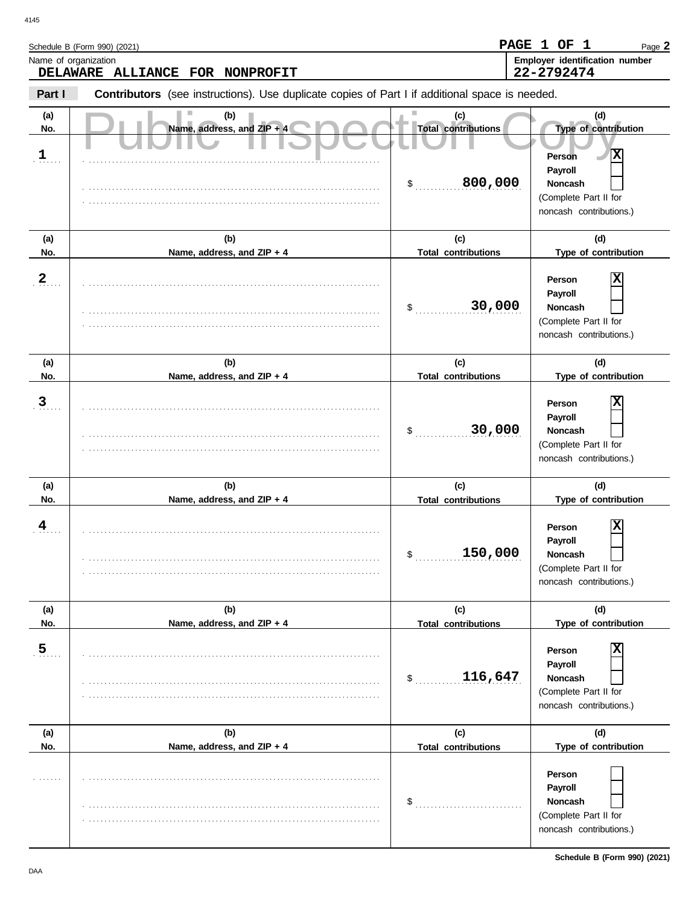Schedule B (Form 990) (2021)

|                         | Name of organization<br>Employer identification number<br>22-2792474<br>DELAWARE ALLIANCE<br>FOR<br><b>NONPROFIT</b> |                                                    |                                                                                                                                            |  |  |  |  |  |  |  |
|-------------------------|----------------------------------------------------------------------------------------------------------------------|----------------------------------------------------|--------------------------------------------------------------------------------------------------------------------------------------------|--|--|--|--|--|--|--|
| Part I                  | <b>Contributors</b> (see instructions). Use duplicate copies of Part I if additional space is needed.                |                                                    |                                                                                                                                            |  |  |  |  |  |  |  |
| (a)<br>No.<br>$1$       | (b)<br>Name, address, and ZIP + 4                                                                                    | (c)<br><b>Total contributions</b><br>800,000<br>\$ | (d)<br>Type of contribution<br>$\overline{\mathbf{x}}$<br>Person<br>Payroll<br>Noncash<br>(Complete Part II for<br>noncash contributions.) |  |  |  |  |  |  |  |
| (a)<br>No.              | (b)<br>Name, address, and ZIP + 4                                                                                    | (c)<br><b>Total contributions</b>                  | (d)<br>Type of contribution                                                                                                                |  |  |  |  |  |  |  |
| $\boldsymbol{2}$        |                                                                                                                      | 30,000<br>\$                                       | Person<br>Payroll<br>Noncash<br>(Complete Part II for<br>noncash contributions.)                                                           |  |  |  |  |  |  |  |
| (a)<br>No.              | (b)<br>Name, address, and ZIP + 4                                                                                    | (c)<br><b>Total contributions</b>                  | (d)<br>Type of contribution                                                                                                                |  |  |  |  |  |  |  |
| 3                       |                                                                                                                      | 30,000<br>\$                                       | Person<br>Payroll<br><b>Noncash</b><br>(Complete Part II for<br>noncash contributions.)                                                    |  |  |  |  |  |  |  |
| (a)<br>No.              | (b)<br>Name, address, and ZIP + 4                                                                                    | (c)<br><b>Total contributions</b>                  | (d)<br>Type of contribution                                                                                                                |  |  |  |  |  |  |  |
| $\overline{\mathbf{4}}$ |                                                                                                                      | 150,000<br>\$                                      | Person<br>Payroll<br><b>Noncash</b><br>(Complete Part II for<br>noncash contributions.)                                                    |  |  |  |  |  |  |  |
| (a)<br>No.              | (b)<br>Name, address, and ZIP + 4                                                                                    | (c)<br><b>Total contributions</b>                  | (d)<br>Type of contribution                                                                                                                |  |  |  |  |  |  |  |
| $\overline{5}$          |                                                                                                                      | 116,647<br>\$                                      | X<br>Person<br>Payroll<br><b>Noncash</b><br>(Complete Part II for<br>noncash contributions.)                                               |  |  |  |  |  |  |  |
| (a)<br>No.              | (b)<br>Name, address, and ZIP + 4                                                                                    | (c)<br><b>Total contributions</b>                  | (d)<br>Type of contribution                                                                                                                |  |  |  |  |  |  |  |
|                         |                                                                                                                      | \$                                                 | Person<br>Payroll<br>Noncash<br>(Complete Part II for                                                                                      |  |  |  |  |  |  |  |

Page **2**

**PAGE 1 OF 1**

noncash contributions.)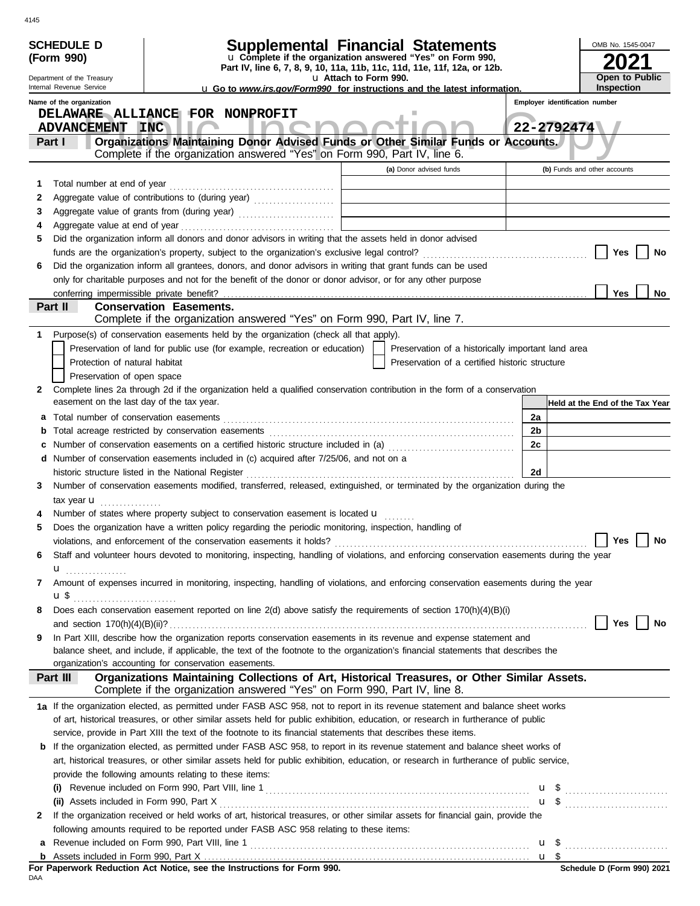|        | <b>SCHEDULE D</b>                                           | <b>Supplemental Financial Statements</b>                                                                                                                                  |                       |                                                    |    |            | OMB No. 1545-0047               |
|--------|-------------------------------------------------------------|---------------------------------------------------------------------------------------------------------------------------------------------------------------------------|-----------------------|----------------------------------------------------|----|------------|---------------------------------|
|        | (Form 990)                                                  | u Complete if the organization answered "Yes" on Form 990,                                                                                                                |                       |                                                    |    |            |                                 |
|        | Department of the Treasury                                  | Part IV, line 6, 7, 8, 9, 10, 11a, 11b, 11c, 11d, 11e, 11f, 12a, or 12b.                                                                                                  | u Attach to Form 990. |                                                    |    |            | <b>Open to Public</b>           |
|        | Internal Revenue Service                                    | <b>u</b> Go to <i>www.irs.gov/Form990</i> for instructions and the latest information.                                                                                    |                       |                                                    |    |            | Inspection                      |
|        | Name of the organization<br>DELAWARE ALLIANCE FOR NONPROFIT |                                                                                                                                                                           |                       |                                                    |    |            | Employer identification number  |
|        | ADVANCEMENT INC                                             |                                                                                                                                                                           |                       |                                                    |    | 22-2792474 |                                 |
|        | Part I                                                      | Organizations Maintaining Donor Advised Funds or Other Similar Funds or Accounts.                                                                                         |                       |                                                    |    |            |                                 |
|        |                                                             | Complete if the organization answered "Yes" on Form 990, Part IV, line 6.                                                                                                 |                       |                                                    |    |            |                                 |
|        |                                                             |                                                                                                                                                                           |                       | (a) Donor advised funds                            |    |            | (b) Funds and other accounts    |
| 1      | Total number at end of year                                 |                                                                                                                                                                           |                       |                                                    |    |            |                                 |
| 2      |                                                             |                                                                                                                                                                           |                       |                                                    |    |            |                                 |
| 3<br>4 |                                                             |                                                                                                                                                                           |                       |                                                    |    |            |                                 |
| 5      |                                                             | Did the organization inform all donors and donor advisors in writing that the assets held in donor advised                                                                |                       |                                                    |    |            |                                 |
|        |                                                             |                                                                                                                                                                           |                       |                                                    |    |            | Yes<br>No                       |
| 6      |                                                             | Did the organization inform all grantees, donors, and donor advisors in writing that grant funds can be used                                                              |                       |                                                    |    |            |                                 |
|        |                                                             | only for charitable purposes and not for the benefit of the donor or donor advisor, or for any other purpose                                                              |                       |                                                    |    |            |                                 |
|        | conferring impermissible private benefit?                   |                                                                                                                                                                           |                       |                                                    |    |            | Yes<br>No                       |
|        | Part II                                                     | <b>Conservation Easements.</b><br>Complete if the organization answered "Yes" on Form 990, Part IV, line 7.                                                               |                       |                                                    |    |            |                                 |
| 1      |                                                             | Purpose(s) of conservation easements held by the organization (check all that apply).                                                                                     |                       |                                                    |    |            |                                 |
|        |                                                             | Preservation of land for public use (for example, recreation or education)                                                                                                |                       | Preservation of a historically important land area |    |            |                                 |
|        | Protection of natural habitat                               |                                                                                                                                                                           |                       | Preservation of a certified historic structure     |    |            |                                 |
|        | Preservation of open space                                  |                                                                                                                                                                           |                       |                                                    |    |            |                                 |
| 2      |                                                             | Complete lines 2a through 2d if the organization held a qualified conservation contribution in the form of a conservation                                                 |                       |                                                    |    |            |                                 |
|        | easement on the last day of the tax year.                   |                                                                                                                                                                           |                       |                                                    |    |            | Held at the End of the Tax Year |
| а      |                                                             |                                                                                                                                                                           |                       |                                                    | 2a |            |                                 |
| b      |                                                             |                                                                                                                                                                           |                       |                                                    | 2b |            |                                 |
|        |                                                             |                                                                                                                                                                           |                       |                                                    | 2c |            |                                 |
| d      |                                                             | Number of conservation easements included in (c) acquired after 7/25/06, and not on a                                                                                     |                       |                                                    |    |            |                                 |
|        |                                                             | historic structure listed in the National Register                                                                                                                        |                       |                                                    | 2d |            |                                 |
| 3      |                                                             | Number of conservation easements modified, transferred, released, extinguished, or terminated by the organization during the                                              |                       |                                                    |    |            |                                 |
|        | tax year $\mathbf{u}$                                       | Number of states where property subject to conservation easement is located u                                                                                             |                       |                                                    |    |            |                                 |
| 5      |                                                             | Does the organization have a written policy regarding the periodic monitoring, inspection, handling of                                                                    |                       |                                                    |    |            |                                 |
|        |                                                             | violations, and enforcement of the conservation easements it holds? $\Box$ Yes $\Box$ No                                                                                  |                       |                                                    |    |            |                                 |
| 6      |                                                             | Staff and volunteer hours devoted to monitoring, inspecting, handling of violations, and enforcing conservation easements during the year                                 |                       |                                                    |    |            |                                 |
|        | u <sub></sub>                                               |                                                                                                                                                                           |                       |                                                    |    |            |                                 |
| 7      |                                                             | Amount of expenses incurred in monitoring, inspecting, handling of violations, and enforcing conservation easements during the year                                       |                       |                                                    |    |            |                                 |
|        | <b>u</b> \$                                                 |                                                                                                                                                                           |                       |                                                    |    |            |                                 |
| 8      |                                                             | Does each conservation easement reported on line 2(d) above satisfy the requirements of section 170(h)(4)(B)(i)                                                           |                       |                                                    |    |            |                                 |
|        |                                                             |                                                                                                                                                                           |                       |                                                    |    |            | Yes<br>No                       |
| 9      |                                                             | In Part XIII, describe how the organization reports conservation easements in its revenue and expense statement and                                                       |                       |                                                    |    |            |                                 |
|        |                                                             | balance sheet, and include, if applicable, the text of the footnote to the organization's financial statements that describes the                                         |                       |                                                    |    |            |                                 |
|        |                                                             | organization's accounting for conservation easements.                                                                                                                     |                       |                                                    |    |            |                                 |
|        | Part III                                                    | Organizations Maintaining Collections of Art, Historical Treasures, or Other Similar Assets.<br>Complete if the organization answered "Yes" on Form 990, Part IV, line 8. |                       |                                                    |    |            |                                 |
|        |                                                             | 1a If the organization elected, as permitted under FASB ASC 958, not to report in its revenue statement and balance sheet works                                           |                       |                                                    |    |            |                                 |
|        |                                                             | of art, historical treasures, or other similar assets held for public exhibition, education, or research in furtherance of public                                         |                       |                                                    |    |            |                                 |
|        |                                                             | service, provide in Part XIII the text of the footnote to its financial statements that describes these items.                                                            |                       |                                                    |    |            |                                 |
| b      |                                                             | If the organization elected, as permitted under FASB ASC 958, to report in its revenue statement and balance sheet works of                                               |                       |                                                    |    |            |                                 |
|        |                                                             | art, historical treasures, or other similar assets held for public exhibition, education, or research in furtherance of public service,                                   |                       |                                                    |    |            |                                 |
|        |                                                             | provide the following amounts relating to these items:                                                                                                                    |                       |                                                    |    |            |                                 |
|        |                                                             |                                                                                                                                                                           |                       |                                                    |    |            | <b>u</b> \$                     |
| 2      | (ii) Assets included in Form 990, Part X                    | If the organization received or held works of art, historical treasures, or other similar assets for financial gain, provide the                                          |                       |                                                    |    |            |                                 |
|        |                                                             | following amounts required to be reported under FASB ASC 958 relating to these items:                                                                                     |                       |                                                    |    |            |                                 |
| а      |                                                             |                                                                                                                                                                           |                       |                                                    |    | u \$       |                                 |
| b      |                                                             |                                                                                                                                                                           |                       |                                                    |    |            |                                 |
|        |                                                             | For Paperwork Reduction Act Notice, see the Instructions for Form 990.                                                                                                    |                       |                                                    |    |            | Schedule D (Form 990) 2021      |

FOF F<br>Daa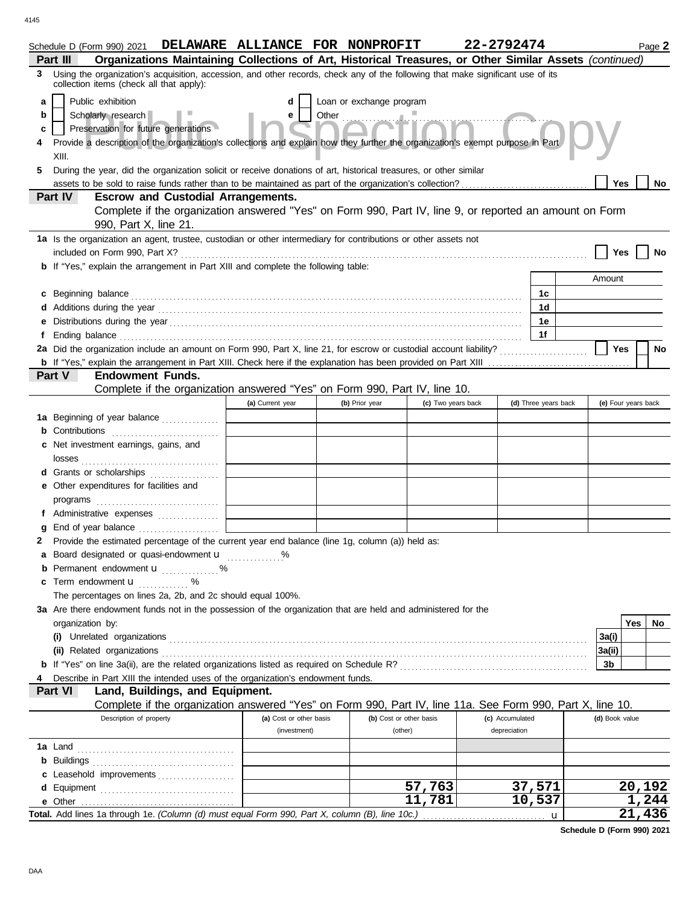|    | Schedule D (Form 990) 2021 DELAWARE ALLIANCE FOR NONPROFIT                                                                                                                  |                         |  |                         |                    | 22-2792474 |                 |                      |                | Page 2              |
|----|-----------------------------------------------------------------------------------------------------------------------------------------------------------------------------|-------------------------|--|-------------------------|--------------------|------------|-----------------|----------------------|----------------|---------------------|
|    | Organizations Maintaining Collections of Art, Historical Treasures, or Other Similar Assets (continued)<br>Part III                                                         |                         |  |                         |                    |            |                 |                      |                |                     |
| 3. | Using the organization's acquisition, accession, and other records, check any of the following that make significant use of its<br>collection items (check all that apply): |                         |  |                         |                    |            |                 |                      |                |                     |
| a  | Public exhibition<br>Loan or exchange program                                                                                                                               |                         |  |                         |                    |            |                 |                      |                |                     |
| b  | Other <b>Communication</b><br>Scholarly research<br>e                                                                                                                       |                         |  |                         |                    |            |                 |                      |                |                     |
| c  | Preservation for future generations                                                                                                                                         |                         |  |                         |                    |            |                 |                      |                |                     |
|    | Provide a description of the organization's collections and explain how they further the organization's exempt purpose in Part                                              |                         |  |                         |                    |            |                 |                      |                |                     |
|    | XIII.                                                                                                                                                                       |                         |  |                         |                    |            |                 |                      |                |                     |
|    | During the year, did the organization solicit or receive donations of art, historical treasures, or other similar                                                           |                         |  |                         |                    |            |                 |                      |                |                     |
|    |                                                                                                                                                                             |                         |  |                         |                    |            |                 |                      | Yes            | No                  |
|    | <b>Escrow and Custodial Arrangements.</b><br>Part IV                                                                                                                        |                         |  |                         |                    |            |                 |                      |                |                     |
|    | Complete if the organization answered "Yes" on Form 990, Part IV, line 9, or reported an amount on Form                                                                     |                         |  |                         |                    |            |                 |                      |                |                     |
|    | 990, Part X, line 21.                                                                                                                                                       |                         |  |                         |                    |            |                 |                      |                |                     |
|    | 1a Is the organization an agent, trustee, custodian or other intermediary for contributions or other assets not                                                             |                         |  |                         |                    |            |                 |                      |                |                     |
|    |                                                                                                                                                                             |                         |  |                         |                    |            |                 |                      | Yes            |                     |
|    | <b>b</b> If "Yes," explain the arrangement in Part XIII and complete the following table:                                                                                   |                         |  |                         |                    |            |                 |                      |                |                     |
|    |                                                                                                                                                                             |                         |  |                         |                    |            |                 |                      | Amount         |                     |
|    | c Beginning balance                                                                                                                                                         |                         |  |                         |                    |            |                 | 1c                   |                |                     |
|    |                                                                                                                                                                             |                         |  |                         |                    |            |                 | 1d                   |                |                     |
|    |                                                                                                                                                                             |                         |  |                         |                    |            |                 | 1е                   |                |                     |
|    |                                                                                                                                                                             |                         |  |                         |                    |            |                 | 1f                   |                |                     |
|    | 2a Did the organization include an amount on Form 990, Part X, line 21, for escrow or custodial account liability?                                                          |                         |  |                         |                    |            |                 |                      | Yes            | No                  |
|    |                                                                                                                                                                             |                         |  |                         |                    |            |                 |                      |                |                     |
|    | Part V<br><b>Endowment Funds.</b>                                                                                                                                           |                         |  |                         |                    |            |                 |                      |                |                     |
|    | Complete if the organization answered "Yes" on Form 990, Part IV, line 10.                                                                                                  |                         |  |                         |                    |            |                 |                      |                |                     |
|    |                                                                                                                                                                             | (a) Current year        |  | (b) Prior year          | (c) Two years back |            |                 | (d) Three years back |                | (e) Four years back |
|    | 1a Beginning of year balance                                                                                                                                                |                         |  |                         |                    |            |                 |                      |                |                     |
|    | <b>b</b> Contributions $\ldots$                                                                                                                                             |                         |  |                         |                    |            |                 |                      |                |                     |
|    | c Net investment earnings, gains, and                                                                                                                                       |                         |  |                         |                    |            |                 |                      |                |                     |
|    | losses                                                                                                                                                                      |                         |  |                         |                    |            |                 |                      |                |                     |
|    | d Grants or scholarships                                                                                                                                                    |                         |  |                         |                    |            |                 |                      |                |                     |
|    | e Other expenditures for facilities and                                                                                                                                     |                         |  |                         |                    |            |                 |                      |                |                     |
|    |                                                                                                                                                                             |                         |  |                         |                    |            |                 |                      |                |                     |
|    | f Administrative expenses                                                                                                                                                   |                         |  |                         |                    |            |                 |                      |                |                     |
|    | g End of year balance                                                                                                                                                       |                         |  |                         |                    |            |                 |                      |                |                     |
|    | Provide the estimated percentage of the current year end balance (line 1g, column (a)) held as:                                                                             |                         |  |                         |                    |            |                 |                      |                |                     |
|    | Board designated or quasi-endowment u                                                                                                                                       |                         |  |                         |                    |            |                 |                      |                |                     |
|    | <b>b</b> Permanent endowment <b>u</b> %                                                                                                                                     |                         |  |                         |                    |            |                 |                      |                |                     |
|    | c Term endowment <b>u</b> %                                                                                                                                                 |                         |  |                         |                    |            |                 |                      |                |                     |
|    | The percentages on lines 2a, 2b, and 2c should equal 100%.                                                                                                                  |                         |  |                         |                    |            |                 |                      |                |                     |
|    | 3a Are there endowment funds not in the possession of the organization that are held and administered for the                                                               |                         |  |                         |                    |            |                 |                      |                |                     |
|    | organization by:                                                                                                                                                            |                         |  |                         |                    |            |                 |                      |                | <b>Yes</b><br>No.   |
|    |                                                                                                                                                                             |                         |  |                         |                    |            |                 |                      | 3a(i)          |                     |
|    | (ii) Related organizations                                                                                                                                                  |                         |  |                         |                    |            |                 |                      | 3a(ii)         |                     |
|    |                                                                                                                                                                             |                         |  |                         |                    |            |                 |                      | 3b             |                     |
|    | Describe in Part XIII the intended uses of the organization's endowment funds.                                                                                              |                         |  |                         |                    |            |                 |                      |                |                     |
|    | Part VI<br>Land, Buildings, and Equipment.                                                                                                                                  |                         |  |                         |                    |            |                 |                      |                |                     |
|    | Complete if the organization answered "Yes" on Form 990, Part IV, line 11a. See Form 990, Part X, line 10.                                                                  |                         |  |                         |                    |            |                 |                      |                |                     |
|    | Description of property                                                                                                                                                     | (a) Cost or other basis |  | (b) Cost or other basis |                    |            | (c) Accumulated |                      | (d) Book value |                     |
|    |                                                                                                                                                                             | (investment)            |  | (other)                 |                    |            | depreciation    |                      |                |                     |
|    | <b>1a</b> Land                                                                                                                                                              |                         |  |                         |                    |            |                 |                      |                |                     |
|    | <b>b</b> Buildings                                                                                                                                                          |                         |  |                         |                    |            |                 |                      |                |                     |
|    | c Leasehold improvements                                                                                                                                                    |                         |  |                         |                    |            |                 |                      |                |                     |
|    |                                                                                                                                                                             |                         |  |                         | 57,763             |            |                 | 37,571               |                | 20,192              |
|    |                                                                                                                                                                             |                         |  |                         | 11,781             |            |                 | 10,537               |                | 1,244               |
|    |                                                                                                                                                                             |                         |  |                         |                    |            |                 |                      |                | 21,436              |

**Schedule D (Form 990) 2021**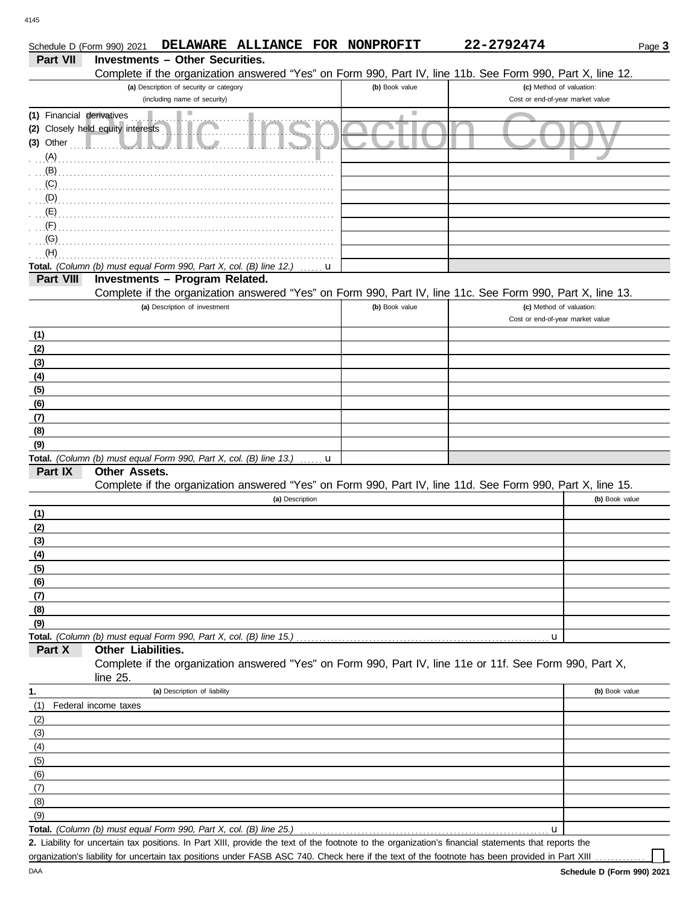| Schedule D (Form 990) 2021 | DELAWARE ALLIANCE FOR NONPROFIT                                                                            |                | 22-2792474                                                   | Page 3         |
|----------------------------|------------------------------------------------------------------------------------------------------------|----------------|--------------------------------------------------------------|----------------|
| <b>Part VII</b>            | <b>Investments - Other Securities.</b>                                                                     |                |                                                              |                |
|                            | Complete if the organization answered "Yes" on Form 990, Part IV, line 11b. See Form 990, Part X, line 12. |                |                                                              |                |
|                            | (a) Description of security or category                                                                    | (b) Book value | (c) Method of valuation:                                     |                |
|                            | (including name of security)                                                                               |                | Cost or end-of-year market value                             |                |
| (1) Financial derivatives  |                                                                                                            | ш              |                                                              |                |
|                            | (2) Closely held equity interests                                                                          |                |                                                              |                |
| $(3)$ Other                |                                                                                                            |                |                                                              |                |
| $(A)$ .                    |                                                                                                            |                |                                                              |                |
| (B)<br>(C)                 |                                                                                                            |                |                                                              |                |
| (D)                        |                                                                                                            |                |                                                              |                |
| (E)                        |                                                                                                            |                |                                                              |                |
| (F)                        |                                                                                                            |                |                                                              |                |
| (G)                        |                                                                                                            |                |                                                              |                |
| (H)                        |                                                                                                            |                |                                                              |                |
|                            | Total. (Column (b) must equal Form 990, Part X, col. (B) line 12.)<br>u                                    |                |                                                              |                |
| Part VIII                  | Investments - Program Related.                                                                             |                |                                                              |                |
|                            | Complete if the organization answered "Yes" on Form 990, Part IV, line 11c. See Form 990, Part X, line 13. |                |                                                              |                |
|                            | (a) Description of investment                                                                              | (b) Book value | (c) Method of valuation:<br>Cost or end-of-year market value |                |
|                            |                                                                                                            |                |                                                              |                |
| (1)<br>(2)                 |                                                                                                            |                |                                                              |                |
| (3)                        |                                                                                                            |                |                                                              |                |
| (4)                        |                                                                                                            |                |                                                              |                |
| (5)                        |                                                                                                            |                |                                                              |                |
| (6)                        |                                                                                                            |                |                                                              |                |
| (7)                        |                                                                                                            |                |                                                              |                |
| (8)                        |                                                                                                            |                |                                                              |                |
| (9)                        |                                                                                                            |                |                                                              |                |
| Part IX                    | Total. (Column (b) must equal Form 990, Part X, col. (B) line 13.)<br>u<br>Other Assets.                   |                |                                                              |                |
|                            | Complete if the organization answered "Yes" on Form 990, Part IV, line 11d. See Form 990, Part X, line 15. |                |                                                              |                |
|                            | (a) Description                                                                                            |                |                                                              | (b) Book value |
| (1)                        |                                                                                                            |                |                                                              |                |
| (2)                        |                                                                                                            |                |                                                              |                |
| (3)                        |                                                                                                            |                |                                                              |                |
| <u>(4)</u>                 |                                                                                                            |                |                                                              |                |
| (5)                        |                                                                                                            |                |                                                              |                |
| (6)                        |                                                                                                            |                |                                                              |                |
| (7)                        |                                                                                                            |                |                                                              |                |
| (8)                        |                                                                                                            |                |                                                              |                |
| (9)                        | Total. (Column (b) must equal Form 990, Part X, col. (B) line 15.)                                         |                | u                                                            |                |
| Part X                     | Other Liabilities.                                                                                         |                |                                                              |                |
|                            | Complete if the organization answered "Yes" on Form 990, Part IV, line 11e or 11f. See Form 990, Part X,   |                |                                                              |                |
|                            | line 25.                                                                                                   |                |                                                              |                |
| 1.                         | (a) Description of liability                                                                               |                |                                                              | (b) Book value |
| (1)                        | Federal income taxes                                                                                       |                |                                                              |                |
| (2)                        |                                                                                                            |                |                                                              |                |
| (3)                        |                                                                                                            |                |                                                              |                |
| (4)                        |                                                                                                            |                |                                                              |                |
| (5)                        |                                                                                                            |                |                                                              |                |
| (6)<br>(7)                 |                                                                                                            |                |                                                              |                |
| (8)                        |                                                                                                            |                |                                                              |                |
| (9)                        |                                                                                                            |                |                                                              |                |
|                            | Total. (Column (b) must equal Form 990, Part X, col. (B) line 25.)                                         |                | u                                                            |                |
|                            |                                                                                                            |                |                                                              |                |

Liability for uncertain tax positions. In Part XIII, provide the text of the footnote to the organization's financial statements that reports the **2.** organization's liability for uncertain tax positions under FASB ASC 740. Check here if the text of the footnote has been provided in Part XIII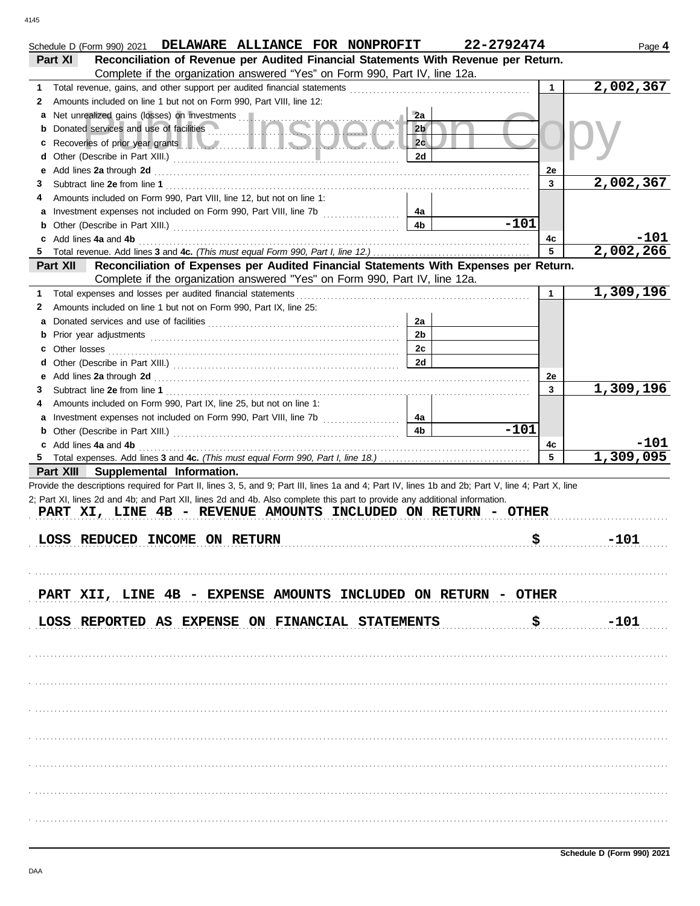|                                                                                                | Schedule D (Form 990) 2021 DELAWARE ALLIANCE FOR NONPROFIT                                                                                                                                                                           |                | 22-2792474 |                           | Page 4    |  |
|------------------------------------------------------------------------------------------------|--------------------------------------------------------------------------------------------------------------------------------------------------------------------------------------------------------------------------------------|----------------|------------|---------------------------|-----------|--|
| Reconciliation of Revenue per Audited Financial Statements With Revenue per Return.<br>Part XI |                                                                                                                                                                                                                                      |                |            |                           |           |  |
|                                                                                                | Complete if the organization answered "Yes" on Form 990, Part IV, line 12a.                                                                                                                                                          |                |            |                           |           |  |
| 1                                                                                              | Total revenue, gains, and other support per audited financial statements                                                                                                                                                             |                |            | $\mathbf{1}$              | 2,002,367 |  |
| 2                                                                                              | Amounts included on line 1 but not on Form 990, Part VIII, line 12:                                                                                                                                                                  |                |            |                           |           |  |
| а                                                                                              | Net unrealized gains (losses) on investments                                                                                                                                                                                         | 2a             |            |                           |           |  |
|                                                                                                | Donated services and use of facilities                                                                                                                                                                                               | 2 <sub>b</sub> |            |                           |           |  |
| c                                                                                              | Recoveries of prior year grants <b>the contract of the contract of the contract of the contract of the contract of the contract of the contract of the contract of the contract of the contract of the contract of the contract </b> | 2c             |            |                           |           |  |
| d                                                                                              |                                                                                                                                                                                                                                      | 2d             |            |                           |           |  |
| е                                                                                              |                                                                                                                                                                                                                                      |                |            | 2e                        |           |  |
| 3                                                                                              |                                                                                                                                                                                                                                      |                |            | 3                         | 2,002,367 |  |
|                                                                                                | Amounts included on Form 990, Part VIII, line 12, but not on line 1:                                                                                                                                                                 |                |            |                           |           |  |
| а                                                                                              | Investment expenses not included on Form 990, Part VIII, line 7b [100] [100] [100] [100] [100] [100] [100] [100] [100] [100] [100] [100] [100] [100] [100] [100] [100] [100] [100] [100] [100] [100] [100] [100] [100] [100] [       | 4а             |            |                           |           |  |
| b                                                                                              |                                                                                                                                                                                                                                      | 4b             | $-101$     |                           |           |  |
|                                                                                                | Add lines 4a and 4b                                                                                                                                                                                                                  |                |            | 4с                        | $-101$    |  |
| 5.                                                                                             |                                                                                                                                                                                                                                      |                |            | 5                         | 2,002,266 |  |
|                                                                                                | Part XII<br>Reconciliation of Expenses per Audited Financial Statements With Expenses per Return.                                                                                                                                    |                |            |                           |           |  |
|                                                                                                | Complete if the organization answered "Yes" on Form 990, Part IV, line 12a.                                                                                                                                                          |                |            |                           |           |  |
| 1                                                                                              | Total expenses and losses per audited financial statements                                                                                                                                                                           |                |            | $\mathbf 1$               | 1,309,196 |  |
| 2                                                                                              | Amounts included on line 1 but not on Form 990, Part IX, line 25:                                                                                                                                                                    |                |            |                           |           |  |
| а                                                                                              |                                                                                                                                                                                                                                      | 2a             |            |                           |           |  |
| b                                                                                              |                                                                                                                                                                                                                                      | 2 <sub>b</sub> |            |                           |           |  |
| c                                                                                              | Other losses                                                                                                                                                                                                                         | 2c             |            |                           |           |  |
| d                                                                                              |                                                                                                                                                                                                                                      | 2d             |            |                           |           |  |
| е                                                                                              | Add lines 2a through 2d [11] March 2014 [12] March 2014 [12] March 2014 [12] March 2014 [12] March 2014 [12] March 2015 [12] March 2014 [12] March 2014 [12] March 2014 [12] March 2014 [12] March 2014 [12] March 2014 [12] M       |                |            | 2e                        |           |  |
| 3                                                                                              |                                                                                                                                                                                                                                      |                |            | 3                         | 1,309,196 |  |
|                                                                                                | Amounts included on Form 990, Part IX, line 25, but not on line 1:                                                                                                                                                                   |                |            |                           |           |  |
| а                                                                                              |                                                                                                                                                                                                                                      | 4a             |            |                           |           |  |
| b                                                                                              |                                                                                                                                                                                                                                      | 4 <sub>b</sub> | $-101$     |                           |           |  |
|                                                                                                | c Add lines 4a and 4b                                                                                                                                                                                                                |                |            | 4c                        | $-101$    |  |
|                                                                                                |                                                                                                                                                                                                                                      |                |            | 5                         | 1,309,095 |  |
|                                                                                                | Part XIII Supplemental Information.                                                                                                                                                                                                  |                |            |                           |           |  |
|                                                                                                | Provide the descriptions required for Part II, lines 3, 5, and 9; Part III, lines 1a and 4; Part IV, lines 1b and 2b; Part V, line 4; Part X, line                                                                                   |                |            |                           |           |  |
|                                                                                                | 2; Part XI, lines 2d and 4b; and Part XII, lines 2d and 4b. Also complete this part to provide any additional information.                                                                                                           |                |            |                           |           |  |
|                                                                                                | PART XI, LINE 4B - REVENUE AMOUNTS INCLUDED ON RETURN - OTHER                                                                                                                                                                        |                |            |                           |           |  |
|                                                                                                |                                                                                                                                                                                                                                      |                |            |                           |           |  |
|                                                                                                | LOSS REDUCED INCOME ON RETURN                                                                                                                                                                                                        |                |            | $\boldsymbol{\mathsf{S}}$ | $-101$    |  |
|                                                                                                |                                                                                                                                                                                                                                      |                |            |                           |           |  |
|                                                                                                |                                                                                                                                                                                                                                      |                |            |                           |           |  |
|                                                                                                |                                                                                                                                                                                                                                      |                |            |                           |           |  |
|                                                                                                | PART XII, LINE 4B - EXPENSE AMOUNTS INCLUDED ON RETURN - OTHER                                                                                                                                                                       |                |            |                           |           |  |
|                                                                                                |                                                                                                                                                                                                                                      |                |            |                           |           |  |
|                                                                                                | LOSS REPORTED AS EXPENSE ON FINANCIAL STATEMENTS                                                                                                                                                                                     |                |            |                           | -101      |  |
|                                                                                                |                                                                                                                                                                                                                                      |                |            |                           |           |  |
|                                                                                                |                                                                                                                                                                                                                                      |                |            |                           |           |  |
|                                                                                                |                                                                                                                                                                                                                                      |                |            |                           |           |  |
|                                                                                                |                                                                                                                                                                                                                                      |                |            |                           |           |  |
|                                                                                                |                                                                                                                                                                                                                                      |                |            |                           |           |  |
|                                                                                                |                                                                                                                                                                                                                                      |                |            |                           |           |  |
|                                                                                                |                                                                                                                                                                                                                                      |                |            |                           |           |  |
|                                                                                                |                                                                                                                                                                                                                                      |                |            |                           |           |  |
|                                                                                                |                                                                                                                                                                                                                                      |                |            |                           |           |  |
|                                                                                                |                                                                                                                                                                                                                                      |                |            |                           |           |  |
|                                                                                                |                                                                                                                                                                                                                                      |                |            |                           |           |  |
|                                                                                                |                                                                                                                                                                                                                                      |                |            |                           |           |  |
|                                                                                                |                                                                                                                                                                                                                                      |                |            |                           |           |  |
|                                                                                                |                                                                                                                                                                                                                                      |                |            |                           |           |  |
|                                                                                                |                                                                                                                                                                                                                                      |                |            |                           |           |  |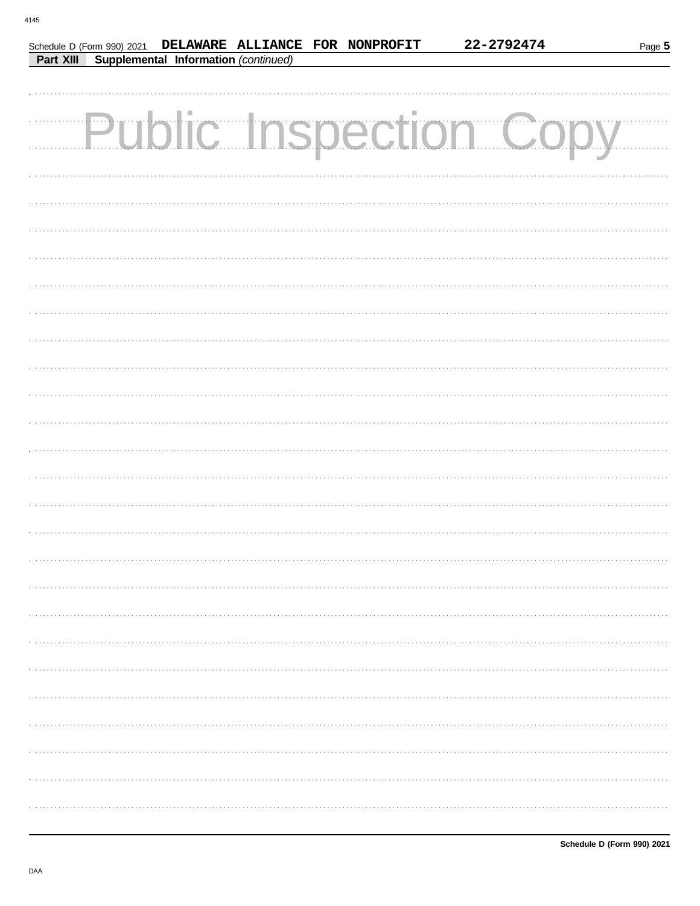|           |                                      |  | Schedule D (Form 990) 2021 DELAWARE ALLIANCE FOR NONPROFIT | 22-2792474 | Page 5 |
|-----------|--------------------------------------|--|------------------------------------------------------------|------------|--------|
| Part XIII | Supplemental Information (continued) |  |                                                            |            |        |
|           |                                      |  |                                                            |            |        |
|           |                                      |  |                                                            |            |        |
|           |                                      |  | <b>Public Inspection Copy</b>                              |            |        |
|           |                                      |  |                                                            |            |        |
|           |                                      |  |                                                            |            |        |
|           |                                      |  |                                                            |            |        |
|           |                                      |  |                                                            |            |        |
|           |                                      |  |                                                            |            |        |
|           |                                      |  |                                                            |            |        |
|           |                                      |  |                                                            |            |        |
|           |                                      |  |                                                            |            |        |
|           |                                      |  |                                                            |            |        |
|           |                                      |  |                                                            |            |        |
|           |                                      |  |                                                            |            |        |
|           |                                      |  |                                                            |            |        |
|           |                                      |  |                                                            |            |        |
|           |                                      |  |                                                            |            |        |
|           |                                      |  |                                                            |            |        |
|           |                                      |  |                                                            |            |        |
|           |                                      |  |                                                            |            |        |
|           |                                      |  |                                                            |            |        |
|           |                                      |  |                                                            |            |        |
|           |                                      |  |                                                            |            |        |
|           |                                      |  |                                                            |            |        |
|           |                                      |  |                                                            |            |        |
|           |                                      |  |                                                            |            |        |
|           |                                      |  |                                                            |            |        |
|           |                                      |  |                                                            |            |        |
|           |                                      |  |                                                            |            |        |
|           |                                      |  |                                                            |            |        |
|           |                                      |  |                                                            |            |        |
|           |                                      |  |                                                            |            |        |
|           |                                      |  |                                                            |            |        |
|           |                                      |  |                                                            |            |        |
|           |                                      |  |                                                            |            |        |
|           |                                      |  |                                                            |            |        |
|           |                                      |  |                                                            |            |        |
|           |                                      |  |                                                            |            |        |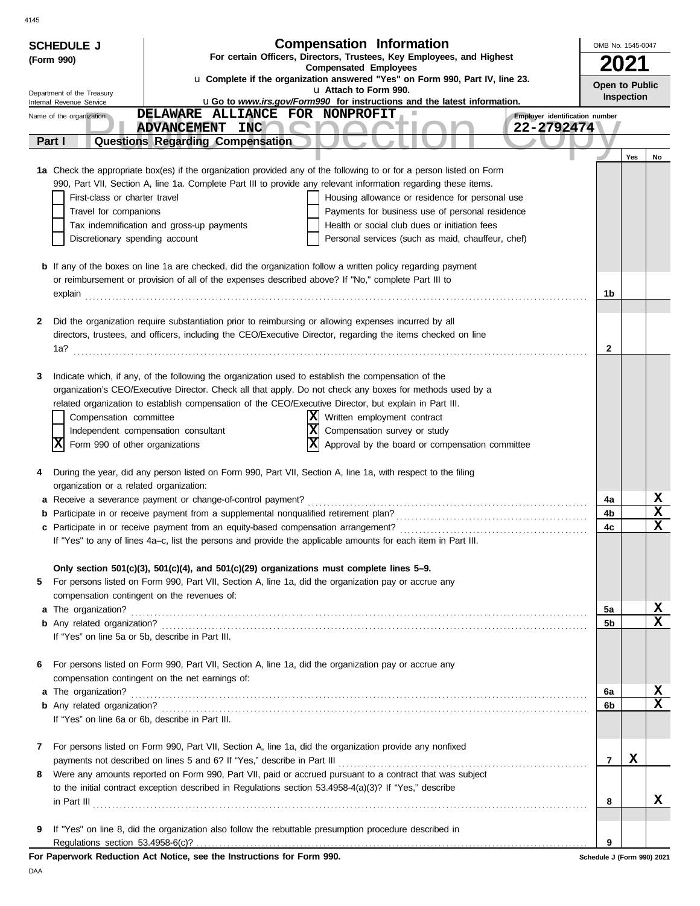|   | <b>SCHEDULE J</b>                       |                                                                                                     | <b>Compensation Information</b>                                                                                                                                                                                                         | OMB No. 1545-0047 |                   |    |
|---|-----------------------------------------|-----------------------------------------------------------------------------------------------------|-----------------------------------------------------------------------------------------------------------------------------------------------------------------------------------------------------------------------------------------|-------------------|-------------------|----|
|   | (Form 990)                              |                                                                                                     | For certain Officers, Directors, Trustees, Key Employees, and Highest                                                                                                                                                                   | 2021              |                   |    |
|   |                                         |                                                                                                     | <b>Compensated Employees</b>                                                                                                                                                                                                            |                   |                   |    |
|   | Department of the Treasury              |                                                                                                     | u Complete if the organization answered "Yes" on Form 990, Part IV, line 23.<br>u Attach to Form 990.                                                                                                                                   | Open to Public    |                   |    |
|   | Internal Revenue Service                |                                                                                                     | uGo to www.irs.gov/Form990 for instructions and the latest information.                                                                                                                                                                 |                   | <b>Inspection</b> |    |
|   | Name of the organization                | DELAWARE ALLIANCE FOR NONPROFIT                                                                     | Employer identification number                                                                                                                                                                                                          |                   |                   |    |
|   |                                         | <b>ADVANCEMENT</b><br><b>INC</b>                                                                    | 22-2792474                                                                                                                                                                                                                              |                   |                   |    |
|   | Part I                                  | Questions Regarding Compensation                                                                    |                                                                                                                                                                                                                                         |                   |                   |    |
|   |                                         |                                                                                                     |                                                                                                                                                                                                                                         |                   | Yes               | No |
|   |                                         |                                                                                                     | 1a Check the appropriate box(es) if the organization provided any of the following to or for a person listed on Form<br>990, Part VII, Section A, line 1a. Complete Part III to provide any relevant information regarding these items. |                   |                   |    |
|   | First-class or charter travel           |                                                                                                     | Housing allowance or residence for personal use                                                                                                                                                                                         |                   |                   |    |
|   | Travel for companions                   |                                                                                                     | Payments for business use of personal residence                                                                                                                                                                                         |                   |                   |    |
|   |                                         | Tax indemnification and gross-up payments                                                           | Health or social club dues or initiation fees                                                                                                                                                                                           |                   |                   |    |
|   | Discretionary spending account          |                                                                                                     | Personal services (such as maid, chauffeur, chef)                                                                                                                                                                                       |                   |                   |    |
|   |                                         |                                                                                                     |                                                                                                                                                                                                                                         |                   |                   |    |
|   |                                         |                                                                                                     | <b>b</b> If any of the boxes on line 1a are checked, did the organization follow a written policy regarding payment                                                                                                                     |                   |                   |    |
|   |                                         | or reimbursement or provision of all of the expenses described above? If "No," complete Part III to |                                                                                                                                                                                                                                         |                   |                   |    |
|   | explain                                 |                                                                                                     |                                                                                                                                                                                                                                         | 1b                |                   |    |
|   |                                         |                                                                                                     |                                                                                                                                                                                                                                         |                   |                   |    |
| 2 |                                         |                                                                                                     | Did the organization require substantiation prior to reimbursing or allowing expenses incurred by all                                                                                                                                   |                   |                   |    |
|   |                                         |                                                                                                     | directors, trustees, and officers, including the CEO/Executive Director, regarding the items checked on line                                                                                                                            |                   |                   |    |
|   |                                         |                                                                                                     |                                                                                                                                                                                                                                         | 2                 |                   |    |
|   |                                         |                                                                                                     |                                                                                                                                                                                                                                         |                   |                   |    |
| 3 |                                         | Indicate which, if any, of the following the organization used to establish the compensation of the |                                                                                                                                                                                                                                         |                   |                   |    |
|   |                                         |                                                                                                     | organization's CEO/Executive Director. Check all that apply. Do not check any boxes for methods used by a                                                                                                                               |                   |                   |    |
|   |                                         |                                                                                                     | related organization to establish compensation of the CEO/Executive Director, but explain in Part III.                                                                                                                                  |                   |                   |    |
|   | Compensation committee                  |                                                                                                     | Written employment contract<br>図                                                                                                                                                                                                        |                   |                   |    |
|   | ΙX<br>Form 990 of other organizations   | Independent compensation consultant                                                                 | Compensation survey or study<br>Approval by the board or compensation committee                                                                                                                                                         |                   |                   |    |
|   |                                         |                                                                                                     |                                                                                                                                                                                                                                         |                   |                   |    |
| 4 |                                         |                                                                                                     | During the year, did any person listed on Form 990, Part VII, Section A, line 1a, with respect to the filing                                                                                                                            |                   |                   |    |
|   | organization or a related organization: |                                                                                                     |                                                                                                                                                                                                                                         |                   |                   |    |
|   |                                         | a Receive a severance payment or change-of-control payment?                                         |                                                                                                                                                                                                                                         | 4a                |                   | x  |
| b |                                         |                                                                                                     |                                                                                                                                                                                                                                         | 4b                |                   | х  |
| c |                                         |                                                                                                     |                                                                                                                                                                                                                                         | 4c                |                   | x  |
|   |                                         |                                                                                                     | If "Yes" to any of lines 4a-c, list the persons and provide the applicable amounts for each item in Part III.                                                                                                                           |                   |                   |    |
|   |                                         |                                                                                                     |                                                                                                                                                                                                                                         |                   |                   |    |
|   |                                         | Only section $501(c)(3)$ , $501(c)(4)$ , and $501(c)(29)$ organizations must complete lines $5-9$ . |                                                                                                                                                                                                                                         |                   |                   |    |
| 5 |                                         |                                                                                                     | For persons listed on Form 990, Part VII, Section A, line 1a, did the organization pay or accrue any                                                                                                                                    |                   |                   |    |
|   |                                         | compensation contingent on the revenues of:                                                         |                                                                                                                                                                                                                                         |                   |                   |    |
|   | a The organization?                     |                                                                                                     |                                                                                                                                                                                                                                         | 5a                |                   | x  |
|   |                                         |                                                                                                     |                                                                                                                                                                                                                                         | 5b                |                   | x  |
|   |                                         | If "Yes" on line 5a or 5b, describe in Part III.                                                    |                                                                                                                                                                                                                                         |                   |                   |    |
|   |                                         |                                                                                                     |                                                                                                                                                                                                                                         |                   |                   |    |
| 6 |                                         |                                                                                                     | For persons listed on Form 990, Part VII, Section A, line 1a, did the organization pay or accrue any                                                                                                                                    |                   |                   |    |
|   |                                         | compensation contingent on the net earnings of:                                                     |                                                                                                                                                                                                                                         | 6a                |                   | x  |
|   | a The organization?                     |                                                                                                     |                                                                                                                                                                                                                                         | 6b                |                   | X  |
|   |                                         | If "Yes" on line 6a or 6b, describe in Part III.                                                    |                                                                                                                                                                                                                                         |                   |                   |    |
|   |                                         |                                                                                                     |                                                                                                                                                                                                                                         |                   |                   |    |
| 7 |                                         |                                                                                                     | For persons listed on Form 990, Part VII, Section A, line 1a, did the organization provide any nonfixed                                                                                                                                 |                   |                   |    |
|   |                                         | payments not described on lines 5 and 6? If "Yes," describe in Part III                             |                                                                                                                                                                                                                                         | 7                 | X                 |    |
| 8 |                                         |                                                                                                     | Were any amounts reported on Form 990, Part VII, paid or accrued pursuant to a contract that was subject                                                                                                                                |                   |                   |    |
|   |                                         |                                                                                                     | to the initial contract exception described in Regulations section 53.4958-4(a)(3)? If "Yes," describe                                                                                                                                  |                   |                   |    |
|   |                                         |                                                                                                     | $\ $ n Part III $\ $                                                                                                                                                                                                                    | 8                 |                   | X  |
|   |                                         |                                                                                                     |                                                                                                                                                                                                                                         |                   |                   |    |
| 9 |                                         |                                                                                                     | If "Yes" on line 8, did the organization also follow the rebuttable presumption procedure described in                                                                                                                                  |                   |                   |    |
|   |                                         |                                                                                                     |                                                                                                                                                                                                                                         | 9                 |                   |    |

For Paperwork Reduction Act Notice, see the Instructions for Form 990. **Schedule J** (Form 990) 2021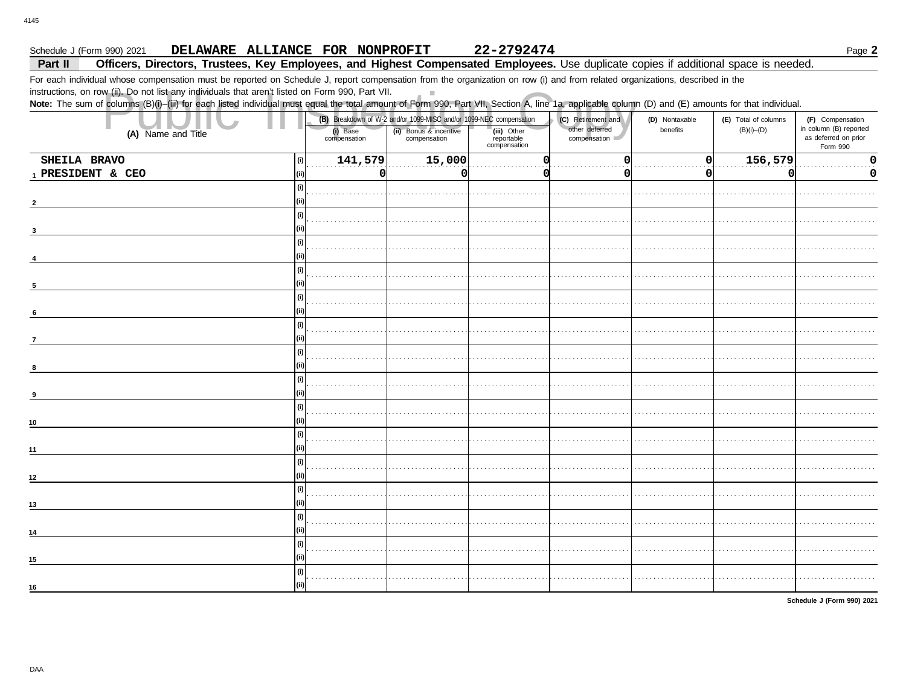#### 22-2792474 Schedule J (Form 990) 2021 DELAWARE ALLIANCE FOR NONPROFIT

Part II Officers, Directors, Trustees, Key Employees, and Highest Compensated Employees. Use duplicate copies if additional space is needed.

 $\mathbb{R}^n$ 

For each individual whose compensation must be reported on Schedule J, report compensation from the organization on row (i) and from related organizations, described in the

instructions, on row (ii). Do not list any individuals that aren't listed on Form 990, Part VII.

Note: The sum of columns (B)(i)-(iii) for each listed individual must equal the total amount of Form 990, Part VII, Section A, line 1a, applicable column (D) and (E) amounts for that individual.

| (A) Name and Title |                            | (i) Base<br>compensation | (B) Breakdown of W-2 and/or 1099-MISC and/or 1099-NEC compensation<br>(ii) Bonus & incentive<br>compensation | (iii) Other<br>reportable<br>compensation | (C) Retirement and<br>other deferred<br>compensation | (D) Nontaxable<br>benefits | (E) Total of columns<br>$(B)(i)$ - $(D)$ | (F) Compensation<br>in column (B) reported<br>as deferred on prior<br>Form 990 |
|--------------------|----------------------------|--------------------------|--------------------------------------------------------------------------------------------------------------|-------------------------------------------|------------------------------------------------------|----------------------------|------------------------------------------|--------------------------------------------------------------------------------|
| SHEILA BRAVO       | (i)                        | 141,579                  | 15,000                                                                                                       |                                           |                                                      | 0                          | 156,579                                  | O                                                                              |
| 1 PRESIDENT & CEO  |                            | 0                        | 0                                                                                                            |                                           | ი                                                    | 0                          |                                          | 0                                                                              |
|                    | (i)                        |                          |                                                                                                              |                                           |                                                      |                            |                                          |                                                                                |
|                    | (i)                        |                          |                                                                                                              |                                           |                                                      |                            |                                          |                                                                                |
|                    | (i)                        |                          |                                                                                                              |                                           |                                                      |                            |                                          |                                                                                |
|                    | (i)                        |                          |                                                                                                              |                                           |                                                      |                            |                                          |                                                                                |
| 6                  | (i)                        |                          |                                                                                                              |                                           |                                                      |                            |                                          |                                                                                |
|                    | (i)                        |                          |                                                                                                              |                                           |                                                      |                            |                                          |                                                                                |
|                    | $\left( 1\right)$<br>(iii) |                          |                                                                                                              |                                           |                                                      |                            |                                          |                                                                                |
|                    | (i)                        |                          |                                                                                                              |                                           |                                                      |                            |                                          |                                                                                |
| 10                 | (i)<br>(ii)                |                          |                                                                                                              |                                           |                                                      |                            |                                          |                                                                                |
| 11                 | (i)                        |                          |                                                                                                              |                                           |                                                      |                            |                                          |                                                                                |
| 12                 | (i)<br>(ii                 |                          |                                                                                                              |                                           |                                                      |                            |                                          |                                                                                |
| 13                 | (i)                        |                          |                                                                                                              |                                           |                                                      |                            |                                          |                                                                                |
| 14                 | (i)<br>(ii)                |                          |                                                                                                              |                                           |                                                      |                            |                                          |                                                                                |
| 15                 | (i)                        |                          |                                                                                                              |                                           |                                                      |                            |                                          |                                                                                |
| 16                 | $\left( 1\right)$          |                          |                                                                                                              |                                           |                                                      |                            |                                          |                                                                                |

Schedule J (Form 990) 2021

Page 2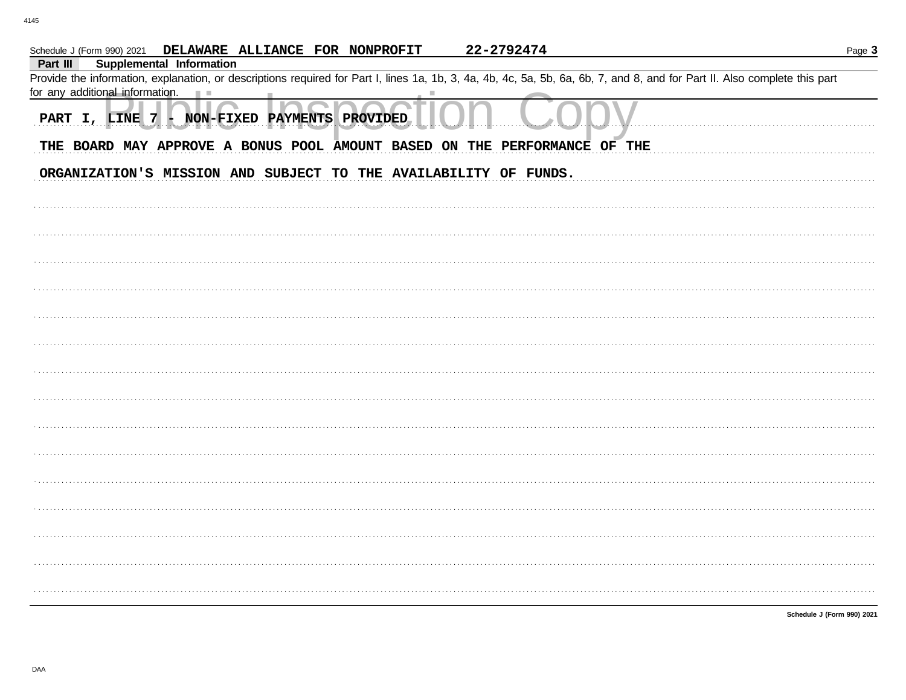|                                      | Schedule J (Form 990) 2021 DELAWARE ALLIANCE FOR NONPROFIT                                                                                                                                   | 22-2792474 | Page 3                     |
|--------------------------------------|----------------------------------------------------------------------------------------------------------------------------------------------------------------------------------------------|------------|----------------------------|
| Supplemental Information<br>Part III |                                                                                                                                                                                              |            |                            |
| for any additional information.      | Provide the information, explanation, or descriptions required for Part I, lines 1a, 1b, 3, 4a, 4b, 4c, 5a, 5b, 6a, 6b, 7, and 8, and for Part II. Also complete this part<br><b>COLLEGE</b> |            |                            |
| PART I, LINE $7$ -                   | NON-FIXED PAYMENTS PROVIDED                                                                                                                                                                  |            |                            |
|                                      | THE BOARD MAY APPROVE A BONUS POOL AMOUNT BASED ON THE PERFORMANCE OF THE                                                                                                                    |            |                            |
|                                      | ORGANIZATION'S MISSION AND SUBJECT TO THE AVAILABILITY OF FUNDS.                                                                                                                             |            |                            |
|                                      |                                                                                                                                                                                              |            |                            |
|                                      |                                                                                                                                                                                              |            |                            |
|                                      |                                                                                                                                                                                              |            |                            |
|                                      |                                                                                                                                                                                              |            |                            |
|                                      |                                                                                                                                                                                              |            |                            |
|                                      |                                                                                                                                                                                              |            |                            |
|                                      |                                                                                                                                                                                              |            |                            |
|                                      |                                                                                                                                                                                              |            |                            |
|                                      |                                                                                                                                                                                              |            |                            |
|                                      |                                                                                                                                                                                              |            |                            |
|                                      |                                                                                                                                                                                              |            |                            |
|                                      |                                                                                                                                                                                              |            |                            |
|                                      |                                                                                                                                                                                              |            |                            |
|                                      |                                                                                                                                                                                              |            |                            |
|                                      |                                                                                                                                                                                              |            |                            |
|                                      |                                                                                                                                                                                              |            | Schedule J (Form 990) 2021 |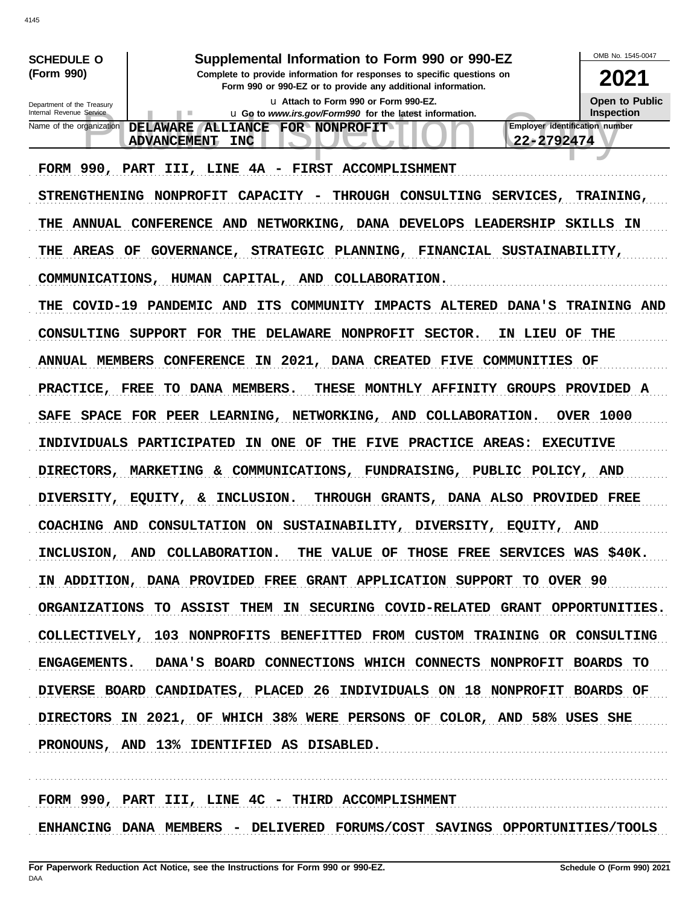Service<br>
Tganization DELAWARE ALLIANCE FOR NONPROFIT<br>
ADVANCEMENT INC<br>
ADVANCEMENT INC<br>
PUBLIC COPY CONTROLLER SUBARARE ALLIANCE FOR NONPROFIT<br>
22-2792474 **Form 990 or 990-EZ or to provide any additional information.** Name of the organization **DELAWARE ALLIANCE FOR NONPROFIT** Internal Revenue Service Department of the Treasury OMB No. 1545-0047 **(Form 990) Complete to provide information for responses to specific questions on SCHEDULE O Supplemental Information to Form 990 or 990-EZ 2021 Open to Public Inspection**<br>Employer identification number u **Attach to Form 990 or Form 990-EZ.** u **Go to** *www.irs.gov/Form990* **for the latest information. ADVANCEMENT INC <b>22-2792474 22-2792474** 

FORM 990, PART III, LINE 4A - FIRST ACCOMPLISHMENT STRENGTHENING NONPROFIT CAPACITY - THROUGH CONSULTING SERVICES, TRAINING, THE ANNUAL CONFERENCE AND NETWORKING, DANA DEVELOPS LEADERSHIP SKILLS IN THE AREAS OF GOVERNANCE, STRATEGIC PLANNING, FINANCIAL SUSTAINABILITY, COMMUNICATIONS, HUMAN CAPITAL, AND COLLABORATION. THE COVID-19 PANDEMIC AND ITS COMMUNITY IMPACTS ALTERED DANA'S TRAINING AND CONSULTING SUPPORT FOR THE DELAWARE NONPROFIT SECTOR. IN LIEU OF THE ANNUAL MEMBERS CONFERENCE IN 2021, DANA CREATED FIVE COMMUNITIES OF PRACTICE, FREE TO DANA MEMBERS. THESE MONTHLY AFFINITY GROUPS PROVIDED A SAFE SPACE FOR PEER LEARNING, NETWORKING, AND COLLABORATION. OVER 1000 INDIVIDUALS PARTICIPATED IN ONE OF THE FIVE PRACTICE AREAS: EXECUTIVE DIRECTORS, MARKETING & COMMUNICATIONS, FUNDRAISING, PUBLIC POLICY, AND DIVERSITY, EQUITY, & INCLUSION. THROUGH GRANTS, DANA ALSO PROVIDED FREE COACHING AND CONSULTATION ON SUSTAINABILITY, DIVERSITY, EQUITY, AND INCLUSION, AND COLLABORATION. THE VALUE OF THOSE FREE SERVICES WAS \$40K. IN ADDITION, DANA PROVIDED FREE GRANT APPLICATION SUPPORT TO OVER 90 ORGANIZATIONS TO ASSIST THEM IN SECURING COVID-RELATED GRANT OPPORTUNITIES. COLLECTIVELY, 103 NONPROFITS BENEFITTED FROM CUSTOM TRAINING OR CONSULTING ENGAGEMENTS. DANA'S BOARD CONNECTIONS WHICH CONNECTS NONPROFIT BOARDS TO DIVERSE BOARD CANDIDATES, PLACED 26 INDIVIDUALS ON 18 NONPROFIT BOARDS OF DIRECTORS IN 2021, OF WHICH 38% WERE PERSONS OF COLOR, AND 58% USES SHE PRONOUNS, AND 13% IDENTIFIED AS DISABLED.

FORM 990, PART III, LINE 4C - THIRD ACCOMPLISHMENT ENHANCING DANA MEMBERS - DELIVERED FORUMS/COST SAVINGS OPPORTUNITIES/TOOLS

. . . . . . . . . . . . . . . . . . . . . . . . . . . . . . . . . . . . . . . . . . . . . . . . . . . . . . . . . . . . . . . . . . . . . . . . . . . . . . . . . . . . . . . . . . . . . . . . . . . . . . . . . . . . . . . . . . . . . . . . . . . . . . . . . . . . . . . . . . . . . . . . . . . . . . . . . . . . . . . . . . . . . .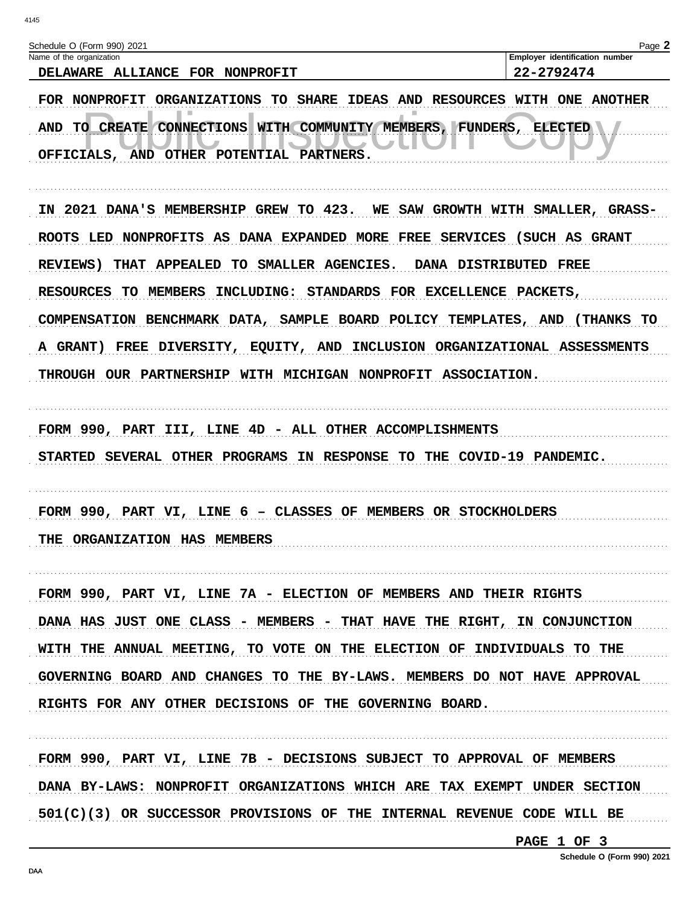| Schedule O (Form 990) 2021<br>Name of the organization                       | Page 2<br>Employer identification number |
|------------------------------------------------------------------------------|------------------------------------------|
| DELAWARE ALLIANCE FOR NONPROFIT                                              | 22-2792474                               |
| FOR NONPROFIT ORGANIZATIONS TO SHARE IDEAS AND RESOURCES WITH ONE ANOTHER    |                                          |
| TO CREATE CONNECTIONS WITH COMMUNITY MEMBERS, FUNDERS, ELECTED<br><b>AND</b> |                                          |
| OFFICIALS, AND OTHER POTENTIAL PARTNERS.                                     |                                          |
| IN 2021 DANA'S MEMBERSHIP GREW TO 423. WE SAW GROWTH WITH SMALLER, GRASS-    |                                          |
| ROOTS LED NONPROFITS AS DANA EXPANDED MORE FREE SERVICES (SUCH AS GRANT      |                                          |
| REVIEWS) THAT APPEALED TO SMALLER AGENCIES. DANA DISTRIBUTED FREE            |                                          |
| RESOURCES TO MEMBERS INCLUDING: STANDARDS FOR EXCELLENCE PACKETS,            |                                          |
| COMPENSATION BENCHMARK DATA, SAMPLE BOARD POLICY TEMPLATES, AND (THANKS TO   |                                          |
| A GRANT) FREE DIVERSITY, EQUITY, AND INCLUSION ORGANIZATIONAL ASSESSMENTS    |                                          |
| THROUGH OUR PARTNERSHIP WITH MICHIGAN NONPROFIT ASSOCIATION.                 |                                          |
| FORM 990, PART III, LINE 4D - ALL OTHER ACCOMPLISHMENTS                      |                                          |
| STARTED SEVERAL OTHER PROGRAMS IN RESPONSE TO THE COVID-19 PANDEMIC.         |                                          |
| FORM 990, PART VI, LINE 6 - CLASSES OF MEMBERS OR STOCKHOLDERS               |                                          |
| THE ORGANIZATION HAS MEMBERS                                                 |                                          |
| FORM 990, PART VI, LINE 7A - ELECTION OF MEMBERS AND THEIR RIGHTS            |                                          |
| DANA HAS JUST ONE CLASS - MEMBERS - THAT HAVE THE RIGHT, IN CONJUNCTION      |                                          |
| WITH THE ANNUAL MEETING, TO VOTE ON THE ELECTION OF INDIVIDUALS TO THE       |                                          |
| GOVERNING BOARD AND CHANGES TO THE BY-LAWS. MEMBERS DO NOT HAVE APPROVAL     |                                          |
| RIGHTS FOR ANY OTHER DECISIONS OF THE GOVERNING BOARD.                       |                                          |
|                                                                              |                                          |
| FORM 990, PART VI, LINE 7B - DECISIONS SUBJECT TO APPROVAL OF MEMBERS        |                                          |
| DANA BY-LAWS: NONPROFIT ORGANIZATIONS WHICH ARE TAX EXEMPT UNDER SECTION     |                                          |
| $501(C)(3)$ OR SUCCESSOR PROVISIONS OF THE INTERNAL REVENUE CODE WILL BE     |                                          |
|                                                                              | PAGE 1 OF 3                              |

4145

Schedule O (Form 990) 2021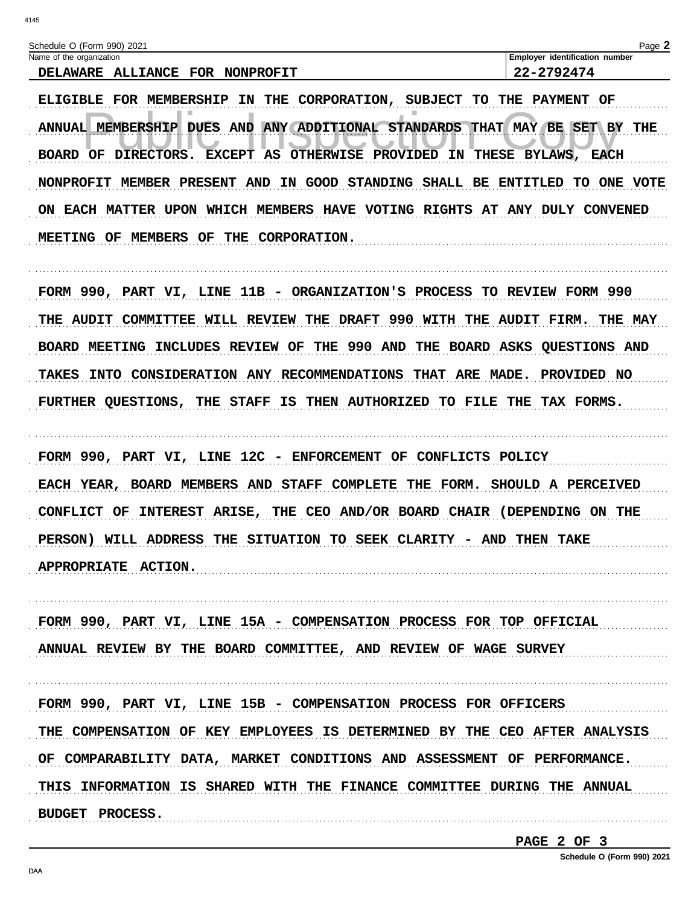| CONFLICT OF INTEREST ARISE, THE CEO AND/OR BOARD CHAIR (DEPENDING ON THE<br>PERSON) WILL ADDRESS THE SITUATION TO SEEK CLARITY - AND THEN TAKE<br>APPROPRIATE ACTION.<br>FORM 990, PART VI, LINE 15A - COMPENSATION PROCESS FOR TOP OFFICIAL |
|----------------------------------------------------------------------------------------------------------------------------------------------------------------------------------------------------------------------------------------------|
|                                                                                                                                                                                                                                              |
|                                                                                                                                                                                                                                              |
|                                                                                                                                                                                                                                              |
|                                                                                                                                                                                                                                              |
| EACH YEAR, BOARD MEMBERS AND STAFF COMPLETE THE FORM. SHOULD A PERCEIVED                                                                                                                                                                     |
| FORM 990, PART VI, LINE 12C - ENFORCEMENT OF CONFLICTS POLICY                                                                                                                                                                                |
|                                                                                                                                                                                                                                              |
| FURTHER QUESTIONS, THE STAFF IS THEN AUTHORIZED TO FILE THE TAX FORMS.                                                                                                                                                                       |
| TAKES INTO CONSIDERATION ANY RECOMMENDATIONS THAT ARE MADE. PROVIDED NO                                                                                                                                                                      |
| BOARD MEETING INCLUDES REVIEW OF THE 990 AND THE BOARD ASKS QUESTIONS AND                                                                                                                                                                    |
| THE AUDIT COMMITTEE WILL REVIEW THE DRAFT 990 WITH THE AUDIT FIRM. THE MAY                                                                                                                                                                   |
| FORM 990, PART VI, LINE 11B - ORGANIZATION'S PROCESS TO REVIEW FORM 990                                                                                                                                                                      |
|                                                                                                                                                                                                                                              |
| MEETING OF MEMBERS OF THE CORPORATION.                                                                                                                                                                                                       |
| ON EACH MATTER UPON WHICH MEMBERS HAVE VOTING RIGHTS AT ANY DULY CONVENED                                                                                                                                                                    |
| NONPROFIT MEMBER PRESENT AND IN GOOD STANDING SHALL BE ENTITLED TO ONE VOTE                                                                                                                                                                  |
| BOARD OF DIRECTORS. EXCEPT<br>AS OTHERWISE PROVIDED IN THESE BYLAWS, EACH                                                                                                                                                                    |
| ANNUAL MEMBERSHIP DUES AND ANY ADDITIONAL STANDARDS THAT MAY BE SET BY THE                                                                                                                                                                   |

ELIGIBLE FOR MEMBERSHIP IN THE CORPORATION, SUBJECT TO THE PAYMENT OF

Name of the organization

DELAWARE ALLIANCE FOR NONPROFIT

 $\blacksquare$ 

4145

Employer identification number

22-2792474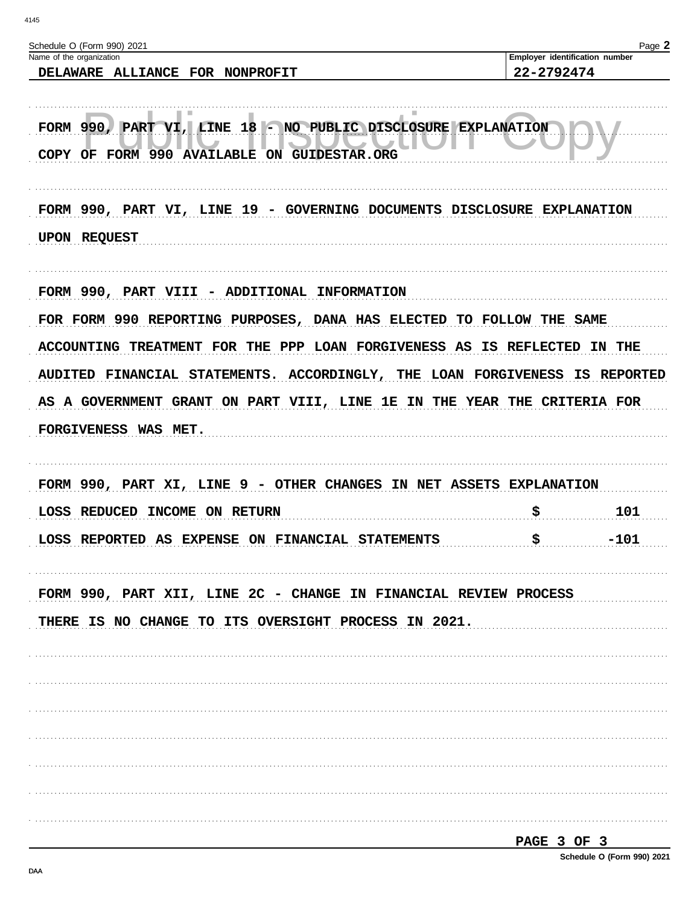| Schedule O (Form 990) 2021                                                                                      |                                | Page 2      |
|-----------------------------------------------------------------------------------------------------------------|--------------------------------|-------------|
| Name of the organization                                                                                        | Employer identification number |             |
| DELAWARE ALLIANCE FOR NONPROFIT                                                                                 | 22-2792474                     |             |
| FORM 990,<br>PART VI, LINE 18 - NO PUBLIC DISCLOSURE EXPLANATION<br>COPY OF FORM 990 AVAILABLE ON GUIDESTAR.ORG |                                |             |
| FORM 990, PART VI, LINE 19 - GOVERNING DOCUMENTS DISCLOSURE EXPLANATION                                         |                                |             |
| <b>UPON REQUEST</b>                                                                                             |                                |             |
| FORM 990, PART VIII - ADDITIONAL INFORMATION                                                                    |                                |             |
| FOR FORM 990 REPORTING PURPOSES, DANA HAS ELECTED TO FOLLOW THE SAME                                            |                                |             |
| ACCOUNTING TREATMENT FOR THE PPP LOAN FORGIVENESS                                                               | <b>AS IS REFLECTED</b>         | IN THE      |
| AUDITED FINANCIAL STATEMENTS. ACCORDINGLY, THE LOAN FORGIVENESS                                                 |                                | IS REPORTED |
|                                                                                                                 |                                |             |
| AS A GOVERNMENT GRANT ON PART VIII, LINE 1E IN THE YEAR THE CRITERIA FOR                                        |                                |             |
| FORGIVENESS WAS MET.                                                                                            |                                |             |
| FORM 990, PART XI, LINE 9 - OTHER CHANGES IN NET ASSETS EXPLANATION                                             |                                |             |
|                                                                                                                 | \$                             | 101         |
| LOSS REDUCED INCOME ON RETURN<br>LOSS REPORTED AS EXPENSE ON FINANCIAL STATEMENTS                               | \$                             | $-101$      |
| FORM 990, PART XII, LINE 2C - CHANGE IN FINANCIAL REVIEW PROCESS                                                |                                |             |
| THERE IS NO CHANGE TO ITS OVERSIGHT PROCESS IN 2021.                                                            |                                |             |
|                                                                                                                 |                                |             |
|                                                                                                                 |                                |             |
|                                                                                                                 |                                |             |
|                                                                                                                 |                                |             |
|                                                                                                                 |                                |             |
|                                                                                                                 |                                |             |

Schedule O (Form 990) 2021